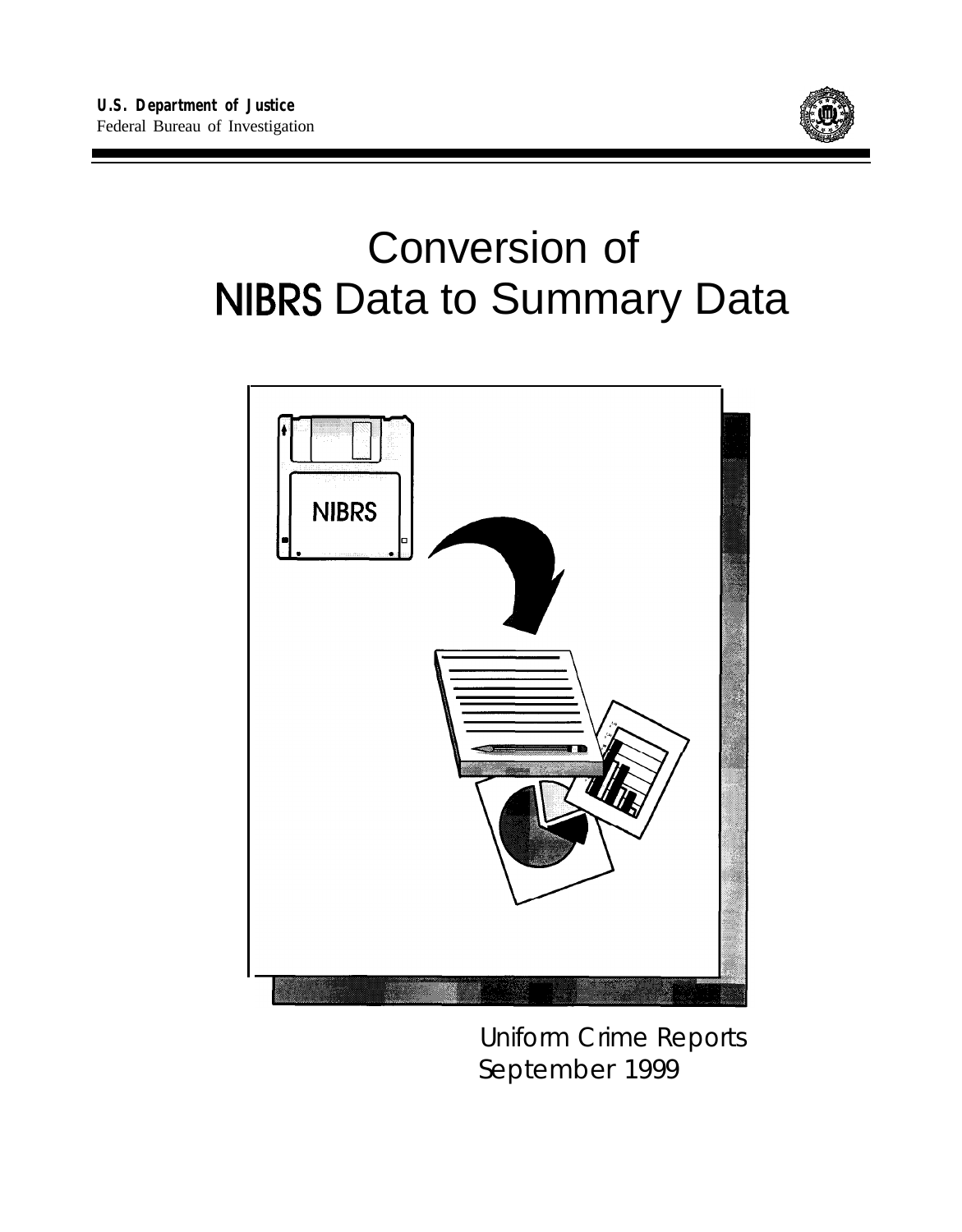

# Conversion of NIBRS Data to Summary Data



Uniform Crime Reports September 1999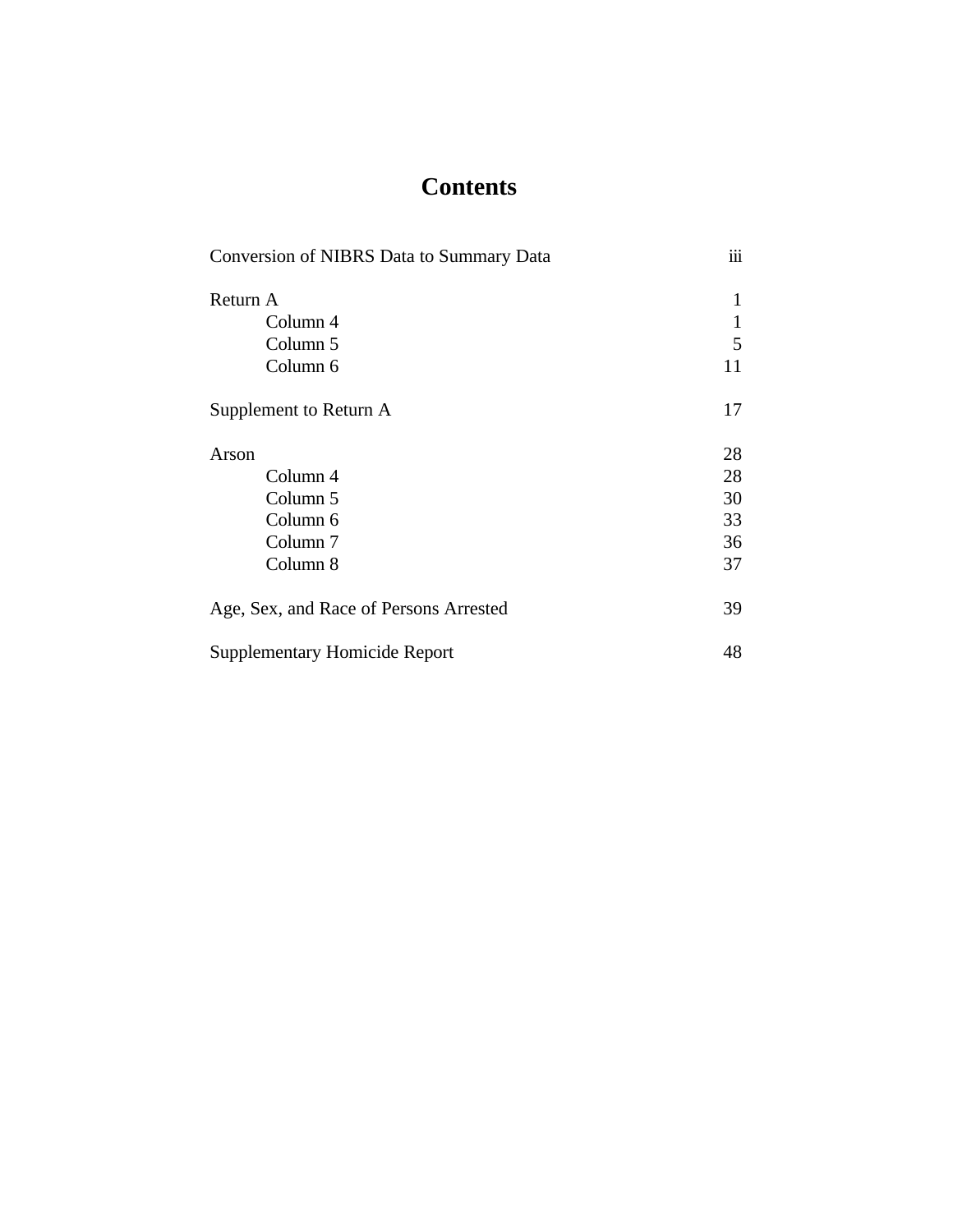# **Contents**

| Conversion of NIBRS Data to Summary Data | iii          |
|------------------------------------------|--------------|
| Return A                                 | 1            |
| Column 4                                 | $\mathbf{1}$ |
| Column 5                                 | 5            |
| Column 6                                 | 11           |
| Supplement to Return A                   | 17           |
| Arson                                    | 28           |
| Column 4                                 | 28           |
| Column 5                                 | 30           |
| Column 6                                 | 33           |
| Column <sub>7</sub>                      | 36           |
| Column 8                                 | 37           |
| Age, Sex, and Race of Persons Arrested   | 39           |
| <b>Supplementary Homicide Report</b>     | 48           |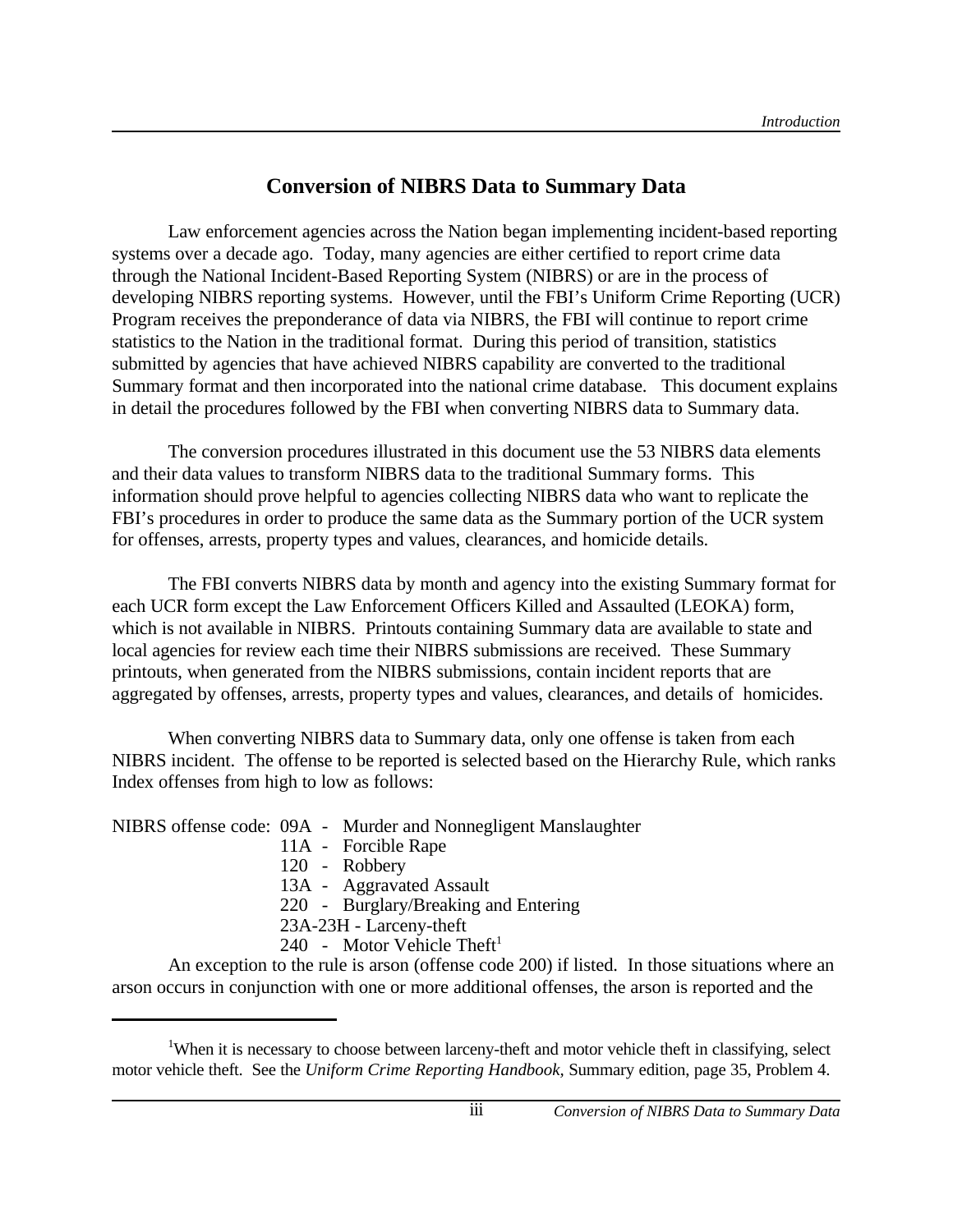# **Conversion of NIBRS Data to Summary Data**

Law enforcement agencies across the Nation began implementing incident-based reporting systems over a decade ago. Today, many agencies are either certified to report crime data through the National Incident-Based Reporting System (NIBRS) or are in the process of developing NIBRS reporting systems. However, until the FBI's Uniform Crime Reporting (UCR) Program receives the preponderance of data via NIBRS, the FBI will continue to report crime statistics to the Nation in the traditional format. During this period of transition, statistics submitted by agencies that have achieved NIBRS capability are converted to the traditional Summary format and then incorporated into the national crime database. This document explains in detail the procedures followed by the FBI when converting NIBRS data to Summary data.

The conversion procedures illustrated in this document use the 53 NIBRS data elements and their data values to transform NIBRS data to the traditional Summary forms. This information should prove helpful to agencies collecting NIBRS data who want to replicate the FBI's procedures in order to produce the same data as the Summary portion of the UCR system for offenses, arrests, property types and values, clearances, and homicide details.

The FBI converts NIBRS data by month and agency into the existing Summary format for each UCR form except the Law Enforcement Officers Killed and Assaulted (LEOKA) form, which is not available in NIBRS. Printouts containing Summary data are available to state and local agencies for review each time their NIBRS submissions are received. These Summary printouts, when generated from the NIBRS submissions, contain incident reports that are aggregated by offenses, arrests, property types and values, clearances, and details of homicides.

When converting NIBRS data to Summary data, only one offense is taken from each NIBRS incident. The offense to be reported is selected based on the Hierarchy Rule, which ranks Index offenses from high to low as follows:

NIBRS offense code: 09A - Murder and Nonnegligent Manslaughter

- 11A Forcible Rape
- 120 Robbery
- 13A Aggravated Assault
- 220 Burglary/Breaking and Entering
- 23A-23H Larceny-theft
- 240 Motor Vehicle Theft<sup>1</sup>

An exception to the rule is arson (offense code 200) if listed. In those situations where an arson occurs in conjunction with one or more additional offenses, the arson is reported and the

<sup>&</sup>lt;sup>1</sup>When it is necessary to choose between larceny-theft and motor vehicle theft in classifying, select motor vehicle theft. See the *Uniform Crime Reporting Handbook,* Summary edition, page 35, Problem 4.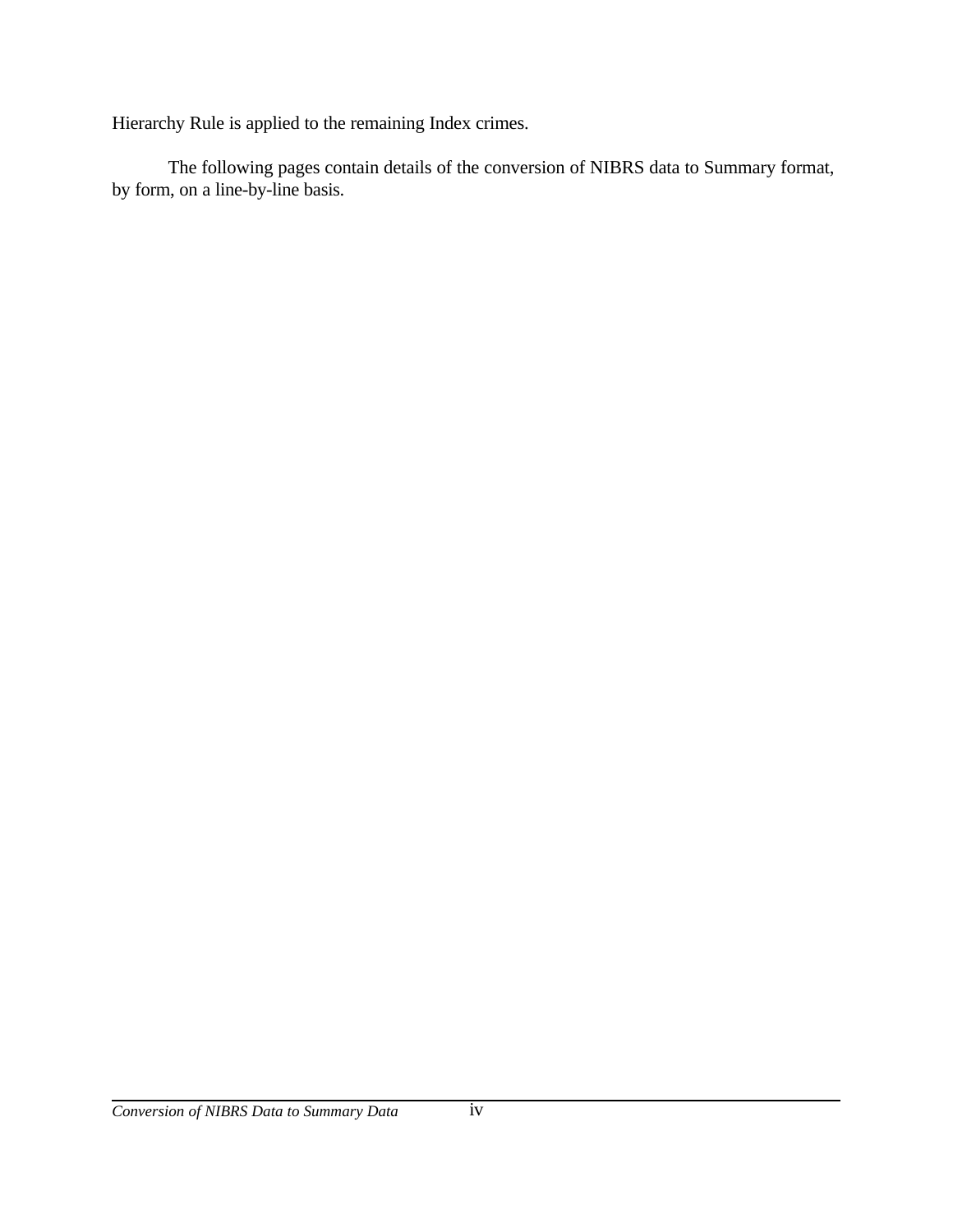Hierarchy Rule is applied to the remaining Index crimes.

The following pages contain details of the conversion of NIBRS data to Summary format, by form, on a line-by-line basis.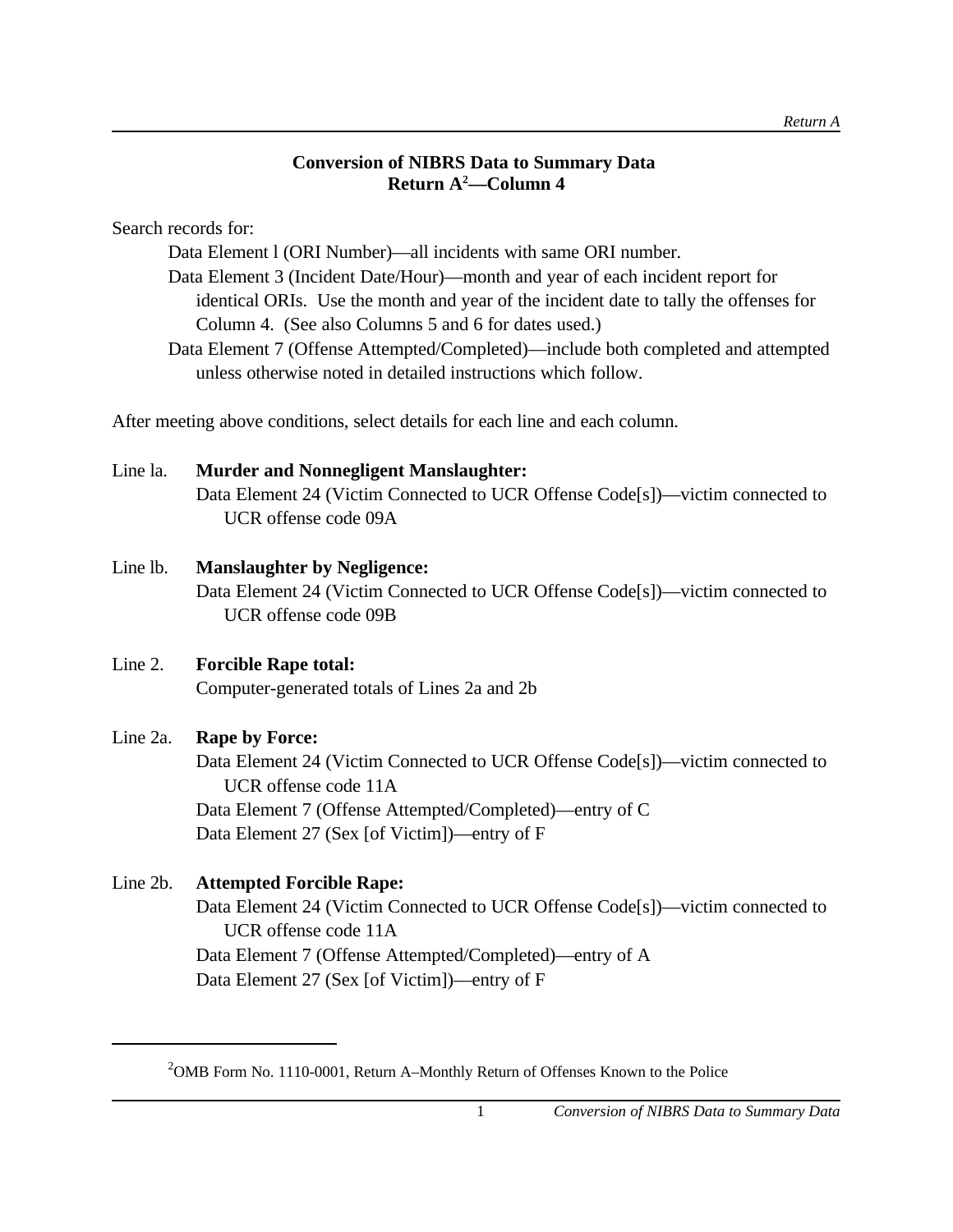# **Conversion of NIBRS Data to Summary Data Return A<sup>2</sup>—Column 4**

Search records for:

Data Element l (ORI Number)—all incidents with same ORI number.

Data Element 3 (Incident Date/Hour)—month and year of each incident report for identical ORIs. Use the month and year of the incident date to tally the offenses for Column 4. (See also Columns 5 and 6 for dates used.)

Data Element 7 (Offense Attempted/Completed)—include both completed and attempted unless otherwise noted in detailed instructions which follow.

After meeting above conditions, select details for each line and each column.

# Line la. **Murder and Nonnegligent Manslaughter:**

Data Element 24 (Victim Connected to UCR Offense Code[s])—victim connected to UCR offense code 09A

# Line lb. **Manslaughter by Negligence:**

Data Element 24 (Victim Connected to UCR Offense Code[s])—victim connected to UCR offense code 09B

# Line 2. **Forcible Rape total:**

Computer-generated totals of Lines 2a and 2b

# Line 2a. **Rape by Force:**

Data Element 24 (Victim Connected to UCR Offense Code[s])—victim connected to UCR offense code 11A Data Element 7 (Offense Attempted/Completed)—entry of C Data Element 27 (Sex [of Victim])—entry of F

# Line 2b. **Attempted Forcible Rape:**

Data Element 24 (Victim Connected to UCR Offense Code[s])—victim connected to UCR offense code 11A Data Element 7 (Offense Attempted/Completed)—entry of A Data Element 27 (Sex [of Victim])—entry of F

<sup>&</sup>lt;sup>2</sup>OMB Form No. 1110-0001, Return A–Monthly Return of Offenses Known to the Police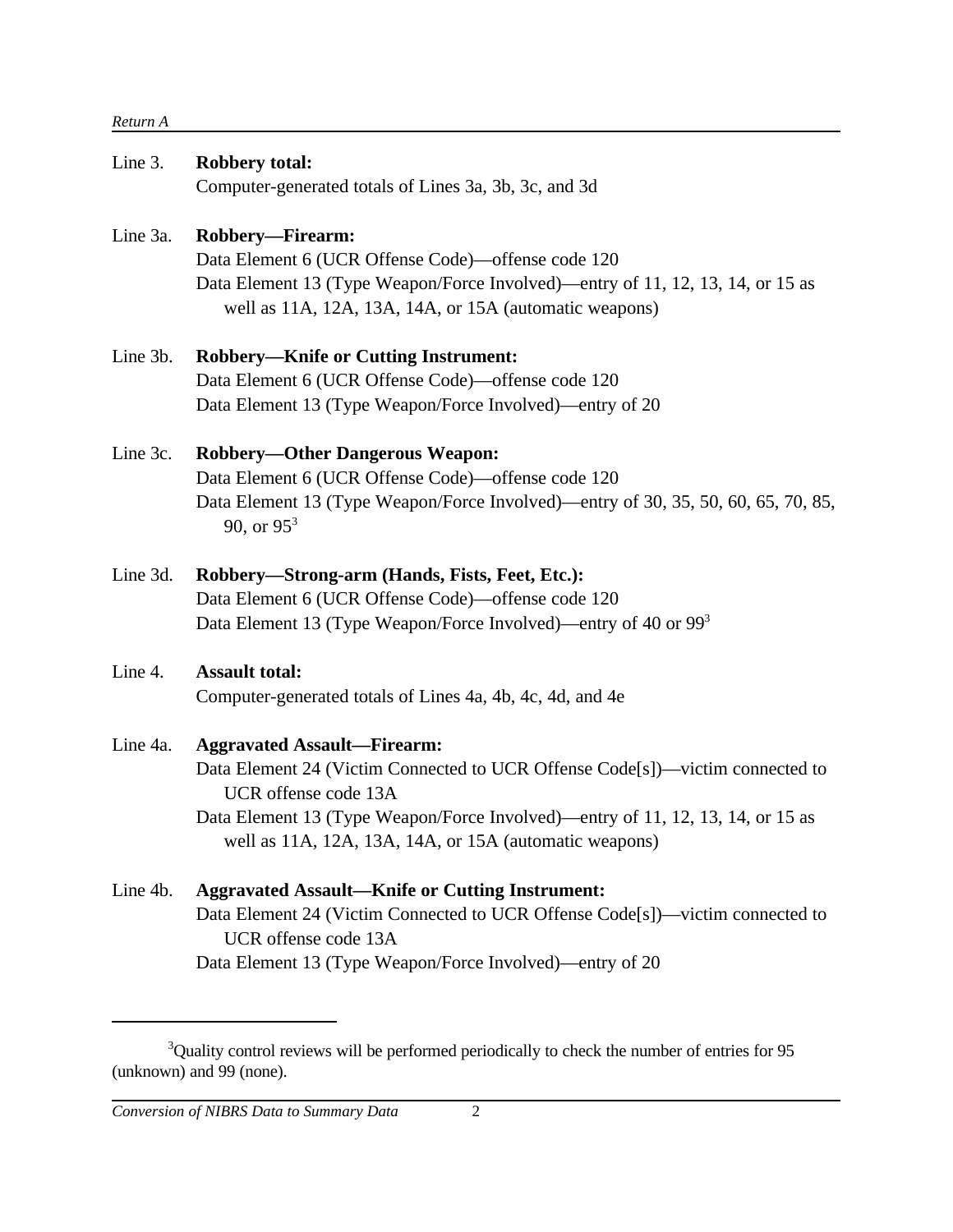#### *Return A*

| Line 3.  | <b>Robbery total:</b>                                                                              |
|----------|----------------------------------------------------------------------------------------------------|
|          | Computer-generated totals of Lines 3a, 3b, 3c, and 3d                                              |
| Line 3a. | Robbery-Firearm:                                                                                   |
|          | Data Element 6 (UCR Offense Code)—offense code 120                                                 |
|          | Data Element 13 (Type Weapon/Force Involved)—entry of 11, 12, 13, 14, or 15 as                     |
|          | well as 11A, 12A, 13A, 14A, or 15A (automatic weapons)                                             |
| Line 3b. | <b>Robbery-Knife or Cutting Instrument:</b>                                                        |
|          | Data Element 6 (UCR Offense Code)—offense code 120                                                 |
|          | Data Element 13 (Type Weapon/Force Involved)—entry of 20                                           |
| Line 3c. | <b>Robbery-Other Dangerous Weapon:</b>                                                             |
|          | Data Element 6 (UCR Offense Code)—offense code 120                                                 |
|          | Data Element 13 (Type Weapon/Force Involved)—entry of 30, 35, 50, 60, 65, 70, 85,<br>90, or $95^3$ |
| Line 3d. | Robbery—Strong-arm (Hands, Fists, Feet, Etc.):                                                     |
|          | Data Element 6 (UCR Offense Code)—offense code 120                                                 |
|          | Data Element 13 (Type Weapon/Force Involved)—entry of 40 or 99 <sup>3</sup>                        |
| Line 4.  | <b>Assault total:</b>                                                                              |
|          | Computer-generated totals of Lines 4a, 4b, 4c, 4d, and 4e                                          |
| Line 4a. | <b>Aggravated Assault-Firearm:</b>                                                                 |
|          | Data Element 24 (Victim Connected to UCR Offense Code[s])—victim connected to                      |
|          | UCR offense code 13A                                                                               |
|          | Data Element 13 (Type Weapon/Force Involved)—entry of 11, 12, 13, 14, or 15 as                     |
|          | well as 11A, 12A, 13A, 14A, or 15A (automatic weapons)                                             |
| Line 4b. | <b>Aggravated Assault-Knife or Cutting Instrument:</b>                                             |
|          | Data Element 24 (Victim Connected to UCR Offense Code[s])—victim connected to                      |
|          | UCR offense code 13A                                                                               |
|          | Data Element 13 (Type Weapon/Force Involved)—entry of 20                                           |
|          |                                                                                                    |
|          |                                                                                                    |

 $3$ Quality control reviews will be performed periodically to check the number of entries for 95 (unknown) and 99 (none).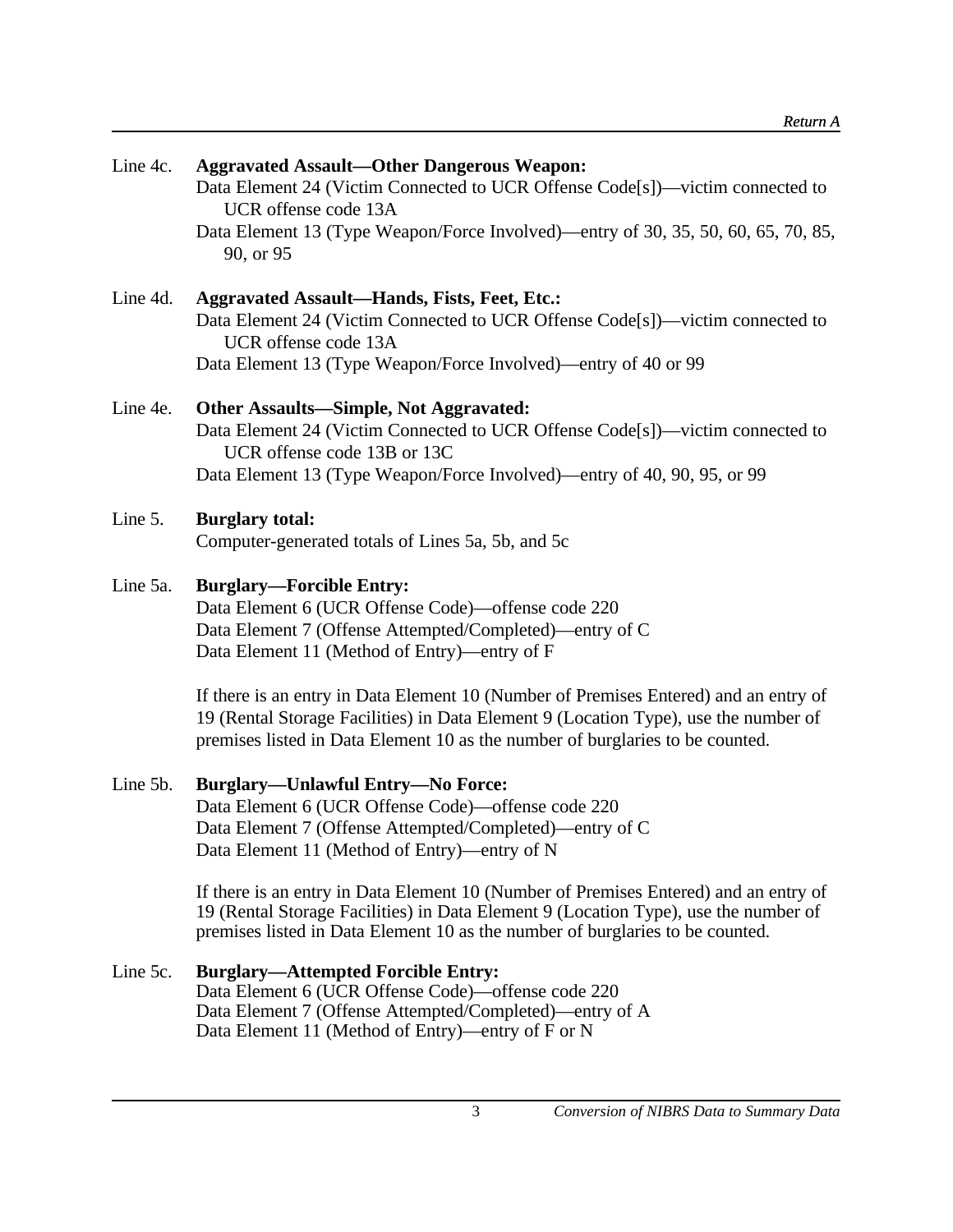| Line 4c. | <b>Aggravated Assault-Other Dangerous Weapon:</b><br>Data Element 24 (Victim Connected to UCR Offense Code[s])—victim connected to<br>UCR offense code 13A<br>Data Element 13 (Type Weapon/Force Involved)—entry of 30, 35, 50, 60, 65, 70, 85,              |
|----------|--------------------------------------------------------------------------------------------------------------------------------------------------------------------------------------------------------------------------------------------------------------|
| Line 4d. | 90, or 95<br><b>Aggravated Assault-Hands, Fists, Feet, Etc.:</b><br>Data Element 24 (Victim Connected to UCR Offense Code[s])—victim connected to<br>UCR offense code 13A                                                                                    |
|          | Data Element 13 (Type Weapon/Force Involved)—entry of 40 or 99                                                                                                                                                                                               |
| Line 4e. | <b>Other Assaults-Simple, Not Aggravated:</b><br>Data Element 24 (Victim Connected to UCR Offense Code[s])—victim connected to<br>UCR offense code 13B or 13C<br>Data Element 13 (Type Weapon/Force Involved)—entry of 40, 90, 95, or 99                     |
| Line 5.  | <b>Burglary total:</b><br>Computer-generated totals of Lines 5a, 5b, and 5c                                                                                                                                                                                  |
| Line 5a. | <b>Burglary—Forcible Entry:</b><br>Data Element 6 (UCR Offense Code)—offense code 220<br>Data Element 7 (Offense Attempted/Completed)—entry of C<br>Data Element 11 (Method of Entry)—entry of F                                                             |
|          | If there is an entry in Data Element 10 (Number of Premises Entered) and an entry of<br>19 (Rental Storage Facilities) in Data Element 9 (Location Type), use the number of<br>premises listed in Data Element 10 as the number of burglaries to be counted. |
| Line 5b. | <b>Burglary—Unlawful Entry—No Force:</b><br>Data Element 6 (UCR Offense Code)-offense code 220<br>Data Element 7 (Offense Attempted/Completed)—entry of C<br>Data Element 11 (Method of Entry)—entry of N                                                    |
|          | If there is an entry in Data Element 10 (Number of Premises Entered) and an entry of<br>19 (Rental Storage Facilities) in Data Element 9 (Location Type), use the number of<br>premises listed in Data Element 10 as the number of burglaries to be counted. |
| Line 5c. | <b>Burglary—Attempted Forcible Entry:</b><br>Data Element 6 (UCR Offense Code)-offense code 220<br>Data Element 7 (Offense Attempted/Completed)—entry of A                                                                                                   |

Data Element 11 (Method of Entry)—entry of F or N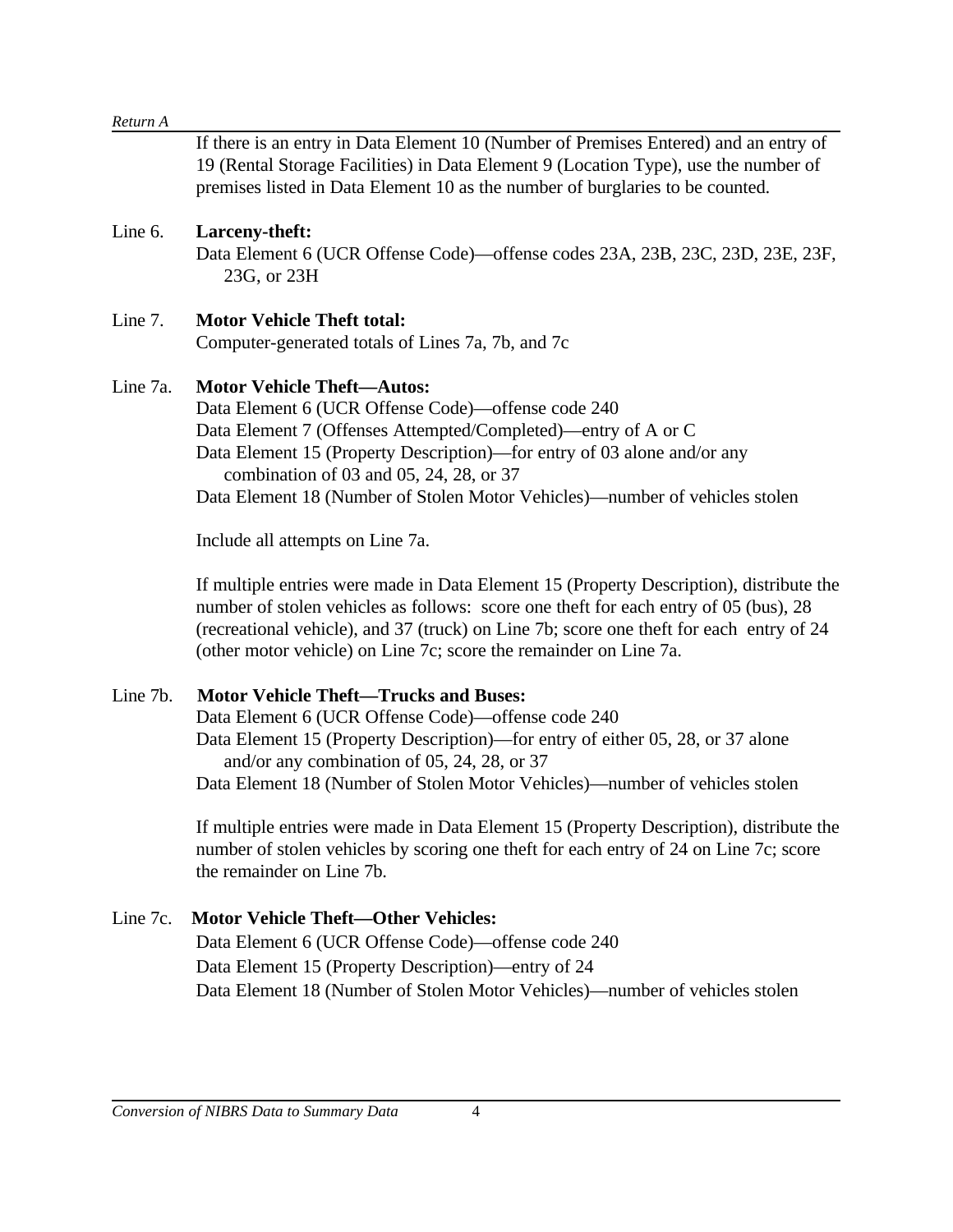| If there is an entry in Data Element 10 (Number of Premises Entered) and an entry of<br>19 (Rental Storage Facilities) in Data Element 9 (Location Type), use the number of<br>premises listed in Data Element 10 as the number of burglaries to be counted.                                                                                                                                                                                                                                           |
|--------------------------------------------------------------------------------------------------------------------------------------------------------------------------------------------------------------------------------------------------------------------------------------------------------------------------------------------------------------------------------------------------------------------------------------------------------------------------------------------------------|
| Larceny-theft:<br>Data Element 6 (UCR Offense Code)—offense codes 23A, 23B, 23C, 23D, 23E, 23F,<br>23G, or 23H                                                                                                                                                                                                                                                                                                                                                                                         |
| <b>Motor Vehicle Theft total:</b><br>Computer-generated totals of Lines 7a, 7b, and 7c                                                                                                                                                                                                                                                                                                                                                                                                                 |
| <b>Motor Vehicle Theft-Autos:</b><br>Data Element 6 (UCR Offense Code)—offense code 240<br>Data Element 7 (Offenses Attempted/Completed)—entry of A or C<br>Data Element 15 (Property Description)—for entry of 03 alone and/or any<br>combination of 03 and 05, 24, 28, or 37<br>Data Element 18 (Number of Stolen Motor Vehicles)—number of vehicles stolen                                                                                                                                          |
| Include all attempts on Line 7a.                                                                                                                                                                                                                                                                                                                                                                                                                                                                       |
| If multiple entries were made in Data Element 15 (Property Description), distribute the<br>number of stolen vehicles as follows: score one theft for each entry of 05 (bus), 28<br>(recreational vehicle), and 37 (truck) on Line 7b; score one theft for each entry of 24<br>(other motor vehicle) on Line 7c; score the remainder on Line 7a.                                                                                                                                                        |
| <b>Motor Vehicle Theft-Trucks and Buses:</b><br>Data Element 6 (UCR Offense Code)—offense code 240<br>Data Element 15 (Property Description)—for entry of either 05, 28, or 37 alone<br>and/or any combination of 05, 24, 28, or 37<br>Data Element 18 (Number of Stolen Motor Vehicles)—number of vehicles stolen<br>If multiple entries were made in Data Element 15 (Property Description), distribute the<br>number of stolen vehicles by scoring one theft for each entry of 24 on Line 7c; score |
|                                                                                                                                                                                                                                                                                                                                                                                                                                                                                                        |

#### Line 7c. **Motor Vehicle Theft—Other Vehicles:**

Data Element 6 (UCR Offense Code)—offense code 240 Data Element 15 (Property Description)—entry of 24 Data Element 18 (Number of Stolen Motor Vehicles)—number of vehicles stolen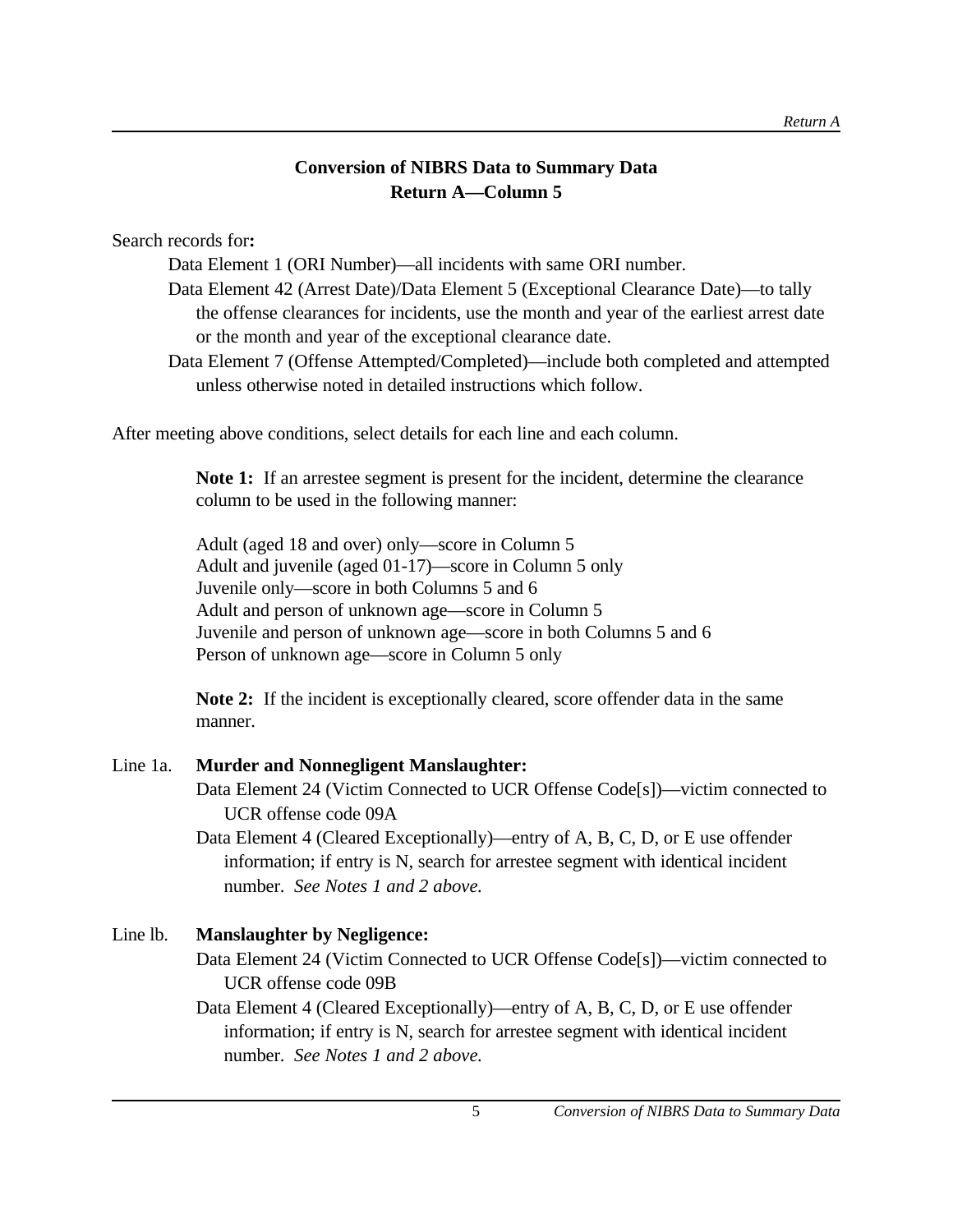# **Conversion of NIBRS Data to Summary Data Return A—Column 5**

Search records for**:**

Data Element 1 (ORI Number)—all incidents with same ORI number.

- Data Element 42 (Arrest Date)/Data Element 5 (Exceptional Clearance Date)—to tally the offense clearances for incidents, use the month and year of the earliest arrest date or the month and year of the exceptional clearance date.
- Data Element 7 (Offense Attempted/Completed)—include both completed and attempted unless otherwise noted in detailed instructions which follow.

After meeting above conditions, select details for each line and each column.

**Note 1:** If an arrestee segment is present for the incident, determine the clearance column to be used in the following manner:

Adult (aged 18 and over) only—score in Column 5 Adult and juvenile (aged 01-17)—score in Column 5 only Juvenile only—score in both Columns 5 and 6 Adult and person of unknown age—score in Column 5 Juvenile and person of unknown age—score in both Columns 5 and 6 Person of unknown age—score in Column 5 only

**Note 2:** If the incident is exceptionally cleared, score offender data in the same manner.

### Line 1a. **Murder and Nonnegligent Manslaughter:**

Data Element 24 (Victim Connected to UCR Offense Code[s])—victim connected to UCR offense code 09A

Data Element 4 (Cleared Exceptionally)—entry of A, B, C, D, or E use offender information; if entry is N, search for arrestee segment with identical incident number. *See Notes 1 and 2 above.*

# Line lb. **Manslaughter by Negligence:**

Data Element 24 (Victim Connected to UCR Offense Code[s])—victim connected to UCR offense code 09B

Data Element 4 (Cleared Exceptionally)—entry of A, B, C, D, or E use offender information; if entry is N, search for arrestee segment with identical incident number. *See Notes 1 and 2 above.*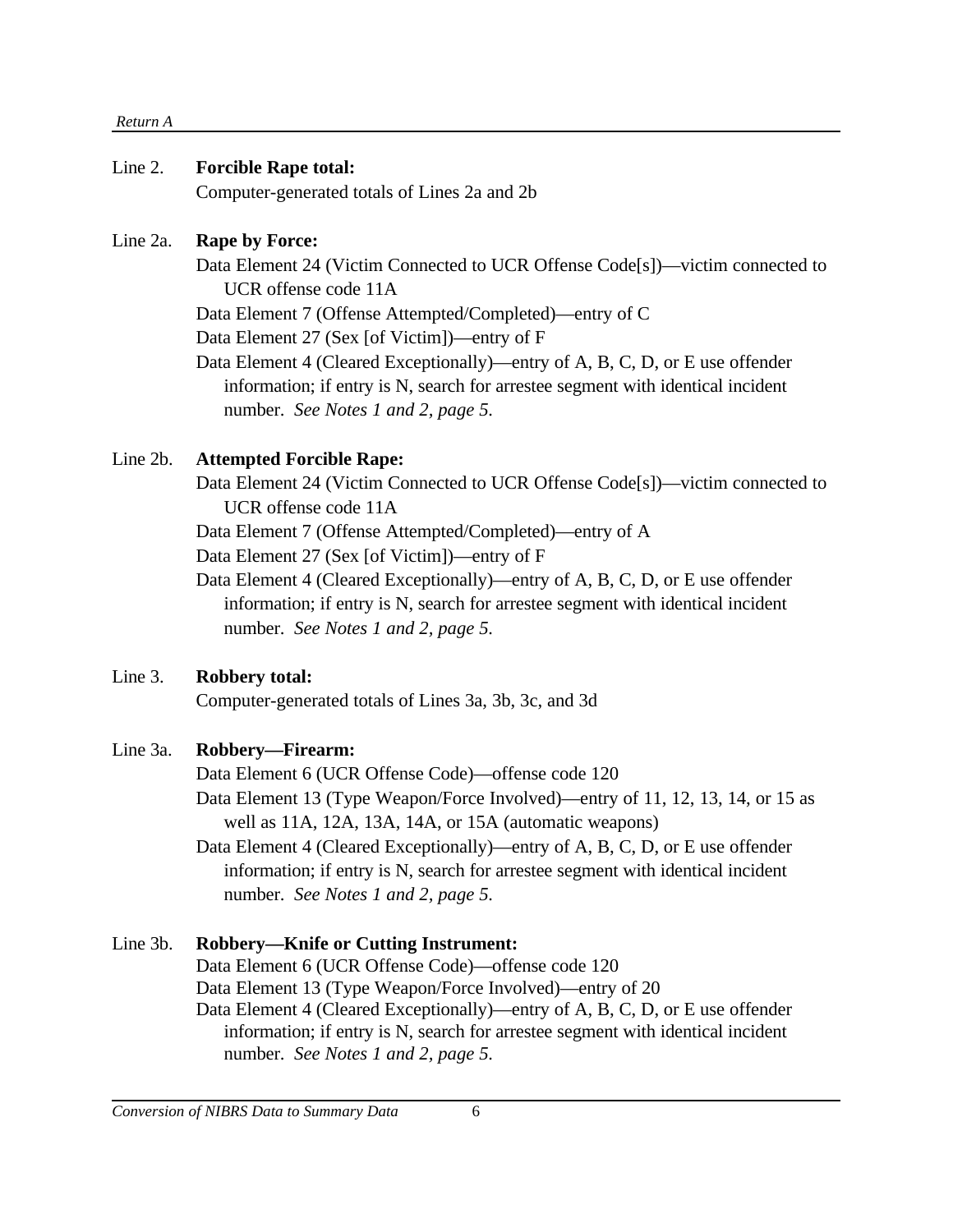#### *Return A*

#### Line 2. **Forcible Rape total:**

Computer-generated totals of Lines 2a and 2b

#### Line 2a. **Rape by Force:**

Data Element 24 (Victim Connected to UCR Offense Code[s])—victim connected to UCR offense code 11A

Data Element 7 (Offense Attempted/Completed)—entry of C

Data Element 27 (Sex [of Victim])—entry of F

Data Element 4 (Cleared Exceptionally)—entry of A, B, C, D, or E use offender information; if entry is N, search for arrestee segment with identical incident number. *See Notes 1 and 2, page 5.*

### Line 2b. **Attempted Forcible Rape:**

Data Element 24 (Victim Connected to UCR Offense Code[s])—victim connected to UCR offense code 11A

Data Element 7 (Offense Attempted/Completed)—entry of A

Data Element 27 (Sex [of Victim])—entry of F

Data Element 4 (Cleared Exceptionally)—entry of A, B, C, D, or E use offender information; if entry is N, search for arrestee segment with identical incident number. *See Notes 1 and 2, page 5.*

### Line 3. **Robbery total:**

Computer-generated totals of Lines 3a, 3b, 3c, and 3d

# Line 3a. **Robbery—Firearm:**

Data Element 6 (UCR Offense Code)—offense code 120

Data Element 13 (Type Weapon/Force Involved)—entry of 11, 12, 13, 14, or 15 as well as 11A, 12A, 13A, 14A, or 15A (automatic weapons)

Data Element 4 (Cleared Exceptionally)—entry of A, B, C, D, or E use offender information; if entry is N, search for arrestee segment with identical incident number. *See Notes 1 and 2, page 5.*

# Line 3b. **Robbery—Knife or Cutting Instrument:**

Data Element 6 (UCR Offense Code)—offense code 120 Data Element 13 (Type Weapon/Force Involved)—entry of 20 Data Element 4 (Cleared Exceptionally)—entry of A, B, C, D, or E use offender information; if entry is N, search for arrestee segment with identical incident number. *See Notes 1 and 2, page 5.*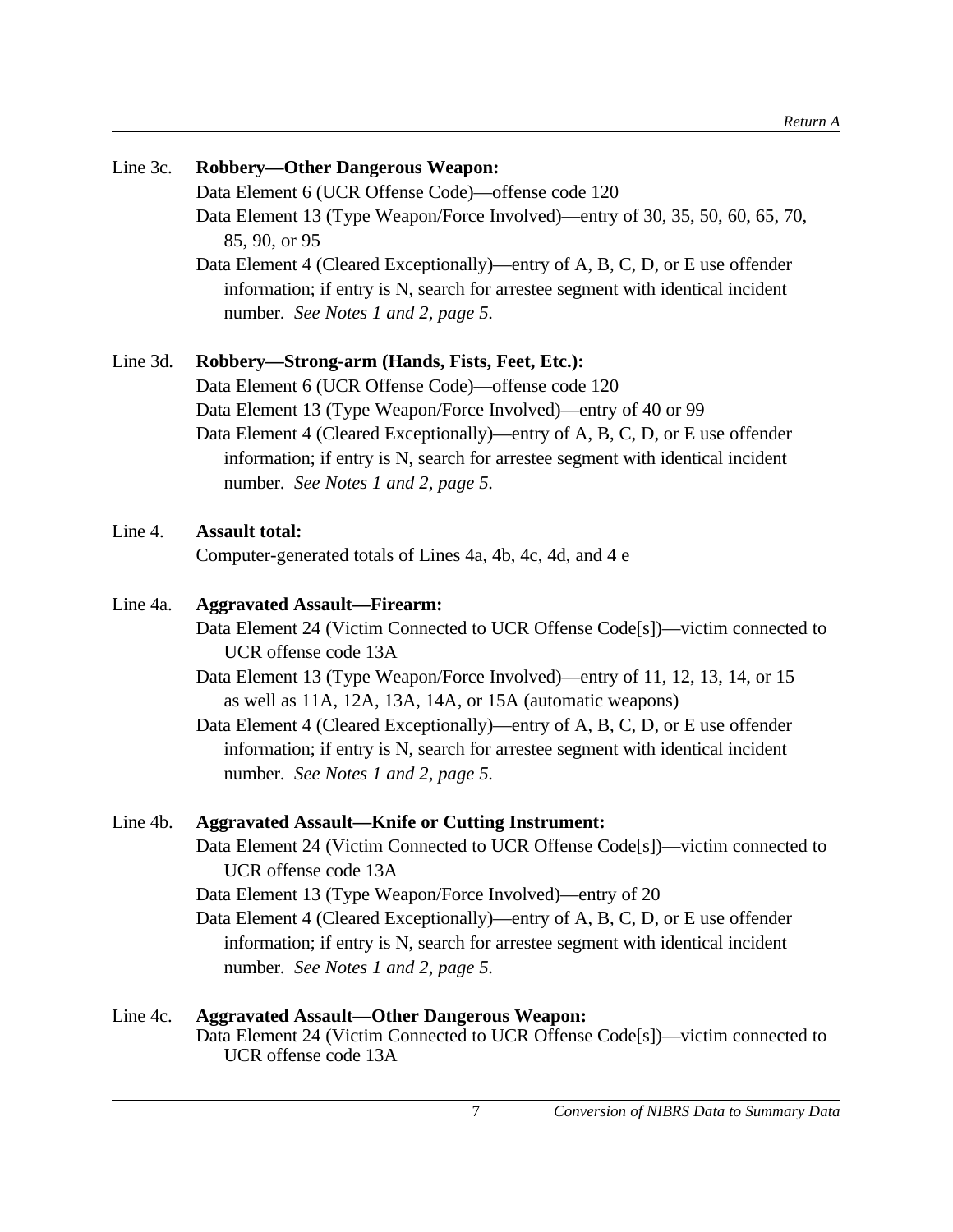| Line 3c. | <b>Robbery-Other Dangerous Weapon:</b>                                                                                                                                                                 |
|----------|--------------------------------------------------------------------------------------------------------------------------------------------------------------------------------------------------------|
|          | Data Element 6 (UCR Offense Code)—offense code 120                                                                                                                                                     |
|          | Data Element 13 (Type Weapon/Force Involved)—entry of 30, 35, 50, 60, 65, 70,<br>85, 90, or 95                                                                                                         |
|          | Data Element 4 (Cleared Exceptionally)—entry of A, B, C, D, or E use offender<br>information; if entry is N, search for arrestee segment with identical incident<br>number. See Notes 1 and 2, page 5. |
| Line 3d. | Robbery-Strong-arm (Hands, Fists, Feet, Etc.):                                                                                                                                                         |
|          | Data Element 6 (UCR Offense Code)—offense code 120                                                                                                                                                     |
|          | Data Element 13 (Type Weapon/Force Involved)—entry of 40 or 99                                                                                                                                         |
|          | Data Element 4 (Cleared Exceptionally)—entry of A, B, C, D, or E use offender<br>information; if entry is N, search for arrestee segment with identical incident<br>number. See Notes 1 and 2, page 5. |
| Line 4.  | <b>Assault total:</b>                                                                                                                                                                                  |
|          | Computer-generated totals of Lines 4a, 4b, 4c, 4d, and 4 e                                                                                                                                             |
| Line 4a. | <b>Aggravated Assault-Firearm:</b>                                                                                                                                                                     |
|          | Data Element 24 (Victim Connected to UCR Offense Code[s])—victim connected to<br>UCR offense code 13A                                                                                                  |
|          | Data Element 13 (Type Weapon/Force Involved)—entry of 11, 12, 13, 14, or 15<br>as well as 11A, 12A, 13A, 14A, or 15A (automatic weapons)                                                               |
|          | Data Element 4 (Cleared Exceptionally)—entry of A, B, C, D, or E use offender                                                                                                                          |
|          | information; if entry is N, search for arrestee segment with identical incident<br>number. See Notes 1 and 2, page 5.                                                                                  |
| Line 4b. | <b>Aggravated Assault-Knife or Cutting Instrument:</b>                                                                                                                                                 |
|          | Data Element 24 (Victim Connected to UCR Offense Code[s])—victim connected to<br>UCR offense code 13A                                                                                                  |
|          | Data Element 13 (Type Weapon/Force Involved)—entry of 20                                                                                                                                               |
|          | Data Element 4 (Cleared Exceptionally)—entry of A, B, C, D, or E use offender                                                                                                                          |
|          | information; if entry is N, search for arrestee segment with identical incident                                                                                                                        |
|          | number. See Notes 1 and 2, page 5.                                                                                                                                                                     |
| Line 4c. | <b>Aggravated Assault-Other Dangerous Weapon:</b>                                                                                                                                                      |

Data Element 24 (Victim Connected to UCR Offense Code[s])—victim connected to UCR offense code 13A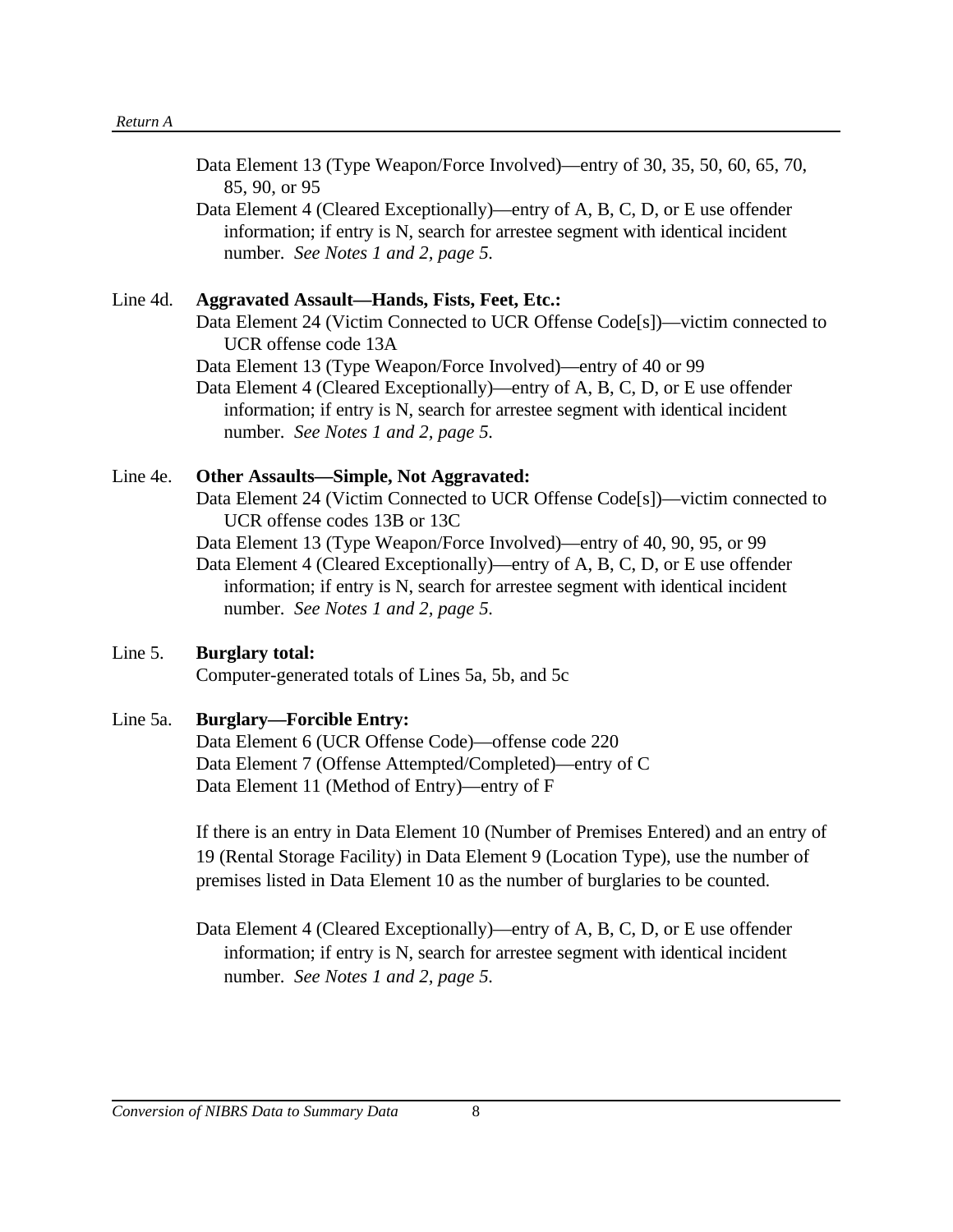| Data Element 13 (Type Weapon/Force Involved)—entry of 30, 35, 50, 60, 65, 70,   |
|---------------------------------------------------------------------------------|
| 85, 90, or 95                                                                   |
| Data Element 4 (Cleared Exceptionally)—entry of A, B, C, D, or E use offender   |
| information; if entry is N, search for arrestee segment with identical incident |
| number. See Notes 1 and 2, page 5.                                              |

#### Line 4d. **Aggravated Assault—Hands, Fists, Feet, Etc.:**

Data Element 24 (Victim Connected to UCR Offense Code[s])—victim connected to UCR offense code 13A

Data Element 13 (Type Weapon/Force Involved)—entry of 40 or 99

Data Element 4 (Cleared Exceptionally)—entry of A, B, C, D, or E use offender information; if entry is N, search for arrestee segment with identical incident number. *See Notes 1 and 2, page 5.*

#### Line 4e. **Other Assaults—Simple, Not Aggravated:**

Data Element 24 (Victim Connected to UCR Offense Code[s])—victim connected to UCR offense codes 13B or 13C

Data Element 13 (Type Weapon/Force Involved)—entry of 40, 90, 95, or 99

Data Element 4 (Cleared Exceptionally)—entry of A, B, C, D, or E use offender information; if entry is N, search for arrestee segment with identical incident number. *See Notes 1 and 2, page 5.*

### Line 5. **Burglary total:**

Computer-generated totals of Lines 5a, 5b, and 5c

### Line 5a. **Burglary—Forcible Entry:**

Data Element 6 (UCR Offense Code)—offense code 220 Data Element 7 (Offense Attempted/Completed)—entry of C Data Element 11 (Method of Entry)—entry of F

If there is an entry in Data Element 10 (Number of Premises Entered) and an entry of 19 (Rental Storage Facility) in Data Element 9 (Location Type), use the number of premises listed in Data Element 10 as the number of burglaries to be counted.

Data Element 4 (Cleared Exceptionally)—entry of A, B, C, D, or E use offender information; if entry is N, search for arrestee segment with identical incident number. *See Notes 1 and 2, page 5.*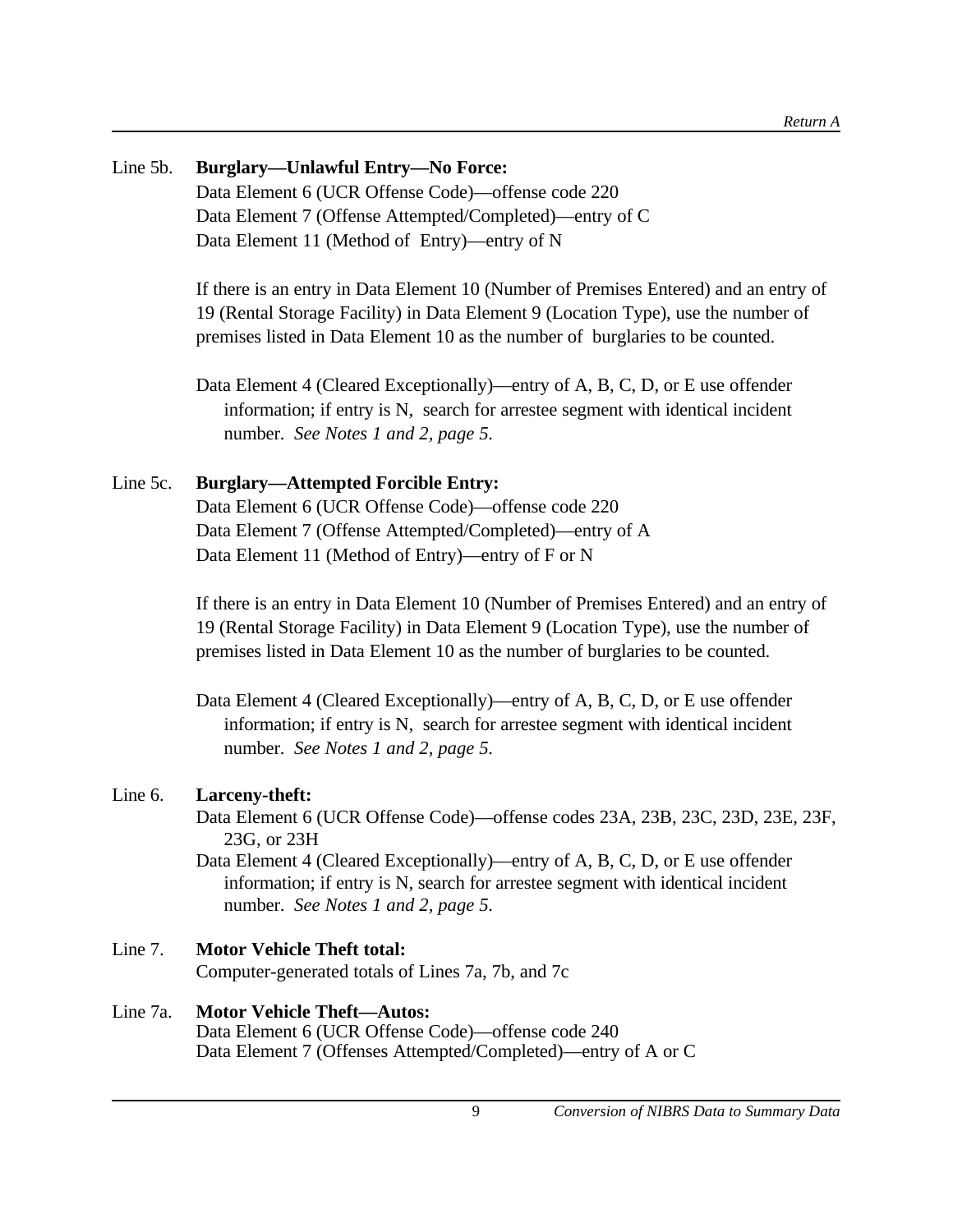# Line 5b. **Burglary—Unlawful Entry—No Force:** Data Element 6 (UCR Offense Code)—offense code 220 Data Element 7 (Offense Attempted/Completed)—entry of C Data Element 11 (Method of Entry)—entry of N

If there is an entry in Data Element 10 (Number of Premises Entered) and an entry of 19 (Rental Storage Facility) in Data Element 9 (Location Type), use the number of premises listed in Data Element 10 as the number of burglaries to be counted.

Data Element 4 (Cleared Exceptionally)—entry of A, B, C, D, or E use offender information; if entry is N, search for arrestee segment with identical incident number. *See Notes 1 and 2, page 5.*

# Line 5c. **Burglary—Attempted Forcible Entry:**

Data Element 6 (UCR Offense Code)—offense code 220 Data Element 7 (Offense Attempted/Completed)—entry of A Data Element 11 (Method of Entry)—entry of F or N

If there is an entry in Data Element 10 (Number of Premises Entered) and an entry of 19 (Rental Storage Facility) in Data Element 9 (Location Type), use the number of premises listed in Data Element 10 as the number of burglaries to be counted.

# Line 6. **Larceny-theft:**

Data Element 6 (UCR Offense Code)—offense codes 23A, 23B, 23C, 23D, 23E, 23F, 23G, or 23H

Data Element 4 (Cleared Exceptionally)—entry of A, B, C, D, or E use offender information; if entry is N, search for arrestee segment with identical incident number. *See Notes 1 and 2, page 5.*

# Line 7. **Motor Vehicle Theft total:**

Computer-generated totals of Lines 7a, 7b, and 7c

# Line 7a. **Motor Vehicle Theft—Autos:**

Data Element 6 (UCR Offense Code)—offense code 240 Data Element 7 (Offenses Attempted/Completed)—entry of A or C

Data Element 4 (Cleared Exceptionally)—entry of A, B, C, D, or E use offender information; if entry is N, search for arrestee segment with identical incident number. *See Notes 1 and 2, page 5.*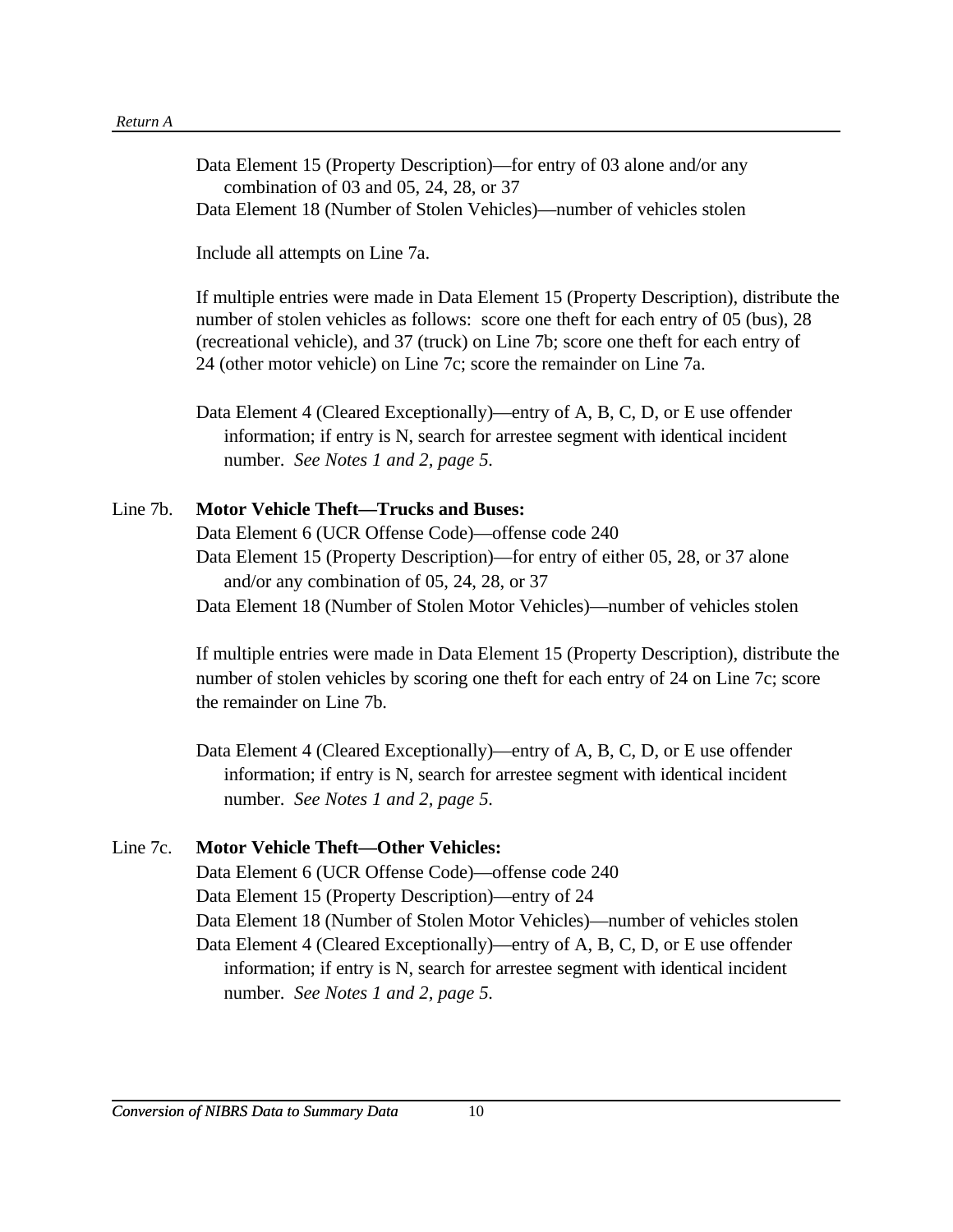Data Element 15 (Property Description)—for entry of 03 alone and/or any combination of 03 and 05, 24, 28, or 37 Data Element 18 (Number of Stolen Vehicles)—number of vehicles stolen

Include all attempts on Line 7a.

If multiple entries were made in Data Element 15 (Property Description), distribute the number of stolen vehicles as follows: score one theft for each entry of 05 (bus), 28 (recreational vehicle), and 37 (truck) on Line 7b; score one theft for each entry of 24 (other motor vehicle) on Line 7c; score the remainder on Line 7a.

Data Element 4 (Cleared Exceptionally)—entry of A, B, C, D, or E use offender information; if entry is N, search for arrestee segment with identical incident number. *See Notes 1 and 2, page 5.*

#### Line 7b. **Motor Vehicle Theft—Trucks and Buses:**

Data Element 6 (UCR Offense Code)—offense code 240 Data Element 15 (Property Description)—for entry of either 05, 28, or 37 alone and/or any combination of 05, 24, 28, or 37 Data Element 18 (Number of Stolen Motor Vehicles)—number of vehicles stolen

If multiple entries were made in Data Element 15 (Property Description), distribute the number of stolen vehicles by scoring one theft for each entry of 24 on Line 7c; score the remainder on Line 7b.

Data Element 4 (Cleared Exceptionally)—entry of A, B, C, D, or E use offender information; if entry is N, search for arrestee segment with identical incident number. *See Notes 1 and 2, page 5.*

#### Line 7c. **Motor Vehicle Theft—Other Vehicles:**

Data Element 6 (UCR Offense Code)—offense code 240

Data Element 15 (Property Description)—entry of 24

Data Element 18 (Number of Stolen Motor Vehicles)—number of vehicles stolen Data Element 4 (Cleared Exceptionally)—entry of A, B, C, D, or E use offender

information; if entry is N, search for arrestee segment with identical incident number. *See Notes 1 and 2, page 5.*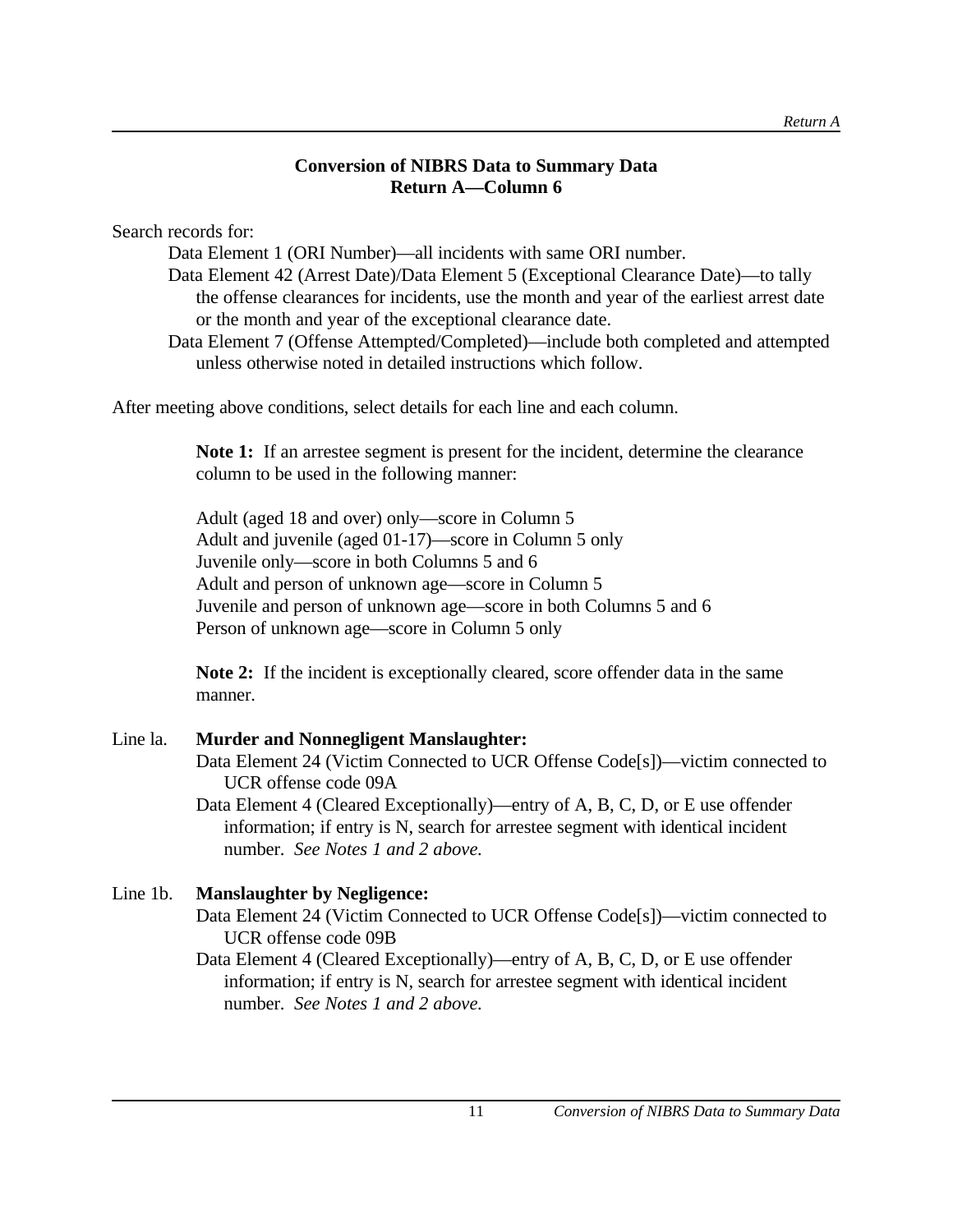# **Conversion of NIBRS Data to Summary Data Return A—Column 6**

Search records for:

Data Element 1 (ORI Number)—all incidents with same ORI number.

Data Element 42 (Arrest Date)/Data Element 5 (Exceptional Clearance Date)—to tally the offense clearances for incidents, use the month and year of the earliest arrest date or the month and year of the exceptional clearance date.

Data Element 7 (Offense Attempted/Completed)—include both completed and attempted unless otherwise noted in detailed instructions which follow.

After meeting above conditions, select details for each line and each column.

**Note 1:** If an arrestee segment is present for the incident, determine the clearance column to be used in the following manner:

Adult (aged 18 and over) only—score in Column 5 Adult and juvenile (aged 01-17)—score in Column 5 only Juvenile only—score in both Columns 5 and 6 Adult and person of unknown age—score in Column 5 Juvenile and person of unknown age—score in both Columns 5 and 6 Person of unknown age—score in Column 5 only

**Note 2:** If the incident is exceptionally cleared, score offender data in the same manner.

### Line la. **Murder and Nonnegligent Manslaughter:** Data Element 24 (Victim Connected to UCR Offense Code[s])—victim connected to UCR offense code 09A Data Element 4 (Cleared Exceptionally)—entry of A, B, C, D, or E use offender

information; if entry is N, search for arrestee segment with identical incident number. *See Notes 1 and 2 above.*

# Line 1b. **Manslaughter by Negligence:**

Data Element 24 (Victim Connected to UCR Offense Code[s])—victim connected to UCR offense code 09B

Data Element 4 (Cleared Exceptionally)—entry of A, B, C, D, or E use offender information; if entry is N, search for arrestee segment with identical incident number. *See Notes 1 and 2 above.*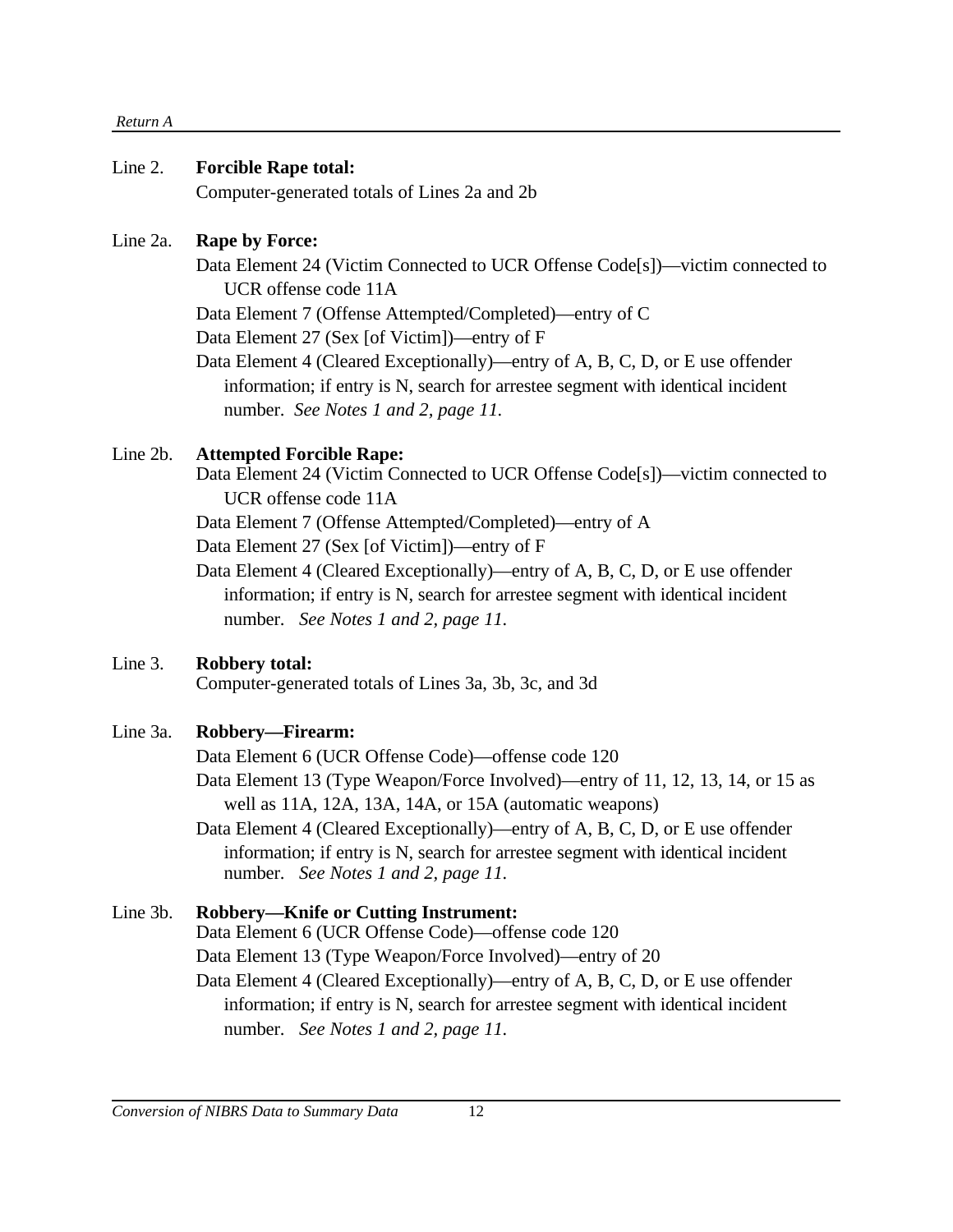#### *Return A*

#### Line 2. **Forcible Rape total:**

Computer-generated totals of Lines 2a and 2b

#### Line 2a. **Rape by Force:**

Data Element 24 (Victim Connected to UCR Offense Code[s])—victim connected to UCR offense code 11A

Data Element 7 (Offense Attempted/Completed)—entry of C

Data Element 27 (Sex [of Victim])—entry of F

Data Element 4 (Cleared Exceptionally)—entry of A, B, C, D, or E use offender information; if entry is N, search for arrestee segment with identical incident number. *See Notes 1 and 2, page 11.*

### Line 2b. **Attempted Forcible Rape:**

Data Element 24 (Victim Connected to UCR Offense Code[s])—victim connected to UCR offense code 11A

Data Element 7 (Offense Attempted/Completed)—entry of A

Data Element 27 (Sex [of Victim])—entry of F

Data Element 4 (Cleared Exceptionally)—entry of A, B, C, D, or E use offender information; if entry is N, search for arrestee segment with identical incident number. *See Notes 1 and 2, page 11.*

# Line 3. **Robbery total:**

Computer-generated totals of Lines 3a, 3b, 3c, and 3d

# Line 3a. **Robbery—Firearm:**

Data Element 6 (UCR Offense Code)—offense code 120

Data Element 13 (Type Weapon/Force Involved)—entry of 11, 12, 13, 14, or 15 as well as 11A, 12A, 13A, 14A, or 15A (automatic weapons)

Data Element 4 (Cleared Exceptionally)—entry of A, B, C, D, or E use offender information; if entry is N, search for arrestee segment with identical incident number. *See Notes 1 and 2, page 11.*

# Line 3b. **Robbery—Knife or Cutting Instrument:**

Data Element 6 (UCR Offense Code)—offense code 120

Data Element 13 (Type Weapon/Force Involved)—entry of 20

Data Element 4 (Cleared Exceptionally)—entry of A, B, C, D, or E use offender information; if entry is N, search for arrestee segment with identical incident number. *See Notes 1 and 2, page 11.*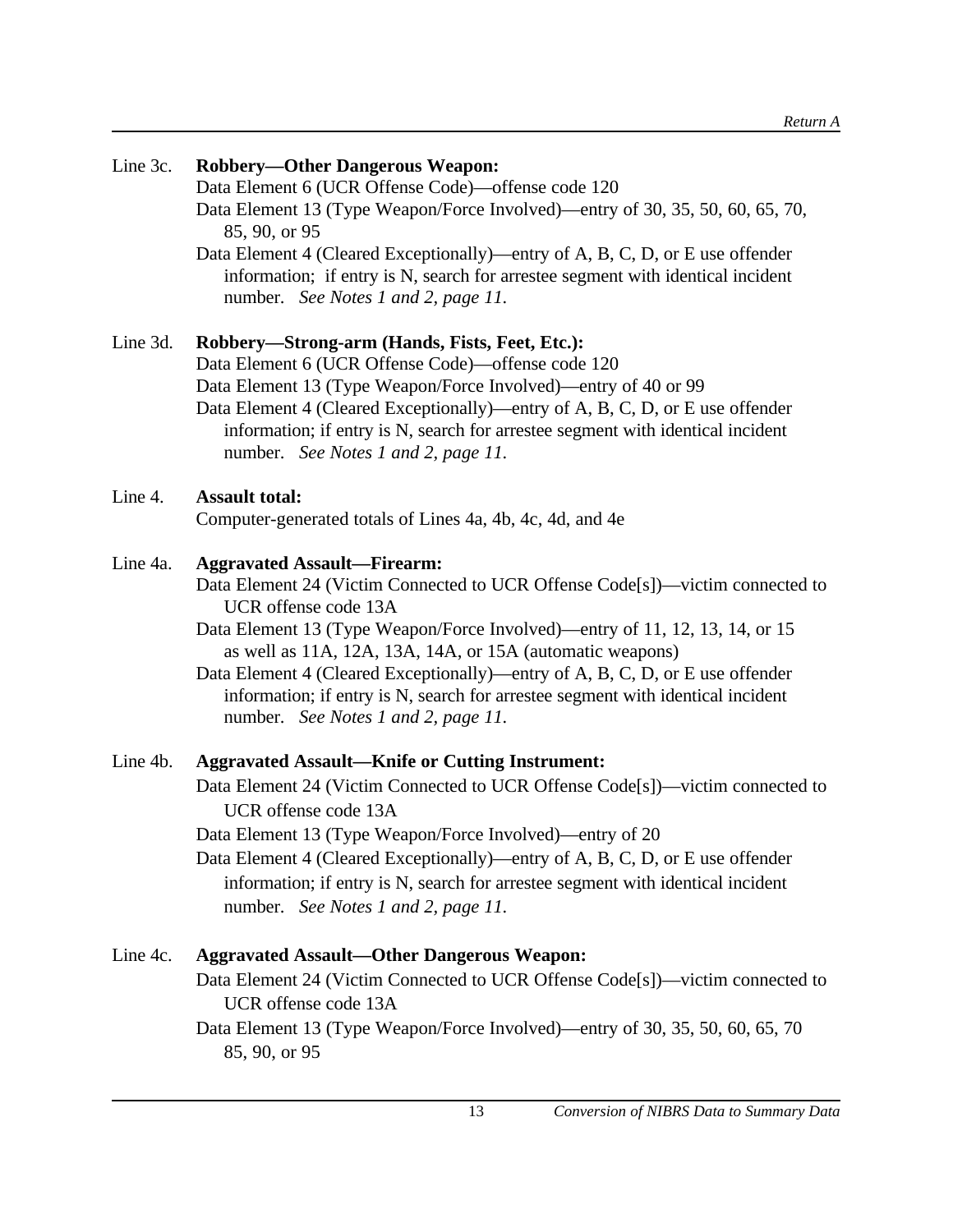| Line 3c. | <b>Robbery-Other Dangerous Weapon:</b><br>Data Element 6 (UCR Offense Code)—offense code 120<br>Data Element 13 (Type Weapon/Force Involved)—entry of 30, 35, 50, 60, 65, 70,<br>85, 90, or 95<br>Data Element 4 (Cleared Exceptionally)—entry of A, B, C, D, or E use offender<br>information; if entry is N, search for arrestee segment with identical incident<br>number. See Notes 1 and 2, page 11.                                                                                          |
|----------|----------------------------------------------------------------------------------------------------------------------------------------------------------------------------------------------------------------------------------------------------------------------------------------------------------------------------------------------------------------------------------------------------------------------------------------------------------------------------------------------------|
| Line 3d. | Robbery-Strong-arm (Hands, Fists, Feet, Etc.):<br>Data Element 6 (UCR Offense Code)—offense code 120<br>Data Element 13 (Type Weapon/Force Involved)—entry of 40 or 99<br>Data Element 4 (Cleared Exceptionally)—entry of A, B, C, D, or E use offender<br>information; if entry is N, search for arrestee segment with identical incident<br>number. See Notes 1 and 2, page 11.                                                                                                                  |
| Line 4.  | <b>Assault total:</b><br>Computer-generated totals of Lines 4a, 4b, 4c, 4d, and 4e                                                                                                                                                                                                                                                                                                                                                                                                                 |
| Line 4a. | <b>Aggravated Assault-Firearm:</b><br>Data Element 24 (Victim Connected to UCR Offense Code[s])—victim connected to<br>UCR offense code 13A<br>Data Element 13 (Type Weapon/Force Involved)—entry of 11, 12, 13, 14, or 15<br>as well as 11A, 12A, 13A, 14A, or 15A (automatic weapons)<br>Data Element 4 (Cleared Exceptionally)—entry of A, B, C, D, or E use offender<br>information; if entry is N, search for arrestee segment with identical incident<br>number. See Notes 1 and 2, page 11. |
| Line 4b. | <b>Aggravated Assault-Knife or Cutting Instrument:</b><br>Data Element 24 (Victim Connected to UCR Offense Code[s])—victim connected to<br>UCR offense code 13A<br>Data Element 13 (Type Weapon/Force Involved)—entry of 20<br>Data Element 4 (Cleared Exceptionally)—entry of A, B, C, D, or E use offender<br>information; if entry is N, search for arrestee segment with identical incident<br>number. See Notes 1 and 2, page 11.                                                             |

# Line 4c. **Aggravated Assault—Other Dangerous Weapon:**

Data Element 24 (Victim Connected to UCR Offense Code[s])—victim connected to UCR offense code 13A

Data Element 13 (Type Weapon/Force Involved)—entry of 30, 35, 50, 60, 65, 70 85, 90, or 95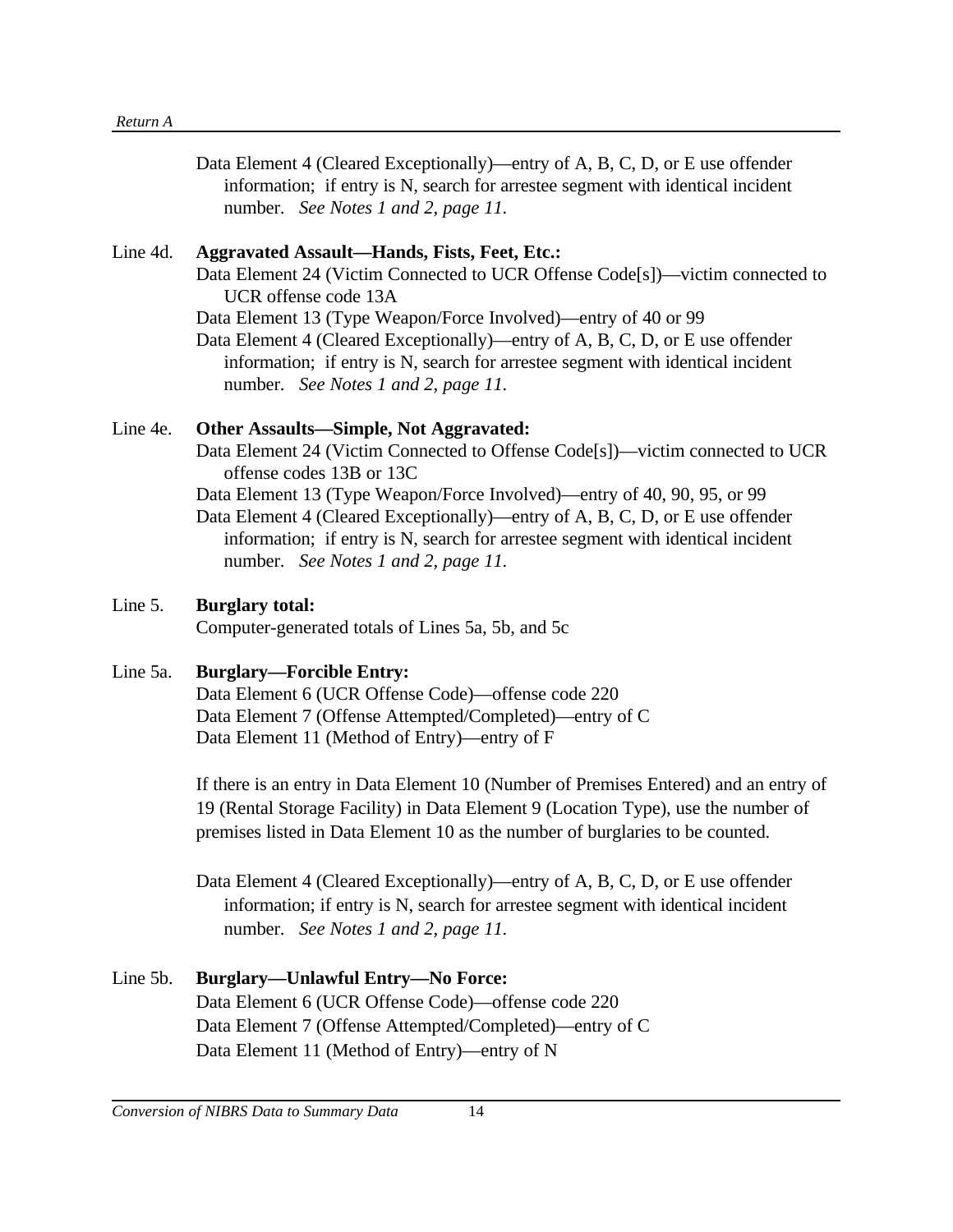Data Element 4 (Cleared Exceptionally)—entry of A, B, C, D, or E use offender information; if entry is N, search for arrestee segment with identical incident number. *See Notes 1 and 2, page 11.*

#### Line 4d. **Aggravated Assault—Hands, Fists, Feet, Etc.:**

Data Element 24 (Victim Connected to UCR Offense Code[s])—victim connected to UCR offense code 13A

Data Element 13 (Type Weapon/Force Involved)—entry of 40 or 99

Data Element 4 (Cleared Exceptionally)—entry of A, B, C, D, or E use offender information; if entry is N, search for arrestee segment with identical incident number. *See Notes 1 and 2, page 11.*

#### Line 4e. **Other Assaults—Simple, Not Aggravated:**

Data Element 24 (Victim Connected to Offense Code[s])—victim connected to UCR offense codes 13B or 13C

Data Element 13 (Type Weapon/Force Involved)—entry of 40, 90, 95, or 99

Data Element 4 (Cleared Exceptionally)—entry of A, B, C, D, or E use offender information; if entry is N, search for arrestee segment with identical incident number. *See Notes 1 and 2, page 11.*

#### Line 5. **Burglary total:**

Computer-generated totals of Lines 5a, 5b, and 5c

#### Line 5a. **Burglary—Forcible Entry:**

Data Element 6 (UCR Offense Code)—offense code 220 Data Element 7 (Offense Attempted/Completed)—entry of C Data Element 11 (Method of Entry)—entry of F

If there is an entry in Data Element 10 (Number of Premises Entered) and an entry of 19 (Rental Storage Facility) in Data Element 9 (Location Type), use the number of premises listed in Data Element 10 as the number of burglaries to be counted.

Data Element 4 (Cleared Exceptionally)—entry of A, B, C, D, or E use offender information; if entry is N, search for arrestee segment with identical incident number. *See Notes 1 and 2, page 11.*

# Line 5b. **Burglary—Unlawful Entry—No Force:** Data Element 6 (UCR Offense Code)—offense code 220 Data Element 7 (Offense Attempted/Completed)—entry of C Data Element 11 (Method of Entry)—entry of N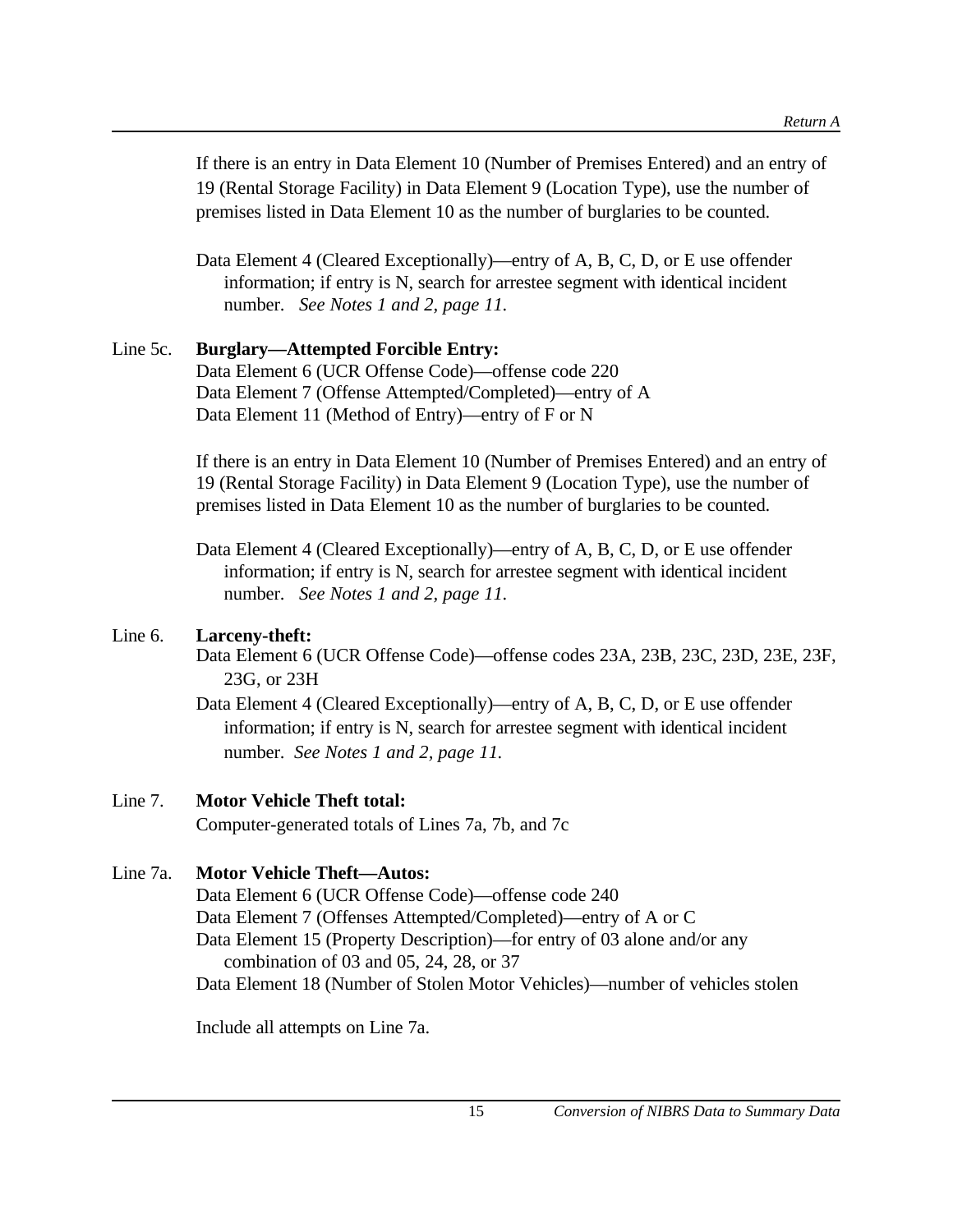If there is an entry in Data Element 10 (Number of Premises Entered) and an entry of 19 (Rental Storage Facility) in Data Element 9 (Location Type), use the number of premises listed in Data Element 10 as the number of burglaries to be counted.

Data Element 4 (Cleared Exceptionally)—entry of A, B, C, D, or E use offender information; if entry is N, search for arrestee segment with identical incident number. *See Notes 1 and 2, page 11.*

# Line 5c. **Burglary—Attempted Forcible Entry:**

Data Element 6 (UCR Offense Code)—offense code 220 Data Element 7 (Offense Attempted/Completed)—entry of A Data Element 11 (Method of Entry)—entry of F or N

If there is an entry in Data Element 10 (Number of Premises Entered) and an entry of 19 (Rental Storage Facility) in Data Element 9 (Location Type), use the number of premises listed in Data Element 10 as the number of burglaries to be counted.

Data Element 4 (Cleared Exceptionally)—entry of A, B, C, D, or E use offender information; if entry is N, search for arrestee segment with identical incident number. *See Notes 1 and 2, page 11.*

# Line 6. **Larceny-theft:**

Data Element 6 (UCR Offense Code)—offense codes 23A, 23B, 23C, 23D, 23E, 23F, 23G, or 23H

Data Element 4 (Cleared Exceptionally)—entry of A, B, C, D, or E use offender information; if entry is N, search for arrestee segment with identical incident number. *See Notes 1 and 2, page 11.*

# Line 7. **Motor Vehicle Theft total:**

Computer-generated totals of Lines 7a, 7b, and 7c

# Line 7a. **Motor Vehicle Theft—Autos:**

Data Element 6 (UCR Offense Code)—offense code 240 Data Element 7 (Offenses Attempted/Completed)—entry of A or C Data Element 15 (Property Description)—for entry of 03 alone and/or any combination of 03 and 05, 24, 28, or 37 Data Element 18 (Number of Stolen Motor Vehicles)—number of vehicles stolen

Include all attempts on Line 7a.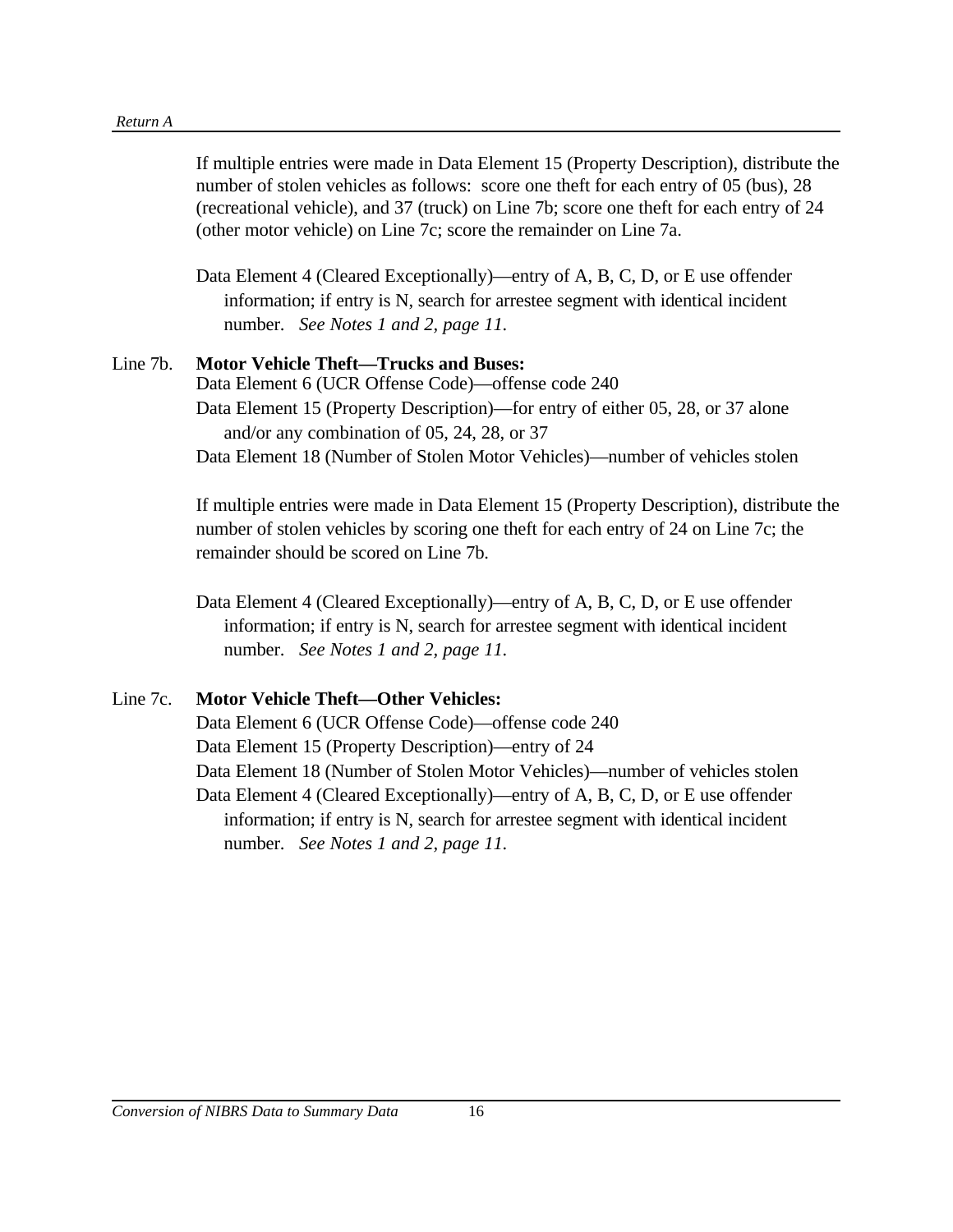#### *Return A*

If multiple entries were made in Data Element 15 (Property Description), distribute the number of stolen vehicles as follows: score one theft for each entry of 05 (bus), 28 (recreational vehicle), and 37 (truck) on Line 7b; score one theft for each entry of 24 (other motor vehicle) on Line 7c; score the remainder on Line 7a.

Data Element 4 (Cleared Exceptionally)—entry of A, B, C, D, or E use offender information; if entry is N, search for arrestee segment with identical incident number. *See Notes 1 and 2, page 11.*

#### Line 7b. **Motor Vehicle Theft—Trucks and Buses:**

Data Element 6 (UCR Offense Code)—offense code 240 Data Element 15 (Property Description)—for entry of either 05, 28, or 37 alone and/or any combination of 05, 24, 28, or 37 Data Element 18 (Number of Stolen Motor Vehicles)—number of vehicles stolen

If multiple entries were made in Data Element 15 (Property Description), distribute the number of stolen vehicles by scoring one theft for each entry of 24 on Line 7c; the remainder should be scored on Line 7b.

Data Element 4 (Cleared Exceptionally)—entry of A, B, C, D, or E use offender information; if entry is N, search for arrestee segment with identical incident number. *See Notes 1 and 2, page 11.*

#### Line 7c. **Motor Vehicle Theft—Other Vehicles:**

Data Element 6 (UCR Offense Code)—offense code 240 Data Element 15 (Property Description)—entry of 24 Data Element 18 (Number of Stolen Motor Vehicles)—number of vehicles stolen Data Element 4 (Cleared Exceptionally)—entry of A, B, C, D, or E use offender information; if entry is N, search for arrestee segment with identical incident number. *See Notes 1 and 2, page 11.*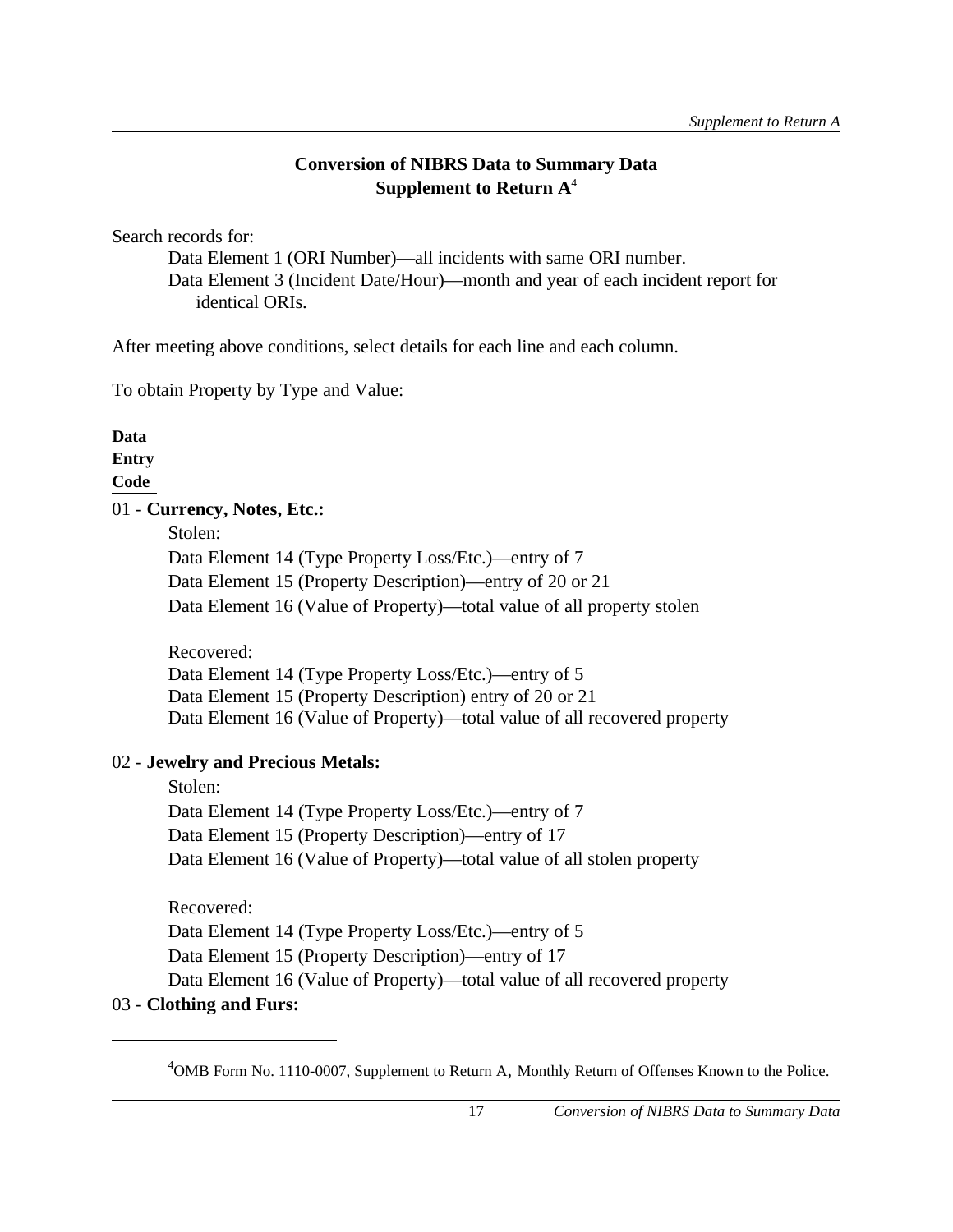# **Conversion of NIBRS Data to Summary Data Supplement to Return A**<sup>4</sup>

Search records for:

Data Element 1 (ORI Number)—all incidents with same ORI number. Data Element 3 (Incident Date/Hour)—month and year of each incident report for identical ORIs.

After meeting above conditions, select details for each line and each column.

To obtain Property by Type and Value:

**Data**

**Entry** 

**Code**

# 01 - **Currency, Notes, Etc.:**

Stolen:

Data Element 14 (Type Property Loss/Etc.)—entry of 7 Data Element 15 (Property Description)—entry of 20 or 21 Data Element 16 (Value of Property)—total value of all property stolen

Recovered: Data Element 14 (Type Property Loss/Etc.)—entry of 5 Data Element 15 (Property Description) entry of 20 or 21 Data Element 16 (Value of Property)—total value of all recovered property

# 02 - **Jewelry and Precious Metals:**

Stolen: Data Element 14 (Type Property Loss/Etc.)—entry of 7 Data Element 15 (Property Description)—entry of 17 Data Element 16 (Value of Property)—total value of all stolen property

Recovered:

Data Element 14 (Type Property Loss/Etc.)—entry of 5

Data Element 15 (Property Description)—entry of 17

Data Element 16 (Value of Property)—total value of all recovered property

# 03 - **Clothing and Furs:**

<sup>&</sup>lt;sup>4</sup>OMB Form No. 1110-0007, Supplement to Return A, Monthly Return of Offenses Known to the Police.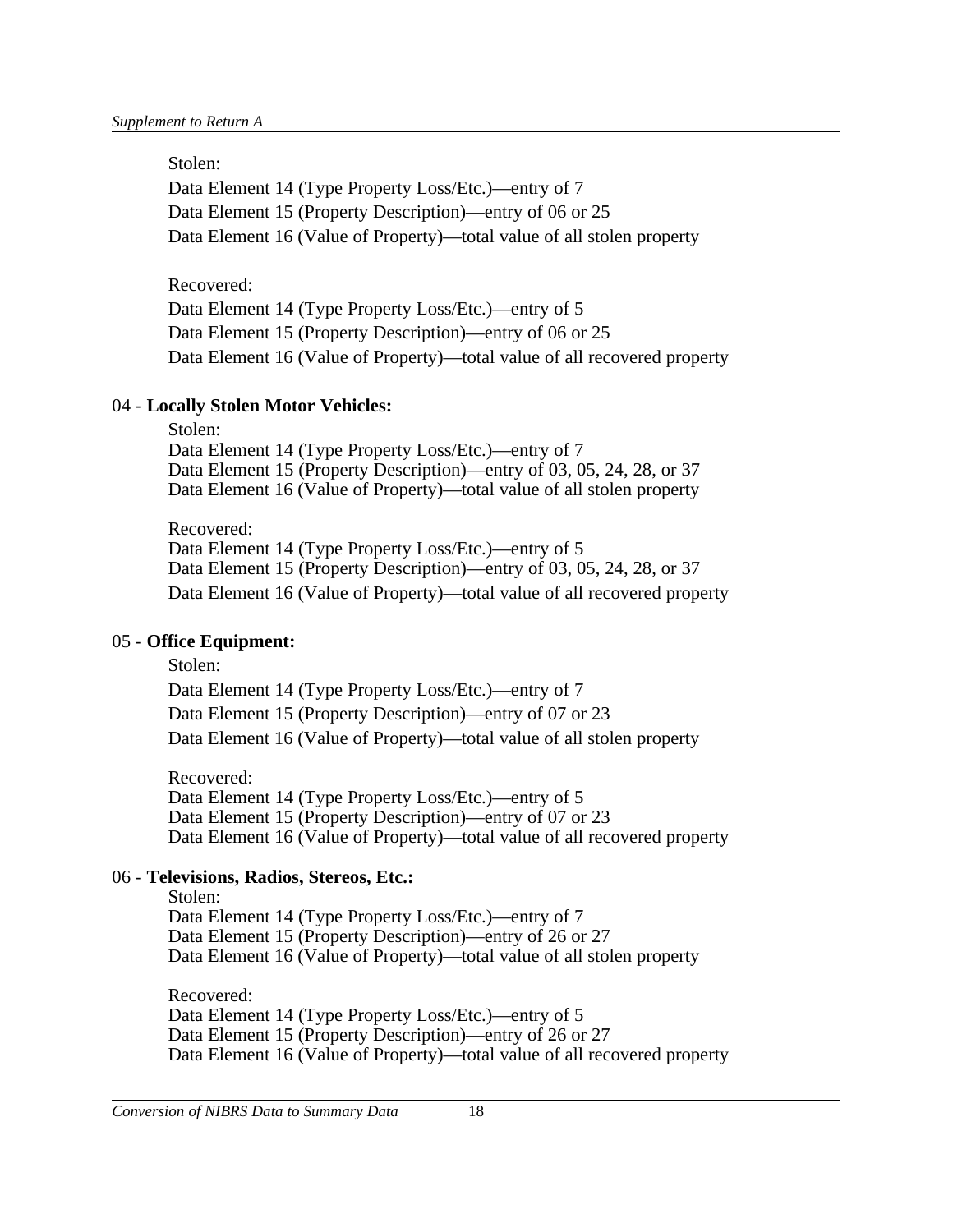#### Stolen:

Data Element 14 (Type Property Loss/Etc.)—entry of 7 Data Element 15 (Property Description)—entry of 06 or 25 Data Element 16 (Value of Property)—total value of all stolen property

Recovered:

Data Element 14 (Type Property Loss/Etc.)—entry of 5 Data Element 15 (Property Description)—entry of 06 or 25 Data Element 16 (Value of Property)—total value of all recovered property

### 04 - **Locally Stolen Motor Vehicles:**

Stolen: Data Element 14 (Type Property Loss/Etc.)—entry of 7 Data Element 15 (Property Description)—entry of 03, 05, 24, 28, or 37 Data Element 16 (Value of Property)—total value of all stolen property

Recovered: Data Element 14 (Type Property Loss/Etc.)—entry of 5 Data Element 15 (Property Description)—entry of 03, 05, 24, 28, or 37 Data Element 16 (Value of Property)—total value of all recovered property

### 05 - **Office Equipment:**

 Stolen: Data Element 14 (Type Property Loss/Etc.)—entry of 7 Data Element 15 (Property Description)—entry of 07 or 23 Data Element 16 (Value of Property)—total value of all stolen property

Recovered: Data Element 14 (Type Property Loss/Etc.)—entry of 5 Data Element 15 (Property Description)—entry of 07 or 23 Data Element 16 (Value of Property)—total value of all recovered property

### 06 - **Televisions, Radios, Stereos, Etc.:**

 Stolen: Data Element 14 (Type Property Loss/Etc.)—entry of 7 Data Element 15 (Property Description)—entry of 26 or 27 Data Element 16 (Value of Property)—total value of all stolen property

Recovered: Data Element 14 (Type Property Loss/Etc.)—entry of 5 Data Element 15 (Property Description)—entry of 26 or 27 Data Element 16 (Value of Property)—total value of all recovered property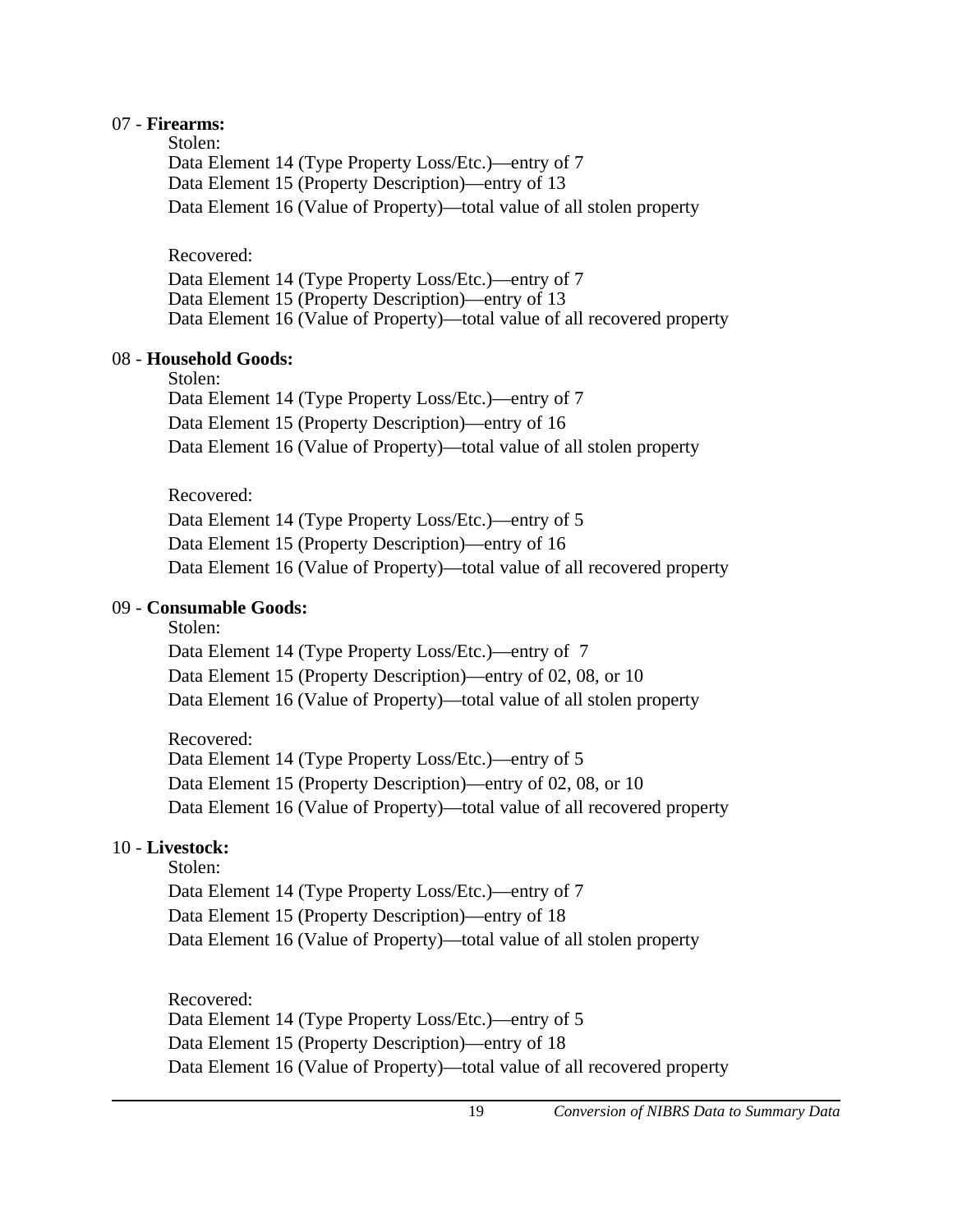#### 07 - **Firearms:**

Stolen:

Data Element 14 (Type Property Loss/Etc.)—entry of 7 Data Element 15 (Property Description)—entry of 13 Data Element 16 (Value of Property)—total value of all stolen property

Recovered:

Data Element 14 (Type Property Loss/Etc.)—entry of 7 Data Element 15 (Property Description)—entry of 13 Data Element 16 (Value of Property)—total value of all recovered property

### 08 - **Household Goods:**

Stolen:

Data Element 14 (Type Property Loss/Etc.)—entry of 7 Data Element 15 (Property Description)—entry of 16 Data Element 16 (Value of Property)—total value of all stolen property

Recovered:

Data Element 14 (Type Property Loss/Etc.)—entry of 5 Data Element 15 (Property Description)—entry of 16 Data Element 16 (Value of Property)—total value of all recovered property

# 09 - **Consumable Goods:**

Stolen:

Data Element 14 (Type Property Loss/Etc.)—entry of 7 Data Element 15 (Property Description)—entry of 02, 08, or 10 Data Element 16 (Value of Property)—total value of all stolen property

Recovered: Data Element 14 (Type Property Loss/Etc.)—entry of 5 Data Element 15 (Property Description)—entry of 02, 08, or 10 Data Element 16 (Value of Property)—total value of all recovered property

# 10 - **Livestock:**

Stolen: Data Element 14 (Type Property Loss/Etc.)—entry of 7 Data Element 15 (Property Description)—entry of 18 Data Element 16 (Value of Property)—total value of all stolen property

Recovered: Data Element 14 (Type Property Loss/Etc.)—entry of 5 Data Element 15 (Property Description)—entry of 18 Data Element 16 (Value of Property)—total value of all recovered property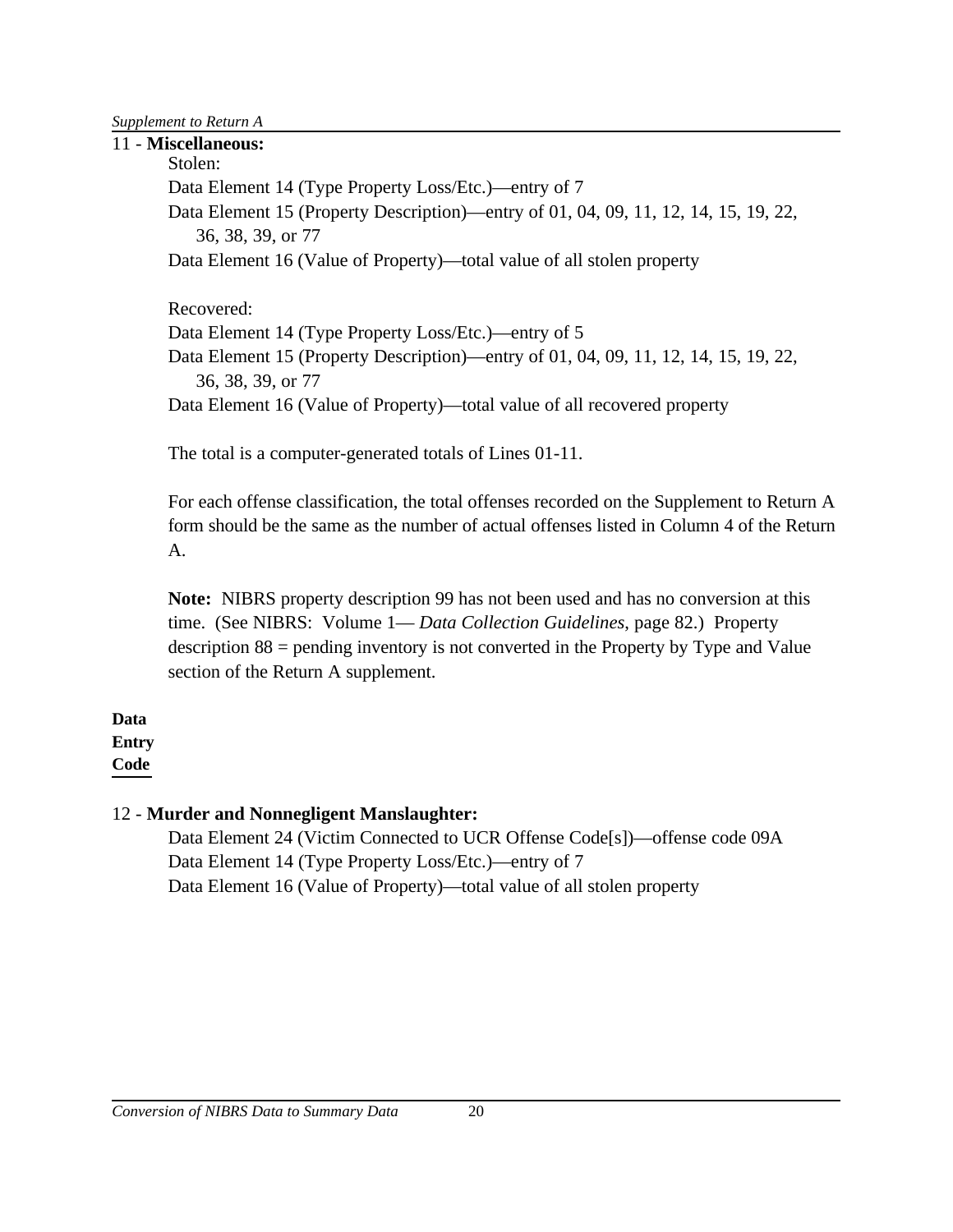*Supplement to Return A*

11 - **Miscellaneous:** Stolen: Data Element 14 (Type Property Loss/Etc.)—entry of 7 Data Element 15 (Property Description)—entry of 01, 04, 09, 11, 12, 14, 15, 19, 22, 36, 38, 39, or 77 Data Element 16 (Value of Property)—total value of all stolen property Recovered: Data Element 14 (Type Property Loss/Etc.)—entry of 5 Data Element 15 (Property Description)—entry of 01, 04, 09, 11, 12, 14, 15, 19, 22, 36, 38, 39, or 77 Data Element 16 (Value of Property)—total value of all recovered property The total is a computer-generated totals of Lines 01-11.

For each offense classification, the total offenses recorded on the Supplement to Return A form should be the same as the number of actual offenses listed in Column 4 of the Return A.

**Note:** NIBRS property description 99 has not been used and has no conversion at this time. (See NIBRS: Volume 1— *Data Collection Guidelines*, page 82.) Property description 88 = pending inventory is not converted in the Property by Type and Value section of the Return A supplement.

**Data Entry Code**

# 12 - **Murder and Nonnegligent Manslaughter:**

Data Element 24 (Victim Connected to UCR Offense Code[s])—offense code 09A Data Element 14 (Type Property Loss/Etc.)—entry of 7 Data Element 16 (Value of Property)—total value of all stolen property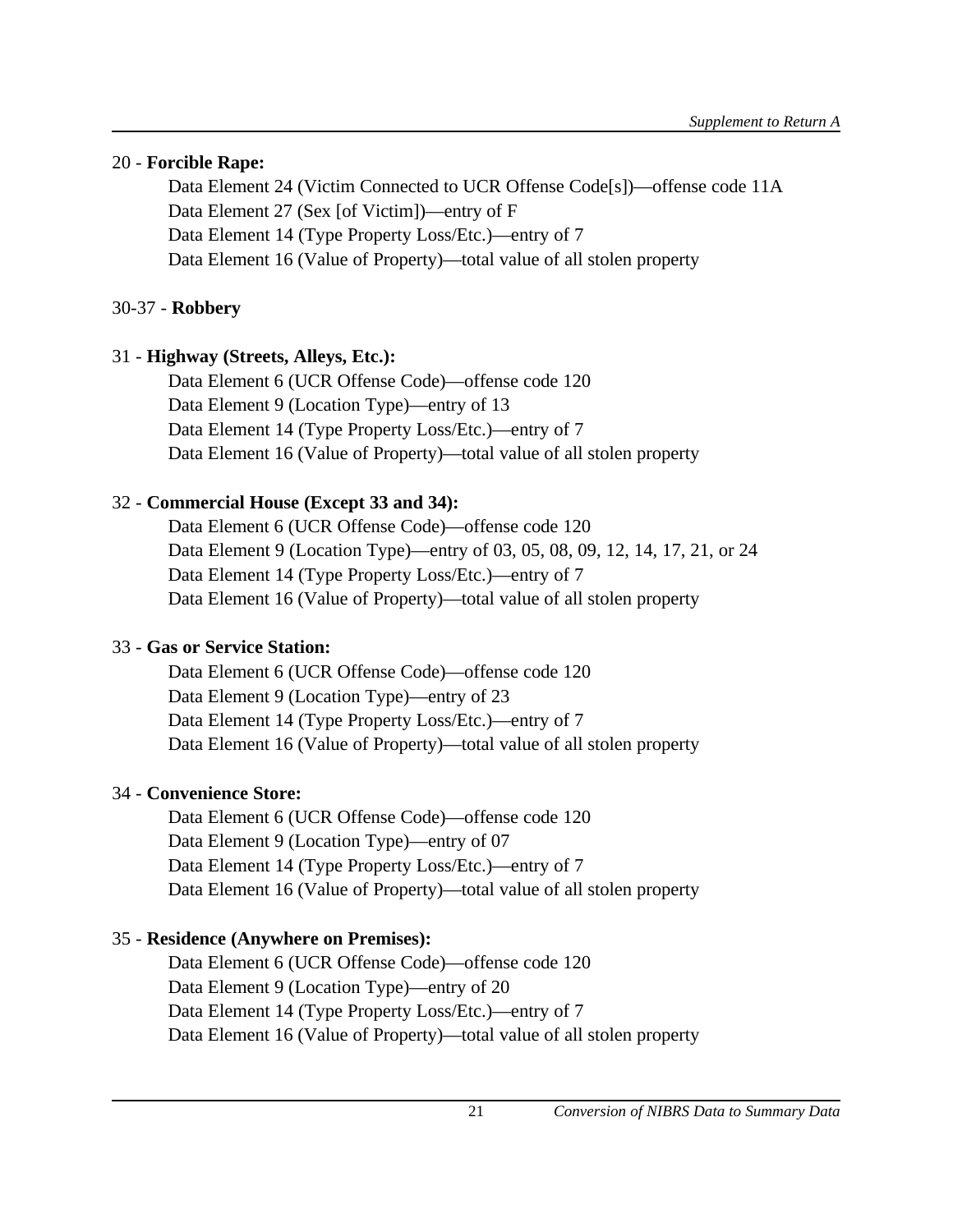# 20 - **Forcible Rape:**

Data Element 24 (Victim Connected to UCR Offense Code[s])—offense code 11A Data Element 27 (Sex [of Victim])—entry of F Data Element 14 (Type Property Loss/Etc.)—entry of 7 Data Element 16 (Value of Property)—total value of all stolen property

# 30-37 - **Robbery**

# 31 - **Highway (Streets, Alleys, Etc.):**

Data Element 6 (UCR Offense Code)—offense code 120 Data Element 9 (Location Type)—entry of 13 Data Element 14 (Type Property Loss/Etc.)—entry of 7 Data Element 16 (Value of Property)—total value of all stolen property

# 32 - **Commercial House (Except 33 and 34):**

Data Element 6 (UCR Offense Code)—offense code 120 Data Element 9 (Location Type)—entry of 03, 05, 08, 09, 12, 14, 17, 21, or 24 Data Element 14 (Type Property Loss/Etc.)—entry of 7 Data Element 16 (Value of Property)—total value of all stolen property

# 33 - **Gas or Service Station:**

Data Element 6 (UCR Offense Code)—offense code 120 Data Element 9 (Location Type)—entry of 23 Data Element 14 (Type Property Loss/Etc.)—entry of 7 Data Element 16 (Value of Property)—total value of all stolen property

# 34 - **Convenience Store:**

Data Element 6 (UCR Offense Code)—offense code 120 Data Element 9 (Location Type)—entry of 07 Data Element 14 (Type Property Loss/Etc.)—entry of 7 Data Element 16 (Value of Property)—total value of all stolen property

# 35 - **Residence (Anywhere on Premises):**

Data Element 6 (UCR Offense Code)—offense code 120 Data Element 9 (Location Type)—entry of 20 Data Element 14 (Type Property Loss/Etc.)—entry of 7 Data Element 16 (Value of Property)—total value of all stolen property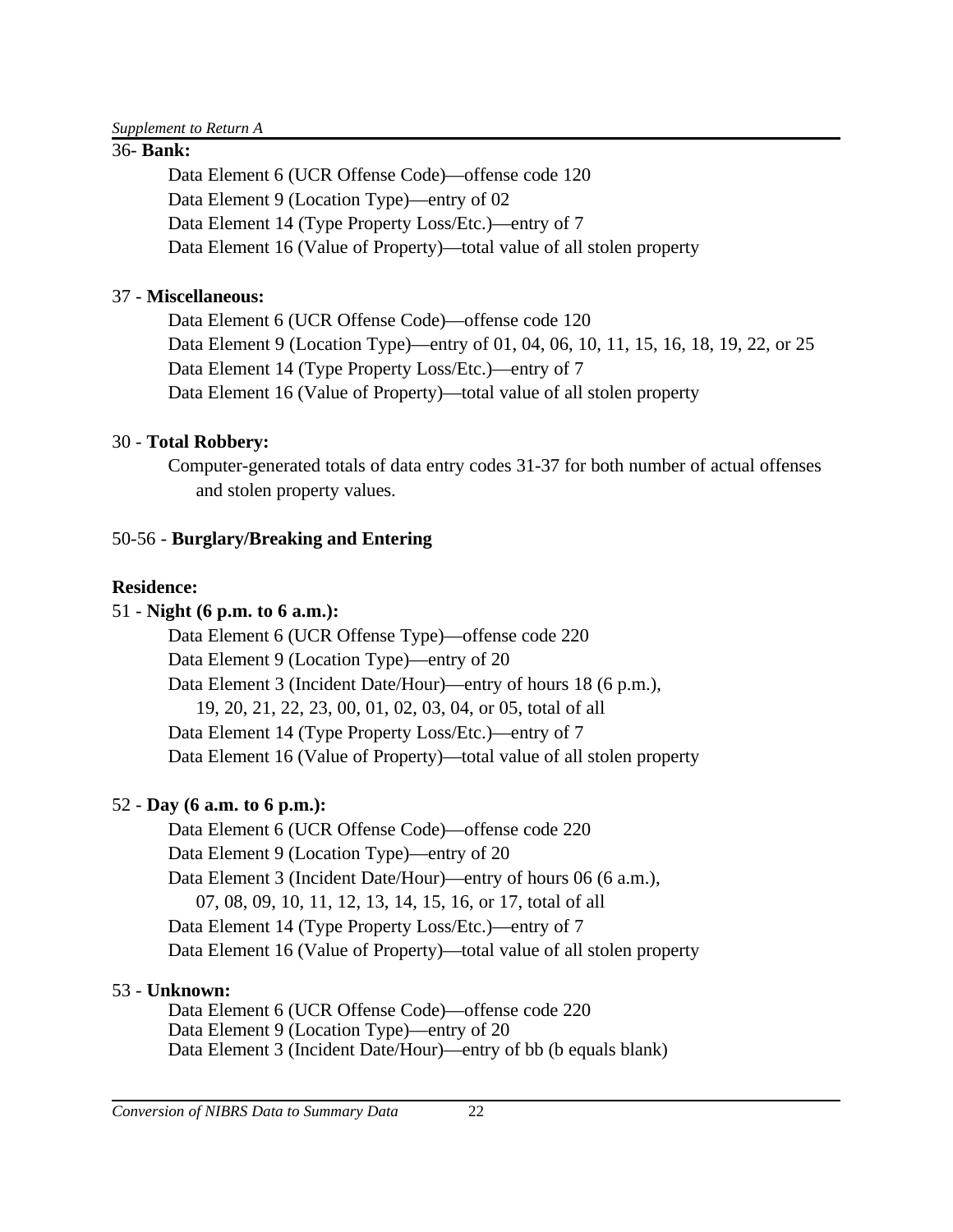# 36- **Bank:**

Data Element 6 (UCR Offense Code)—offense code 120 Data Element 9 (Location Type)—entry of 02 Data Element 14 (Type Property Loss/Etc.)—entry of 7 Data Element 16 (Value of Property)—total value of all stolen property

# 37 - **Miscellaneous:**

Data Element 6 (UCR Offense Code)—offense code 120 Data Element 9 (Location Type)—entry of 01, 04, 06, 10, 11, 15, 16, 18, 19, 22, or 25 Data Element 14 (Type Property Loss/Etc.)—entry of 7 Data Element 16 (Value of Property)—total value of all stolen property

# 30 - **Total Robbery:**

Computer-generated totals of data entry codes 31-37 for both number of actual offenses and stolen property values.

# 50-56 - **Burglary/Breaking and Entering**

# **Residence:**

# 51 - **Night (6 p.m. to 6 a.m.):**

Data Element 6 (UCR Offense Type)—offense code 220 Data Element 9 (Location Type)—entry of 20 Data Element 3 (Incident Date/Hour)—entry of hours 18 (6 p.m.), 19, 20, 21, 22, 23, 00, 01, 02, 03, 04, or 05, total of all Data Element 14 (Type Property Loss/Etc.)—entry of 7 Data Element 16 (Value of Property)—total value of all stolen property

# 52 - **Day (6 a.m. to 6 p.m.):**

Data Element 6 (UCR Offense Code)—offense code 220 Data Element 9 (Location Type)—entry of 20 Data Element 3 (Incident Date/Hour)—entry of hours 06 (6 a.m.), 07, 08, 09, 10, 11, 12, 13, 14, 15, 16, or 17, total of all Data Element 14 (Type Property Loss/Etc.)—entry of 7 Data Element 16 (Value of Property)—total value of all stolen property

# 53 - **Unknown:**

Data Element 6 (UCR Offense Code)—offense code 220 Data Element 9 (Location Type)—entry of 20 Data Element 3 (Incident Date/Hour)—entry of bb (b equals blank)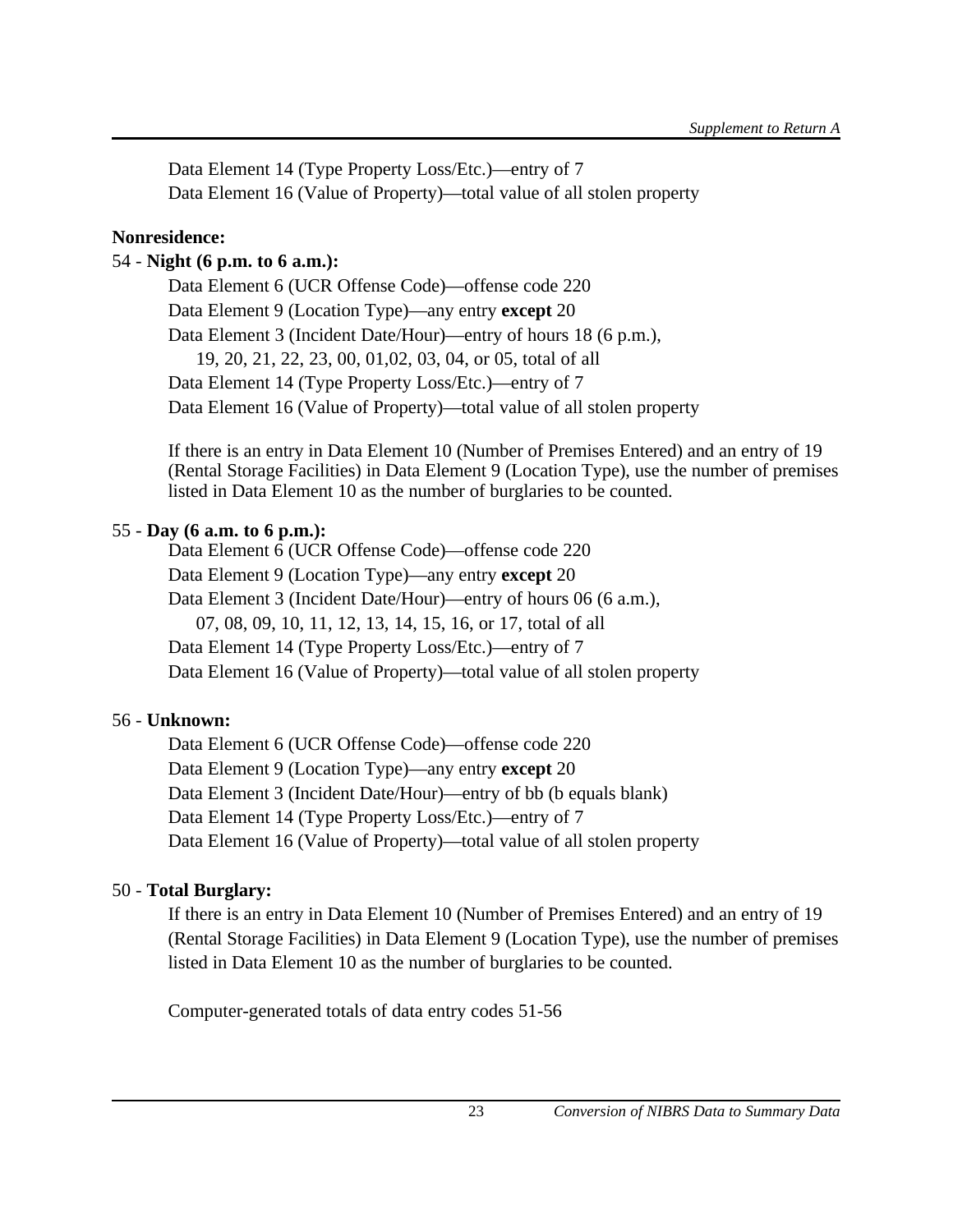Data Element 14 (Type Property Loss/Etc.)—entry of 7 Data Element 16 (Value of Property)—total value of all stolen property

# **Nonresidence:**

# 54 - **Night (6 p.m. to 6 a.m.):**

Data Element 6 (UCR Offense Code)—offense code 220 Data Element 9 (Location Type)—any entry **except** 20 Data Element 3 (Incident Date/Hour)—entry of hours 18 (6 p.m.), 19, 20, 21, 22, 23, 00, 01,02, 03, 04, or 05, total of all Data Element 14 (Type Property Loss/Etc.)—entry of 7 Data Element 16 (Value of Property)—total value of all stolen property

If there is an entry in Data Element 10 (Number of Premises Entered) and an entry of 19 (Rental Storage Facilities) in Data Element 9 (Location Type), use the number of premises listed in Data Element 10 as the number of burglaries to be counted.

# 55 - **Day (6 a.m. to 6 p.m.):**

Data Element 6 (UCR Offense Code)—offense code 220 Data Element 9 (Location Type)—any entry **except** 20 Data Element 3 (Incident Date/Hour)—entry of hours 06 (6 a.m.), 07, 08, 09, 10, 11, 12, 13, 14, 15, 16, or 17, total of all Data Element 14 (Type Property Loss/Etc.)—entry of 7 Data Element 16 (Value of Property)—total value of all stolen property

# 56 - **Unknown:**

Data Element 6 (UCR Offense Code)—offense code 220 Data Element 9 (Location Type)—any entry **except** 20 Data Element 3 (Incident Date/Hour)—entry of bb (b equals blank) Data Element 14 (Type Property Loss/Etc.)—entry of 7 Data Element 16 (Value of Property)—total value of all stolen property

# 50 - **Total Burglary:**

If there is an entry in Data Element 10 (Number of Premises Entered) and an entry of 19 (Rental Storage Facilities) in Data Element 9 (Location Type), use the number of premises listed in Data Element 10 as the number of burglaries to be counted.

Computer-generated totals of data entry codes 51-56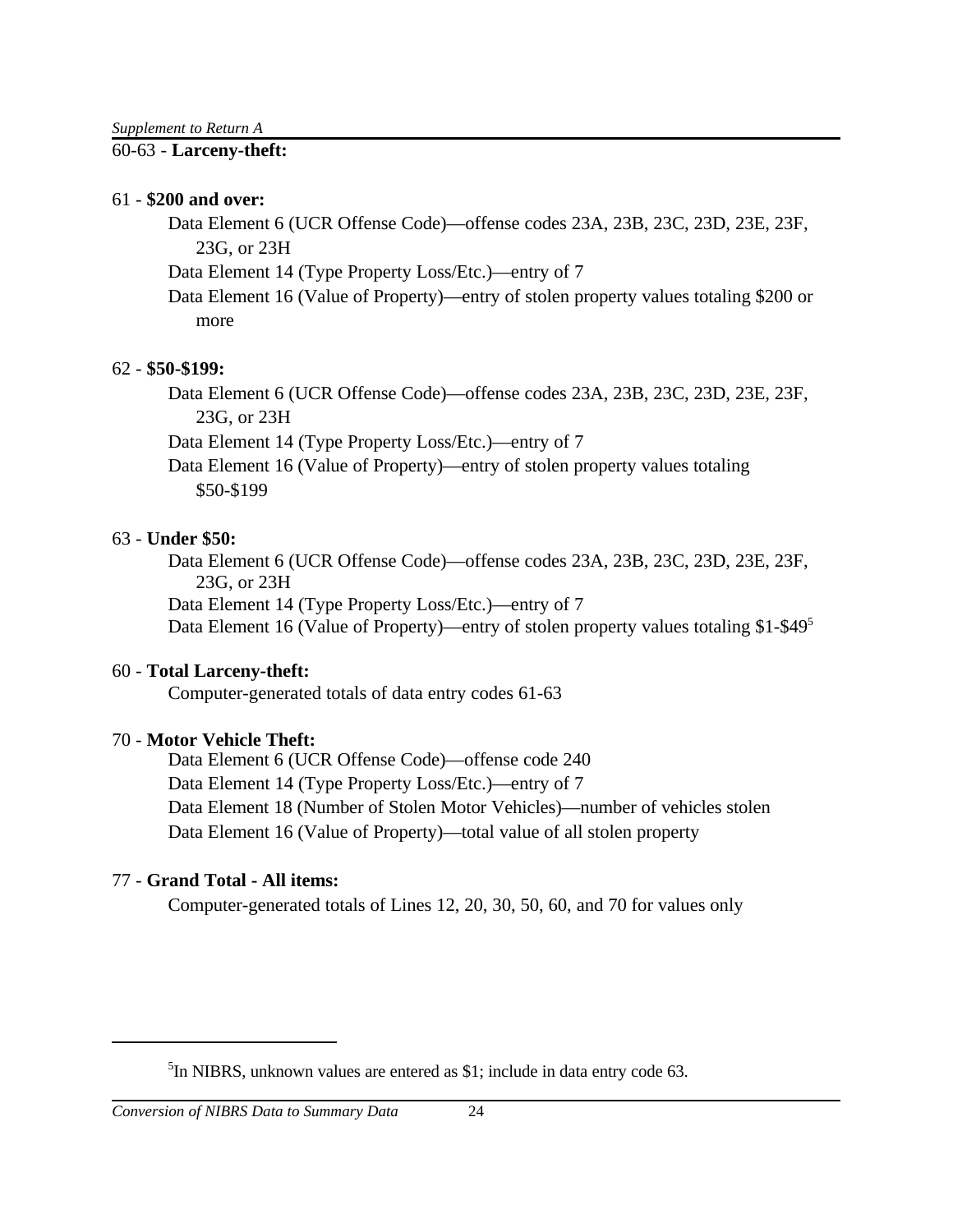### 60-63 - **Larceny-theft:**

#### 61 - **\$200 and over:**

Data Element 6 (UCR Offense Code)—offense codes 23A, 23B, 23C, 23D, 23E, 23F, 23G, or 23H

Data Element 14 (Type Property Loss/Etc.)—entry of 7

Data Element 16 (Value of Property)—entry of stolen property values totaling \$200 or more

# 62 - **\$50-\$199:**

Data Element 6 (UCR Offense Code)—offense codes 23A, 23B, 23C, 23D, 23E, 23F, 23G, or 23H

Data Element 14 (Type Property Loss/Etc.)—entry of 7

Data Element 16 (Value of Property)—entry of stolen property values totaling \$50-\$199

# 63 - **Under \$50:**

Data Element 6 (UCR Offense Code)—offense codes 23A, 23B, 23C, 23D, 23E, 23F, 23G, or 23H Data Element 14 (Type Property Loss/Etc.)—entry of 7

Data Element 16 (Value of Property)—entry of stolen property values totaling \$1-\$49<sup>5</sup>

### 60 - **Total Larceny-theft:**

Computer-generated totals of data entry codes 61-63

# 70 - **Motor Vehicle Theft:**

Data Element 6 (UCR Offense Code)—offense code 240 Data Element 14 (Type Property Loss/Etc.)—entry of 7 Data Element 18 (Number of Stolen Motor Vehicles)—number of vehicles stolen Data Element 16 (Value of Property)—total value of all stolen property

# 77 - **Grand Total - All items:**

Computer-generated totals of Lines 12, 20, 30, 50, 60, and 70 for values only

<sup>&</sup>lt;sup>5</sup>In NIBRS, unknown values are entered as \$1; include in data entry code 63.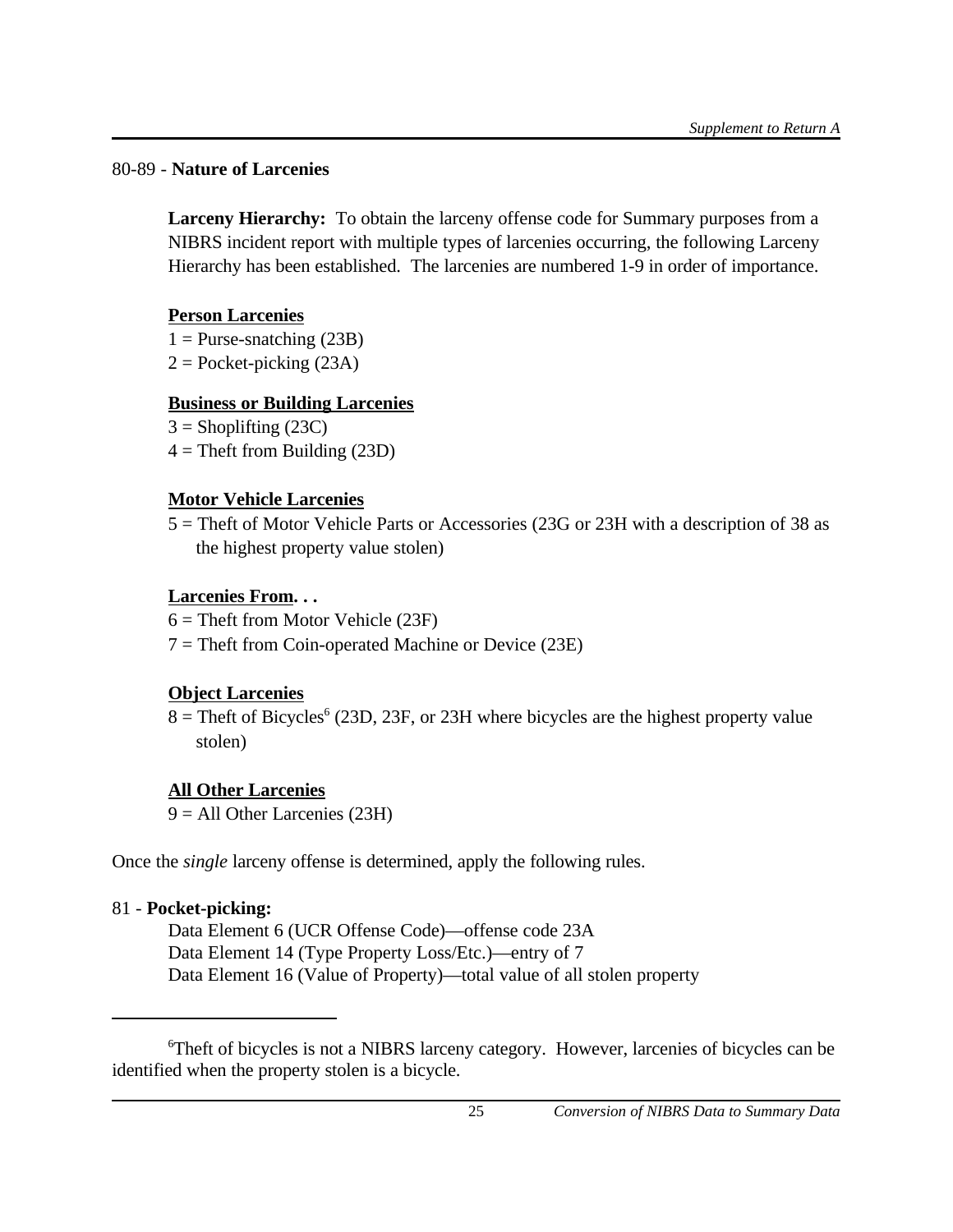# 80-89 - **Nature of Larcenies**

**Larceny Hierarchy:** To obtain the larceny offense code for Summary purposes from a NIBRS incident report with multiple types of larcenies occurring, the following Larceny Hierarchy has been established. The larcenies are numbered 1-9 in order of importance.

# **Person Larcenies**

 $1 =$  Purse-snatching (23B)

 $2 =$ Pocket-picking (23A)

# **Business or Building Larcenies**

 $3 =$ Shoplifting (23C)

 $4 =$ Theft from Building (23D)

# **Motor Vehicle Larcenies**

5 = Theft of Motor Vehicle Parts or Accessories (23G or 23H with a description of 38 as the highest property value stolen)

# **Larcenies From. . .**

 $6 =$ Theft from Motor Vehicle (23F)

 $7 =$ Theft from Coin-operated Machine or Device (23E)

# **Object Larcenies**

 $8 =$ Theft of Bicycles<sup>6</sup> (23D, 23F, or 23H where bicycles are the highest property value stolen)

# **All Other Larcenies**

9 = All Other Larcenies (23H)

Once the *single* larceny offense is determined, apply the following rules.

# 81 - **Pocket-picking:**

Data Element 6 (UCR Offense Code)—offense code 23A Data Element 14 (Type Property Loss/Etc.)—entry of 7 Data Element 16 (Value of Property)—total value of all stolen property

<sup>6</sup>Theft of bicycles is not a NIBRS larceny category. However, larcenies of bicycles can be identified when the property stolen is a bicycle.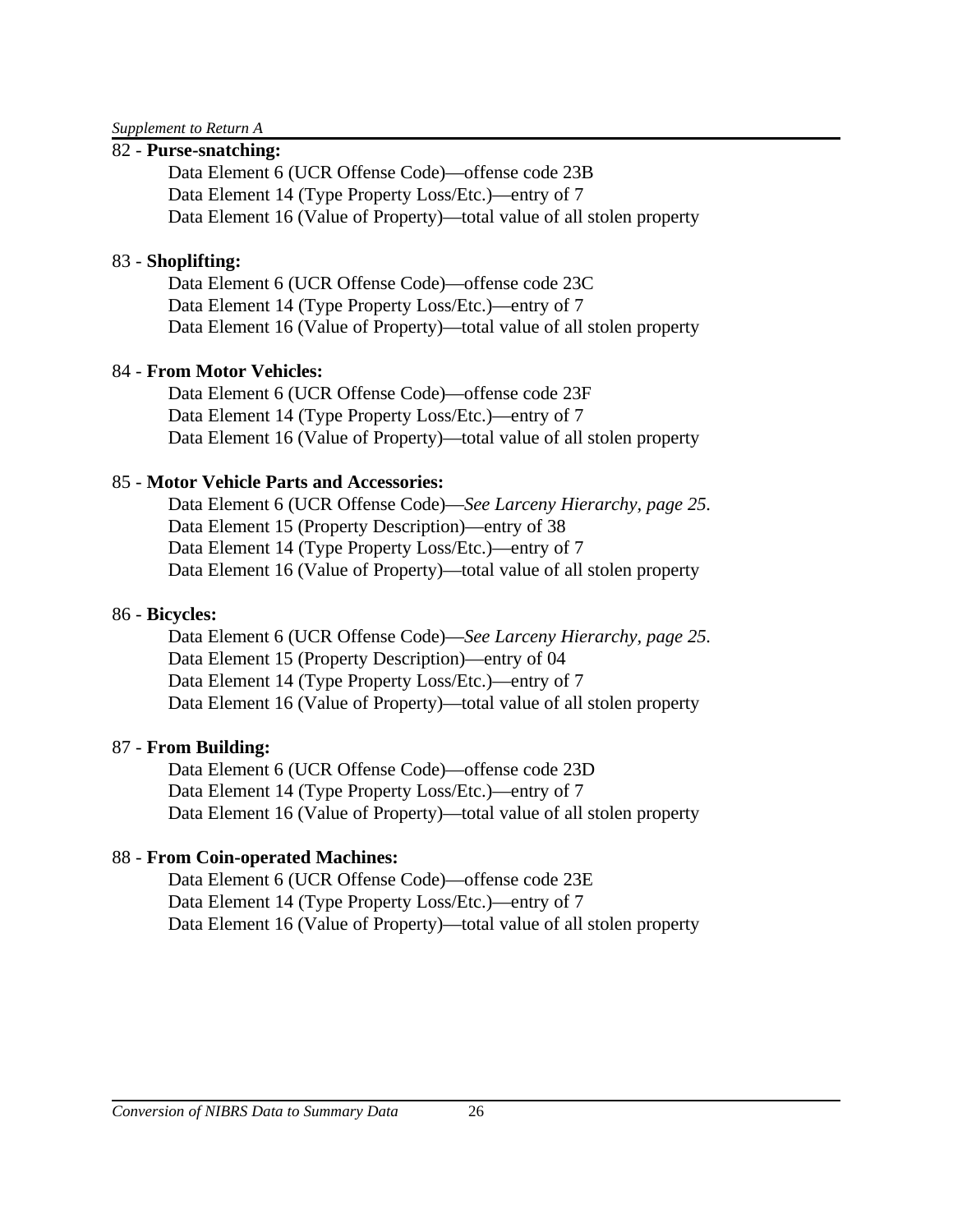*Supplement to Return A*

### 82 - **Purse-snatching:**

Data Element 6 (UCR Offense Code)—offense code 23B Data Element 14 (Type Property Loss/Etc.)—entry of 7 Data Element 16 (Value of Property)—total value of all stolen property

# 83 - **Shoplifting:**

Data Element 6 (UCR Offense Code)—offense code 23C Data Element 14 (Type Property Loss/Etc.)—entry of 7 Data Element 16 (Value of Property)—total value of all stolen property

# 84 - **From Motor Vehicles:**

Data Element 6 (UCR Offense Code)—offense code 23F Data Element 14 (Type Property Loss/Etc.)—entry of 7 Data Element 16 (Value of Property)—total value of all stolen property

# 85 - **Motor Vehicle Parts and Accessories:**

Data Element 6 (UCR Offense Code)—*See Larceny Hierarchy, page 25.* Data Element 15 (Property Description)—entry of 38 Data Element 14 (Type Property Loss/Etc.)—entry of 7 Data Element 16 (Value of Property)—total value of all stolen property

# 86 - **Bicycles:**

Data Element 6 (UCR Offense Code)—*See Larceny Hierarchy, page 25.* Data Element 15 (Property Description)—entry of 04 Data Element 14 (Type Property Loss/Etc.)—entry of 7 Data Element 16 (Value of Property)—total value of all stolen property

# 87 - **From Building:**

Data Element 6 (UCR Offense Code)—offense code 23D Data Element 14 (Type Property Loss/Etc.)—entry of 7 Data Element 16 (Value of Property)—total value of all stolen property

# 88 - **From Coin-operated Machines:**

Data Element 6 (UCR Offense Code)—offense code 23E Data Element 14 (Type Property Loss/Etc.)—entry of 7 Data Element 16 (Value of Property)—total value of all stolen property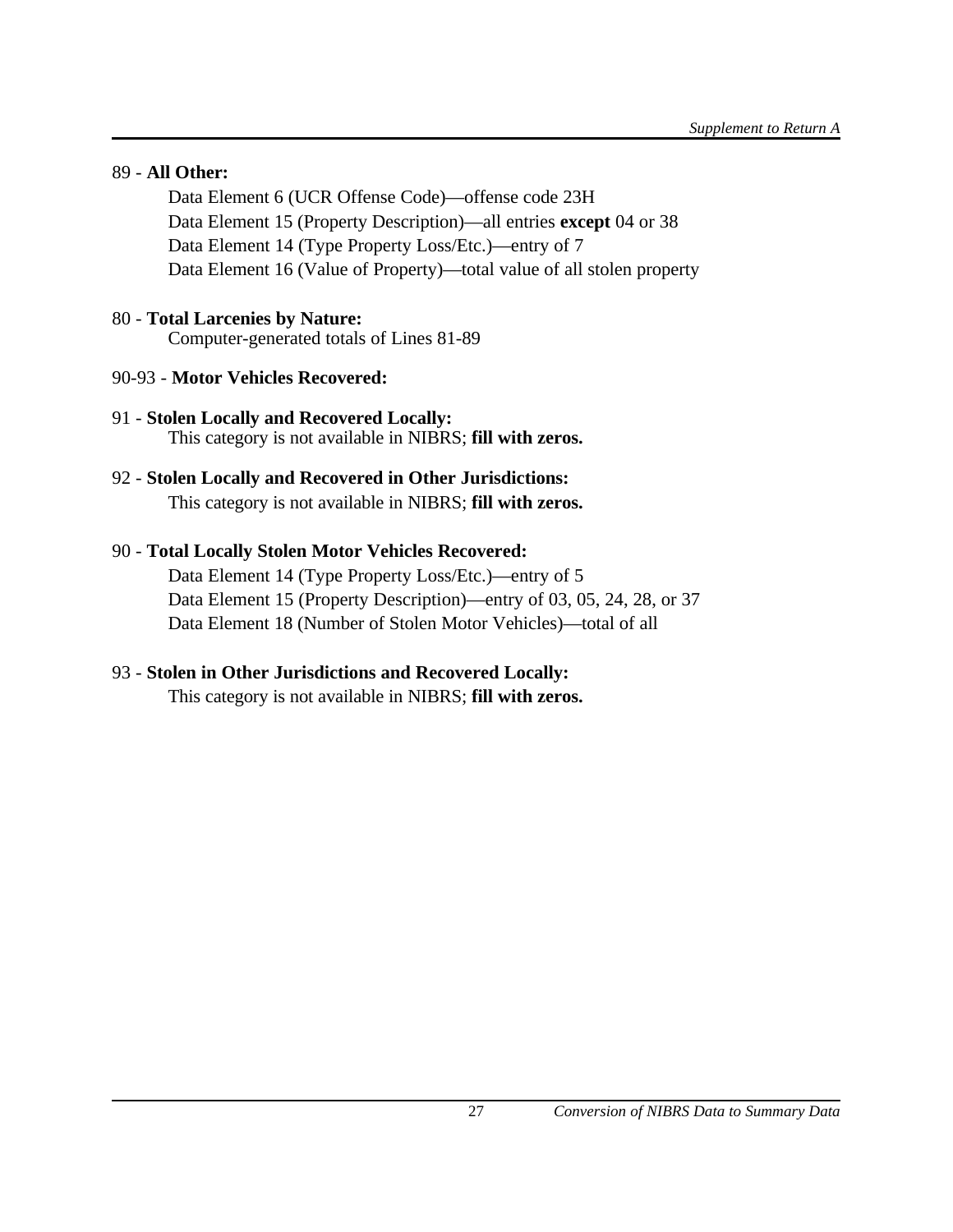### 89 - **All Other:**

Data Element 6 (UCR Offense Code)—offense code 23H Data Element 15 (Property Description)—all entries **except** 04 or 38 Data Element 14 (Type Property Loss/Etc.)—entry of 7 Data Element 16 (Value of Property)—total value of all stolen property

# 80 - **Total Larcenies by Nature:**

Computer-generated totals of Lines 81-89

- 90-93 **Motor Vehicles Recovered:**
- 91 **Stolen Locally and Recovered Locally:** This category is not available in NIBRS; **fill with zeros.**
- 92 **Stolen Locally and Recovered in Other Jurisdictions:** This category is not available in NIBRS; **fill with zeros.**

# 90 - **Total Locally Stolen Motor Vehicles Recovered:**

Data Element 14 (Type Property Loss/Etc.)—entry of 5 Data Element 15 (Property Description)—entry of 03, 05, 24, 28, or 37 Data Element 18 (Number of Stolen Motor Vehicles)—total of all

# 93 - **Stolen in Other Jurisdictions and Recovered Locally:**

This category is not available in NIBRS; **fill with zeros.**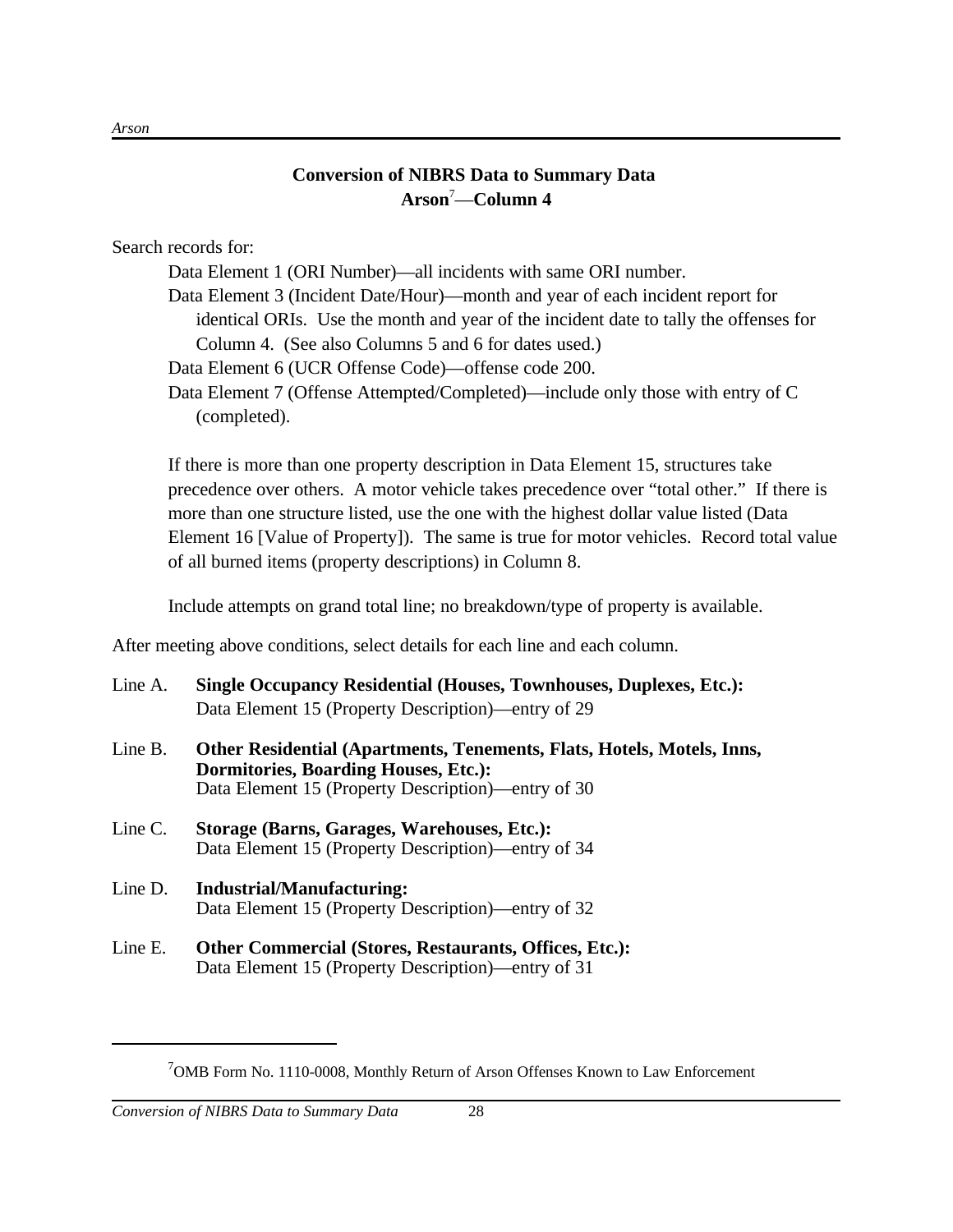# **Conversion of NIBRS Data to Summary Data Arson**<sup>7</sup>—**Column 4**

Search records for:

Data Element 1 (ORI Number)—all incidents with same ORI number.

Data Element 3 (Incident Date/Hour)—month and year of each incident report for identical ORIs. Use the month and year of the incident date to tally the offenses for Column 4. (See also Columns 5 and 6 for dates used.)

- Data Element 6 (UCR Offense Code)—offense code 200.
- Data Element 7 (Offense Attempted/Completed)—include only those with entry of C (completed).

If there is more than one property description in Data Element 15, structures take precedence over others. A motor vehicle takes precedence over "total other." If there is more than one structure listed, use the one with the highest dollar value listed (Data Element 16 [Value of Property]). The same is true for motor vehicles. Record total value of all burned items (property descriptions) in Column 8.

Include attempts on grand total line; no breakdown/type of property is available.

After meeting above conditions, select details for each line and each column.

- Line A. **Single Occupancy Residential (Houses, Townhouses, Duplexes, Etc.):** Data Element 15 (Property Description)—entry of 29
- Line B. **Other Residential (Apartments, Tenements, Flats, Hotels, Motels, Inns, Dormitories, Boarding Houses, Etc.):** Data Element 15 (Property Description)—entry of 30
- Line C. **Storage (Barns, Garages, Warehouses, Etc.):** Data Element 15 (Property Description)—entry of 34
- Line D. **Industrial/Manufacturing:** Data Element 15 (Property Description)—entry of 32
- Line E. **Other Commercial (Stores, Restaurants, Offices, Etc.):** Data Element 15 (Property Description)—entry of 31

 $7$ OMB Form No. 1110-0008, Monthly Return of Arson Offenses Known to Law Enforcement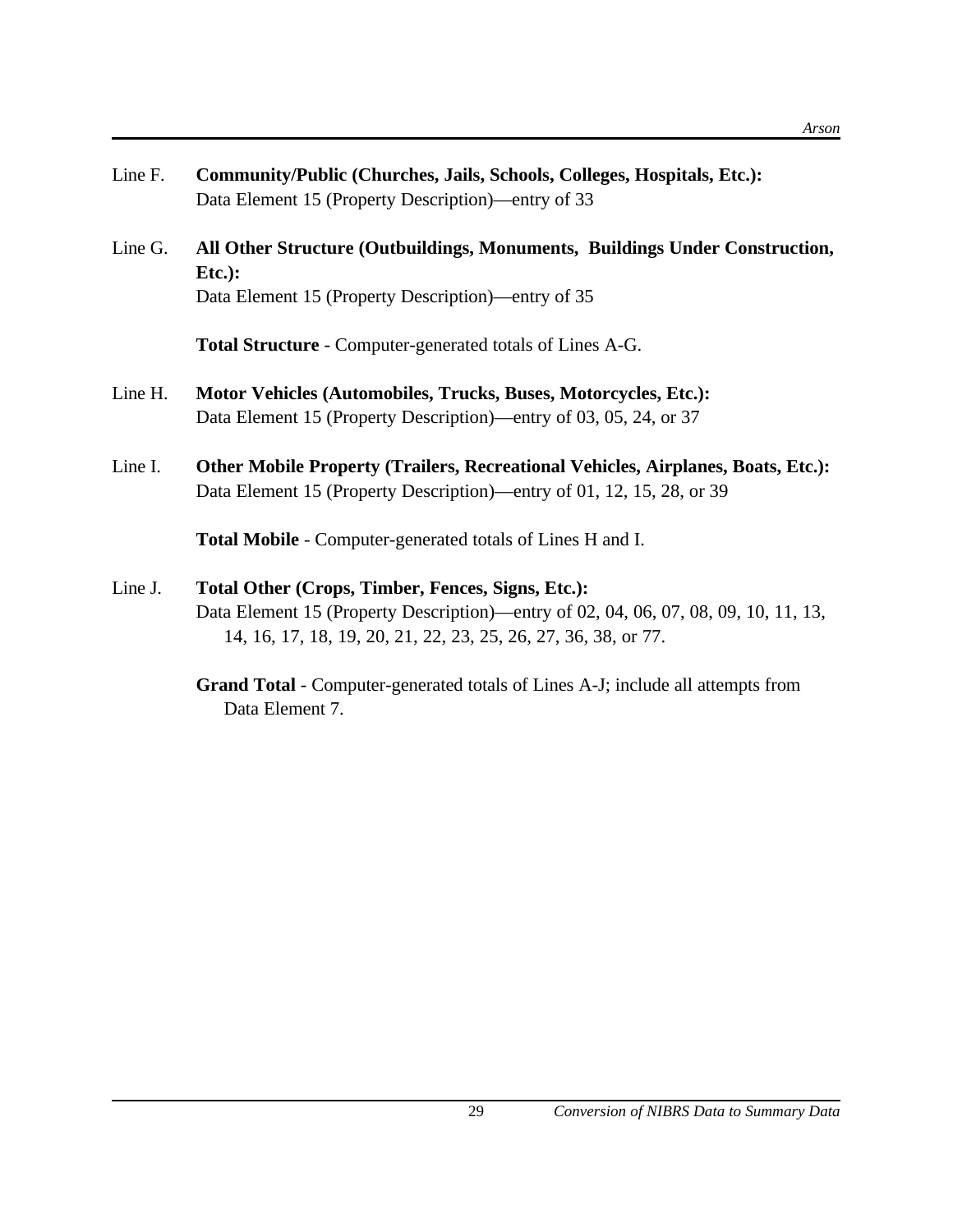- Line F. **Community/Public (Churches, Jails, Schools, Colleges, Hospitals, Etc.):** Data Element 15 (Property Description)—entry of 33
- Line G. **All Other Structure (Outbuildings, Monuments, Buildings Under Construction, Etc.):** Data Element 15 (Property Description)—entry of 35

**Total Structure** - Computer-generated totals of Lines A-G.

- Line H. **Motor Vehicles (Automobiles, Trucks, Buses, Motorcycles, Etc.):** Data Element 15 (Property Description)—entry of 03, 05, 24, or 37
- Line I. **Other Mobile Property (Trailers, Recreational Vehicles, Airplanes, Boats, Etc.):** Data Element 15 (Property Description)—entry of 01, 12, 15, 28, or 39

**Total Mobile** - Computer-generated totals of Lines H and I.

- Line J. **Total Other (Crops, Timber, Fences, Signs, Etc.):** Data Element 15 (Property Description)—entry of 02, 04, 06, 07, 08, 09, 10, 11, 13, 14, 16, 17, 18, 19, 20, 21, 22, 23, 25, 26, 27, 36, 38, or 77.
	- **Grand Total** Computer-generated totals of Lines A-J; include all attempts from Data Element 7.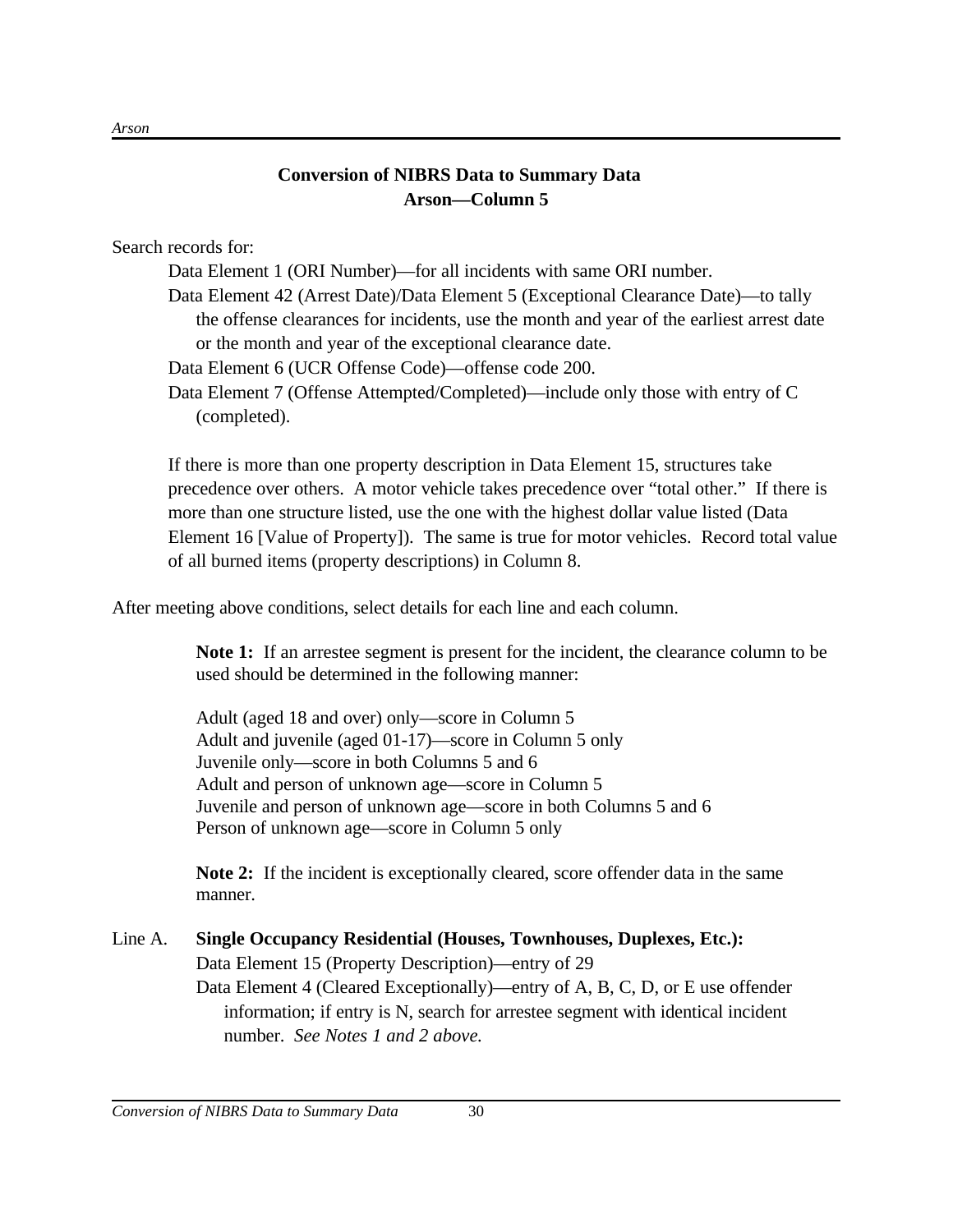# **Conversion of NIBRS Data to Summary Data Arson—Column 5**

Search records for:

Data Element 1 (ORI Number)—for all incidents with same ORI number.

Data Element 42 (Arrest Date)/Data Element 5 (Exceptional Clearance Date)—to tally the offense clearances for incidents, use the month and year of the earliest arrest date or the month and year of the exceptional clearance date.

Data Element 6 (UCR Offense Code)—offense code 200.

Data Element 7 (Offense Attempted/Completed)—include only those with entry of C (completed).

If there is more than one property description in Data Element 15, structures take precedence over others. A motor vehicle takes precedence over "total other." If there is more than one structure listed, use the one with the highest dollar value listed (Data Element 16 [Value of Property]). The same is true for motor vehicles. Record total value of all burned items (property descriptions) in Column 8.

After meeting above conditions, select details for each line and each column.

**Note 1:** If an arrestee segment is present for the incident, the clearance column to be used should be determined in the following manner:

Adult (aged 18 and over) only—score in Column 5 Adult and juvenile (aged 01-17)—score in Column 5 only Juvenile only—score in both Columns 5 and 6 Adult and person of unknown age—score in Column 5 Juvenile and person of unknown age—score in both Columns 5 and 6 Person of unknown age—score in Column 5 only

**Note 2:** If the incident is exceptionally cleared, score offender data in the same manner.

# Line A. **Single Occupancy Residential (Houses, Townhouses, Duplexes, Etc.):** Data Element 15 (Property Description)—entry of 29 Data Element 4 (Cleared Exceptionally)—entry of A, B, C, D, or E use offender information; if entry is N, search for arrestee segment with identical incident number. *See Notes 1 and 2 above.*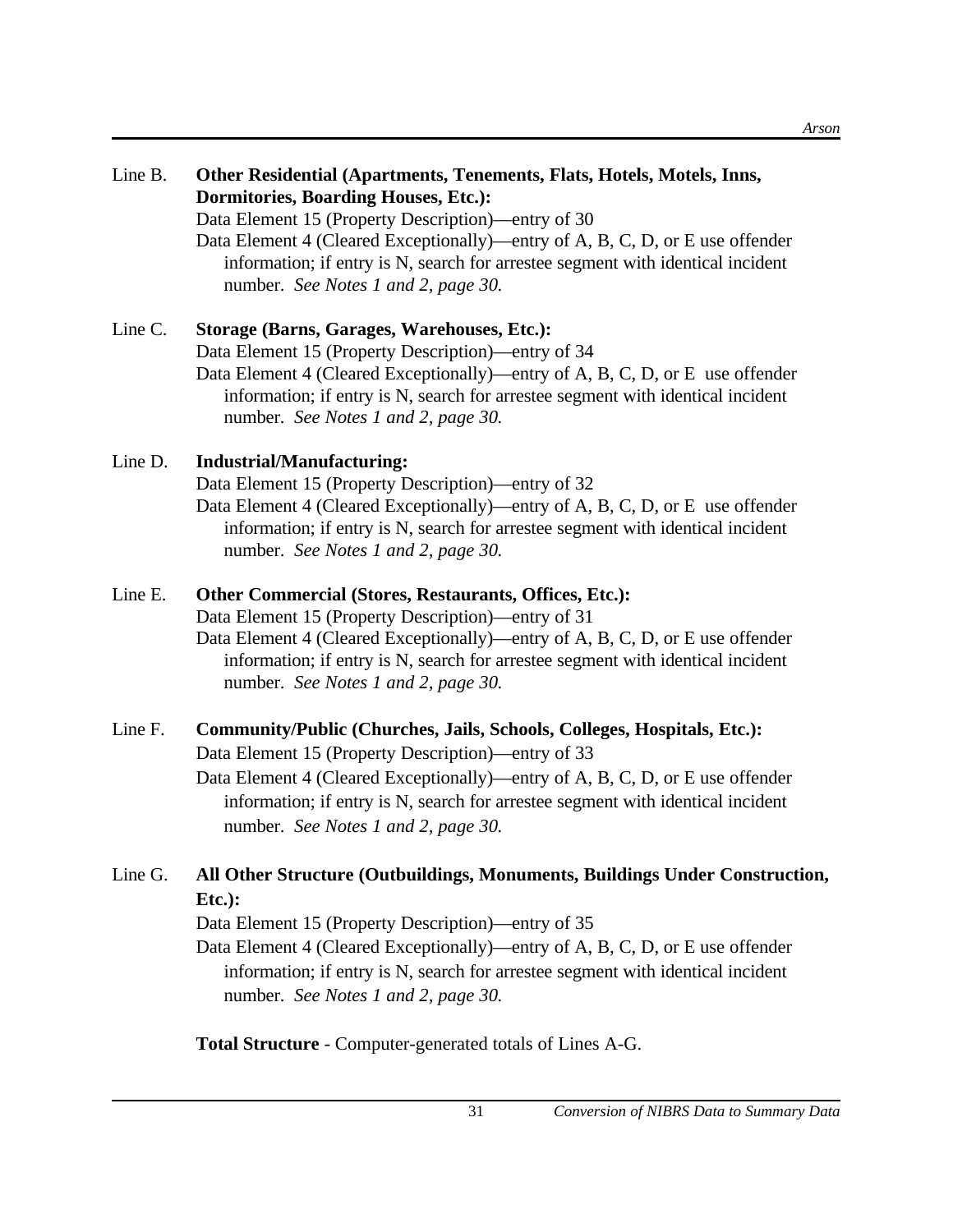| Line B. | Other Residential (Apartments, Tenements, Flats, Hotels, Motels, Inns,<br><b>Dormitories, Boarding Houses, Etc.):</b><br>Data Element 15 (Property Description)—entry of 30<br>Data Element 4 (Cleared Exceptionally)—entry of A, B, C, D, or E use offender<br>information; if entry is N, search for arrestee segment with identical incident<br>number. See Notes 1 and 2, page 30. |
|---------|----------------------------------------------------------------------------------------------------------------------------------------------------------------------------------------------------------------------------------------------------------------------------------------------------------------------------------------------------------------------------------------|
| Line C. | <b>Storage (Barns, Garages, Warehouses, Etc.):</b><br>Data Element 15 (Property Description)—entry of 34<br>Data Element 4 (Cleared Exceptionally)—entry of A, B, C, D, or E use offender<br>information; if entry is N, search for arrestee segment with identical incident<br>number. See Notes 1 and 2, page 30.                                                                    |
| Line D. | <b>Industrial/Manufacturing:</b><br>Data Element 15 (Property Description)—entry of 32<br>Data Element 4 (Cleared Exceptionally)—entry of A, B, C, D, or E use offender<br>information; if entry is N, search for arrestee segment with identical incident<br>number. See Notes 1 and 2, page 30.                                                                                      |
| Line E. | Other Commercial (Stores, Restaurants, Offices, Etc.):<br>Data Element 15 (Property Description)—entry of 31<br>Data Element 4 (Cleared Exceptionally)—entry of A, B, C, D, or E use offender<br>information; if entry is N, search for arrestee segment with identical incident<br>number. See Notes 1 and 2, page 30.                                                                |
| Line F. | Community/Public (Churches, Jails, Schools, Colleges, Hospitals, Etc.):<br>Data Element 15 (Property Description)—entry of 33<br>$\Gamma$ Deta Flament 4 (Closed Executionally) ontry of $\Lambda$ , $\Gamma$ C, $\Gamma$ or E use offendor                                                                                                                                            |

Data Element 4 (Cleared Exceptionally)—entry of A, B, C, D, or E use offender information; if entry is N, search for arrestee segment with identical incident number. *See Notes 1 and 2, page 30.*

# Line G. **All Other Structure (Outbuildings, Monuments, Buildings Under Construction, Etc.):**

Data Element 15 (Property Description)—entry of 35

Data Element 4 (Cleared Exceptionally)—entry of A, B, C, D, or E use offender information; if entry is N, search for arrestee segment with identical incident number. *See Notes 1 and 2, page 30.*

**Total Structure** - Computer-generated totals of Lines A-G.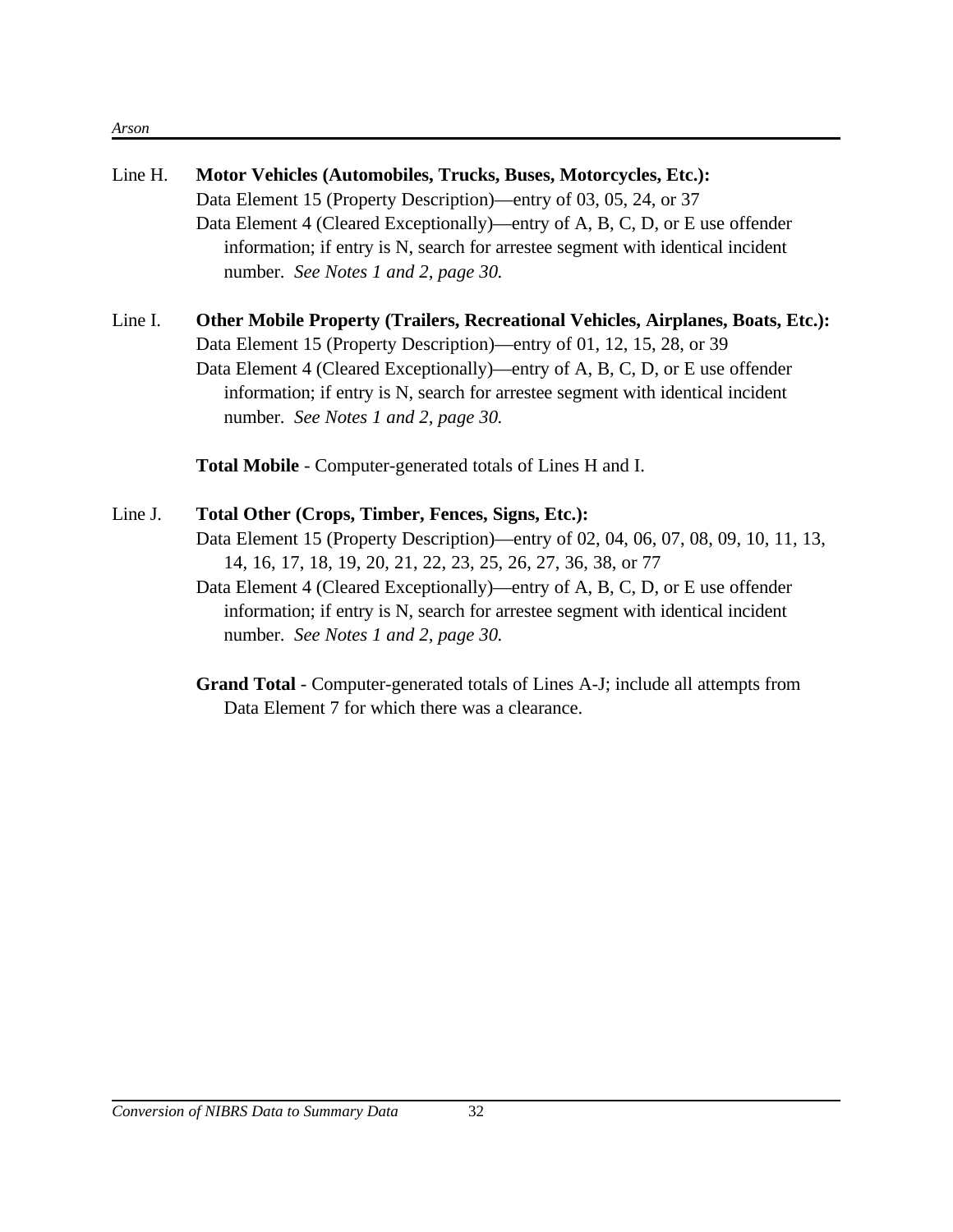#### *Arson*

| Line H. | Motor Vehicles (Automobiles, Trucks, Buses, Motorcycles, Etc.):<br>Data Element 15 (Property Description)—entry of 03, 05, 24, or 37<br>Data Element 4 (Cleared Exceptionally)—entry of A, B, C, D, or E use offender<br>information; if entry is N, search for arrestee segment with identical incident<br>number. See Notes 1 and 2, page 30.                                                                                                                                                                                                            |
|---------|------------------------------------------------------------------------------------------------------------------------------------------------------------------------------------------------------------------------------------------------------------------------------------------------------------------------------------------------------------------------------------------------------------------------------------------------------------------------------------------------------------------------------------------------------------|
| Line I. | Other Mobile Property (Trailers, Recreational Vehicles, Airplanes, Boats, Etc.):<br>Data Element 15 (Property Description)—entry of 01, 12, 15, 28, or 39<br>Data Element 4 (Cleared Exceptionally)—entry of A, B, C, D, or E use offender<br>information; if entry is N, search for arrestee segment with identical incident<br>number. See Notes 1 and 2, page 30.                                                                                                                                                                                       |
|         | Total Mobile - Computer-generated totals of Lines H and I.                                                                                                                                                                                                                                                                                                                                                                                                                                                                                                 |
| Line J. | Total Other (Crops, Timber, Fences, Signs, Etc.):<br>Data Element 15 (Property Description)—entry of 02, 04, 06, 07, 08, 09, 10, 11, 13,<br>14, 16, 17, 18, 19, 20, 21, 22, 23, 25, 26, 27, 36, 38, or 77<br>Data Element 4 (Cleared Exceptionally)—entry of A, B, C, D, or E use offender<br>information; if entry is N, search for arrestee segment with identical incident<br>number. See Notes 1 and 2, page 30.<br>Grand Total - Computer-generated totals of Lines A-J; include all attempts from<br>Data Element 7 for which there was a clearance. |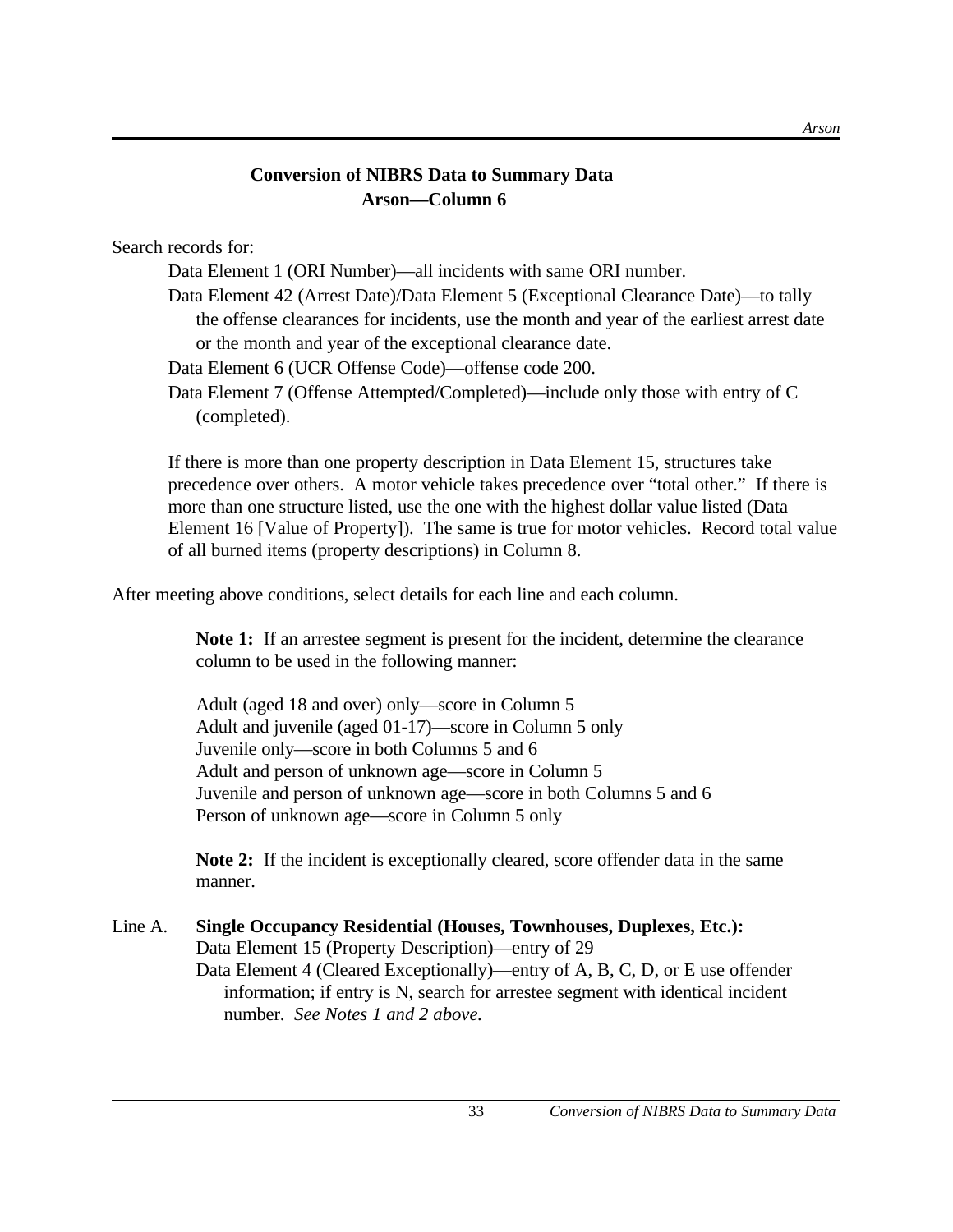# **Conversion of NIBRS Data to Summary Data Arson—Column 6**

Search records for:

Data Element 1 (ORI Number)—all incidents with same ORI number.

Data Element 42 (Arrest Date)/Data Element 5 (Exceptional Clearance Date)—to tally the offense clearances for incidents, use the month and year of the earliest arrest date or the month and year of the exceptional clearance date.

Data Element 6 (UCR Offense Code)—offense code 200.

Data Element 7 (Offense Attempted/Completed)—include only those with entry of C (completed).

If there is more than one property description in Data Element 15, structures take precedence over others. A motor vehicle takes precedence over "total other." If there is more than one structure listed, use the one with the highest dollar value listed (Data Element 16 [Value of Property]). The same is true for motor vehicles. Record total value of all burned items (property descriptions) in Column 8.

After meeting above conditions, select details for each line and each column.

**Note 1:** If an arrestee segment is present for the incident, determine the clearance column to be used in the following manner:

Adult (aged 18 and over) only—score in Column 5 Adult and juvenile (aged 01-17)—score in Column 5 only Juvenile only—score in both Columns 5 and 6 Adult and person of unknown age—score in Column 5 Juvenile and person of unknown age—score in both Columns 5 and 6 Person of unknown age—score in Column 5 only

**Note 2:** If the incident is exceptionally cleared, score offender data in the same manner.

Line A. **Single Occupancy Residential (Houses, Townhouses, Duplexes, Etc.):** Data Element 15 (Property Description)—entry of 29 Data Element 4 (Cleared Exceptionally)—entry of A, B, C, D, or E use offender information; if entry is N, search for arrestee segment with identical incident number. *See Notes 1 and 2 above.*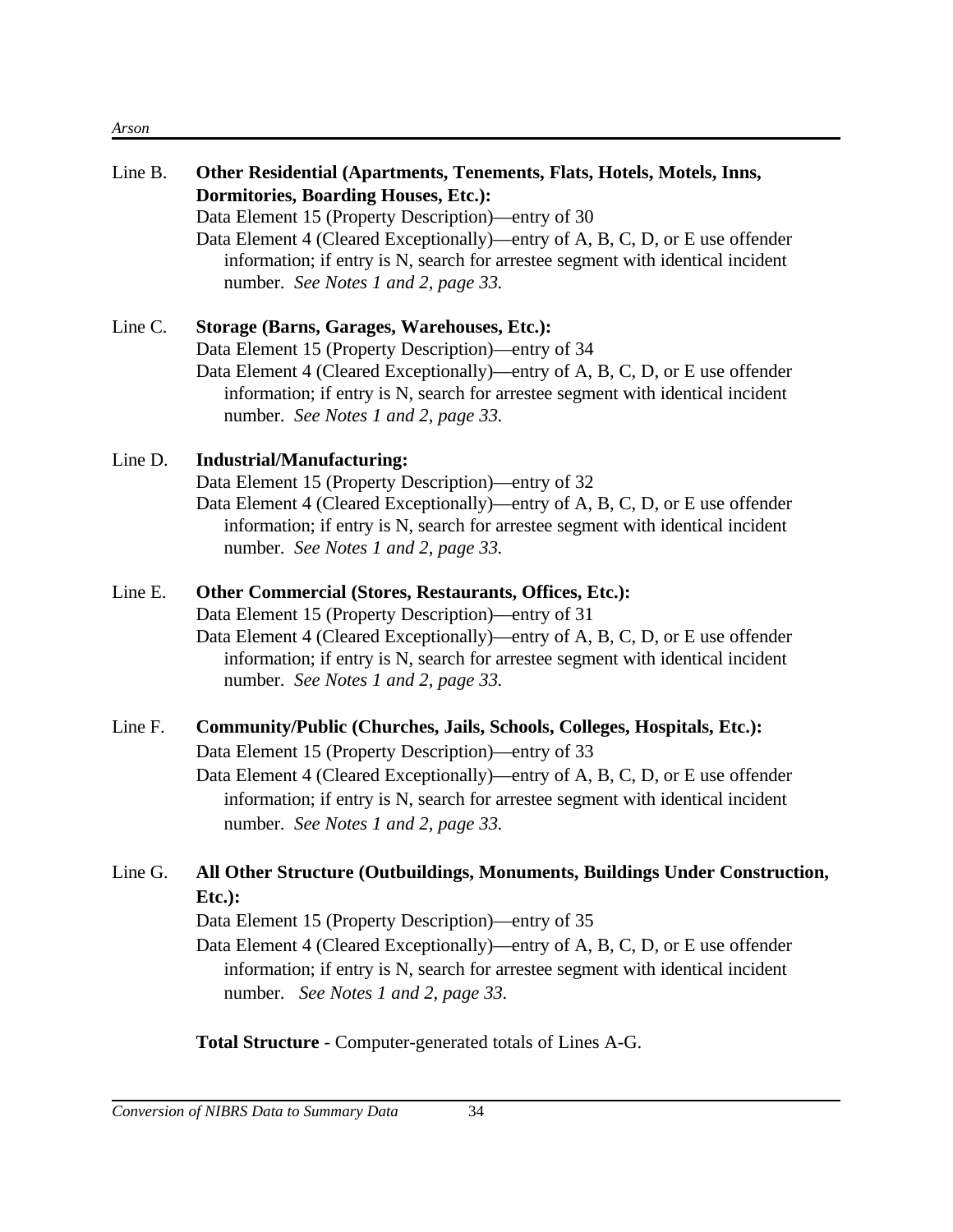#### *Arson*

| Line B. | Other Residential (Apartments, Tenements, Flats, Hotels, Motels, Inns,<br><b>Dormitories, Boarding Houses, Etc.):</b><br>Data Element 15 (Property Description)—entry of 30<br>Data Element 4 (Cleared Exceptionally)—entry of A, B, C, D, or E use offender<br>information; if entry is N, search for arrestee segment with identical incident<br>number. See Notes 1 and 2, page 33. |
|---------|----------------------------------------------------------------------------------------------------------------------------------------------------------------------------------------------------------------------------------------------------------------------------------------------------------------------------------------------------------------------------------------|
| Line C. | Storage (Barns, Garages, Warehouses, Etc.):<br>Data Element 15 (Property Description)—entry of 34<br>Data Element 4 (Cleared Exceptionally)—entry of A, B, C, D, or E use offender<br>information; if entry is N, search for arrestee segment with identical incident<br>number. See Notes 1 and 2, page 33.                                                                           |
| Line D. | <b>Industrial/Manufacturing:</b><br>Data Element 15 (Property Description)—entry of 32<br>Data Element 4 (Cleared Exceptionally)—entry of A, B, C, D, or E use offender<br>information; if entry is N, search for arrestee segment with identical incident<br>number. See Notes 1 and 2, page 33.                                                                                      |
| Line E. | Other Commercial (Stores, Restaurants, Offices, Etc.):<br>Data Element 15 (Property Description)—entry of 31<br>Data Element 4 (Cleared Exceptionally)—entry of A, B, C, D, or E use offender<br>information; if entry is N, search for arrestee segment with identical incident<br>number. See Notes 1 and 2, page 33.                                                                |
| Line F. | Community/Public (Churches, Jails, Schools, Colleges, Hospitals, Etc.):<br>Data Element 15 (Property Description)—entry of 33<br>Data Element 4 (Cleared Exceptionally)—entry of A, B, C, D, or E use offender<br>information; if entry is N, search for arrestee segment with identical incident<br>number. See Notes 1 and 2, page 33.                                               |
| Line G. | All Other Structure (Outbuildings, Monuments, Buildings Under Construction,<br>$Etc.$ ):<br>Data Element 15 (Property Description)—entry of 35<br>Data Element 4 (Cleared Exceptionally)—entry of A, B, C, D, or E use offender<br>information; if entry is N, search for arrestee segment with identical incident<br>number. See Notes 1 and 2, page 33.                              |
|         | Total Structure - Computer-generated totals of Lines A-G.                                                                                                                                                                                                                                                                                                                              |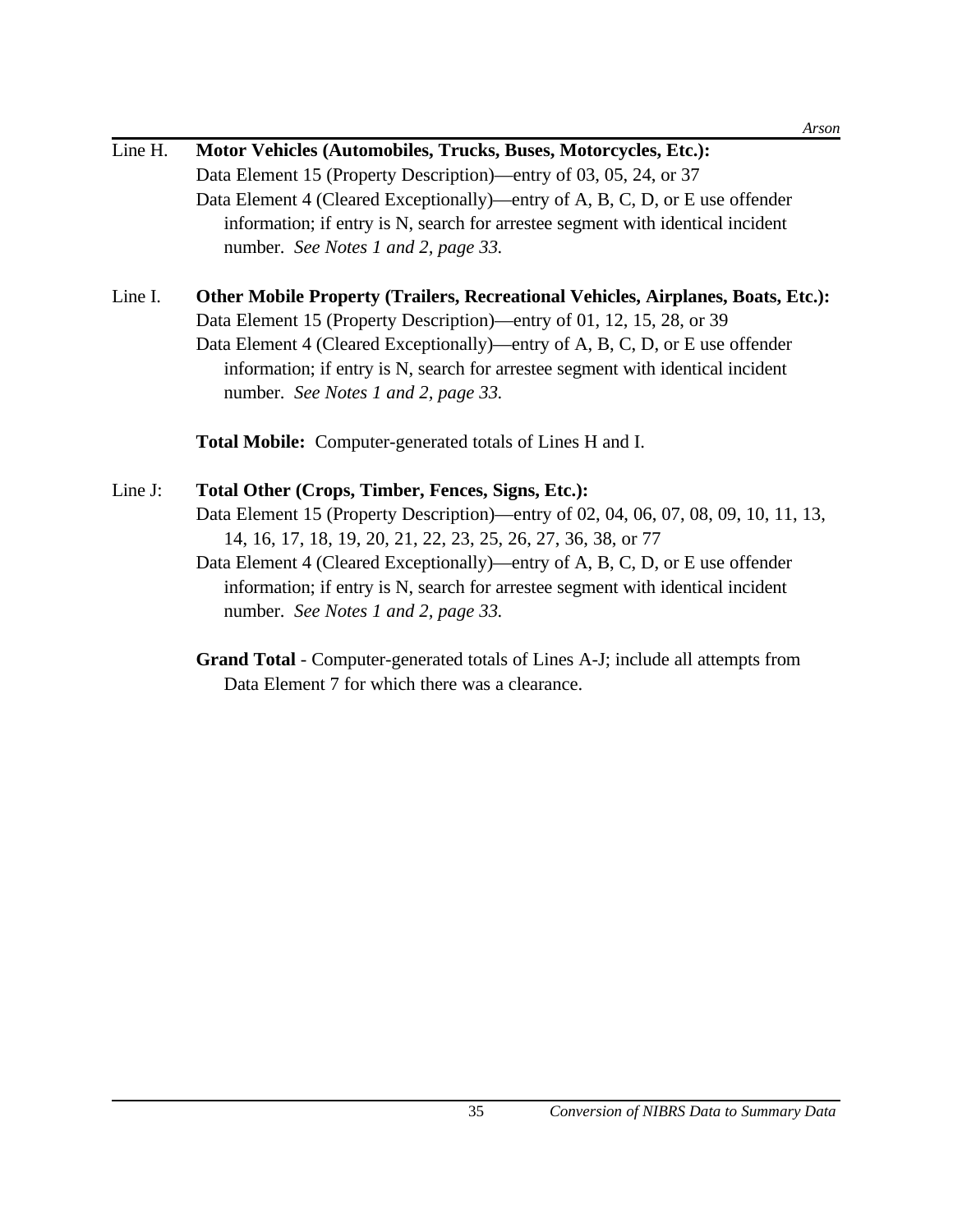| Line H. | Motor Vehicles (Automobiles, Trucks, Buses, Motorcycles, Etc.):                 |
|---------|---------------------------------------------------------------------------------|
|         | Data Element 15 (Property Description)—entry of 03, 05, 24, or 37               |
|         | Data Element 4 (Cleared Exceptionally)—entry of A, B, C, D, or E use offender   |
|         | information; if entry is N, search for arrestee segment with identical incident |
|         | number. See Notes 1 and 2, page 33.                                             |

# Line I. **Other Mobile Property (Trailers, Recreational Vehicles, Airplanes, Boats, Etc.):** Data Element 15 (Property Description)—entry of 01, 12, 15, 28, or 39 Data Element 4 (Cleared Exceptionally)—entry of A, B, C, D, or E use offender information; if entry is N, search for arrestee segment with identical incident number. *See Notes 1 and 2, page 33.*

**Total Mobile:** Computer-generated totals of Lines H and I.

# Line J: **Total Other (Crops, Timber, Fences, Signs, Etc.):** Data Element 15 (Property Description)—entry of 02, 04, 06, 07, 08, 09, 10, 11, 13, 14, 16, 17, 18, 19, 20, 21, 22, 23, 25, 26, 27, 36, 38, or 77 Data Element 4 (Cleared Exceptionally)—entry of A, B, C, D, or E use offender information; if entry is N, search for arrestee segment with identical incident number. *See Notes 1 and 2, page 33.*

# **Grand Total** - Computer-generated totals of Lines A-J; include all attempts from Data Element 7 for which there was a clearance.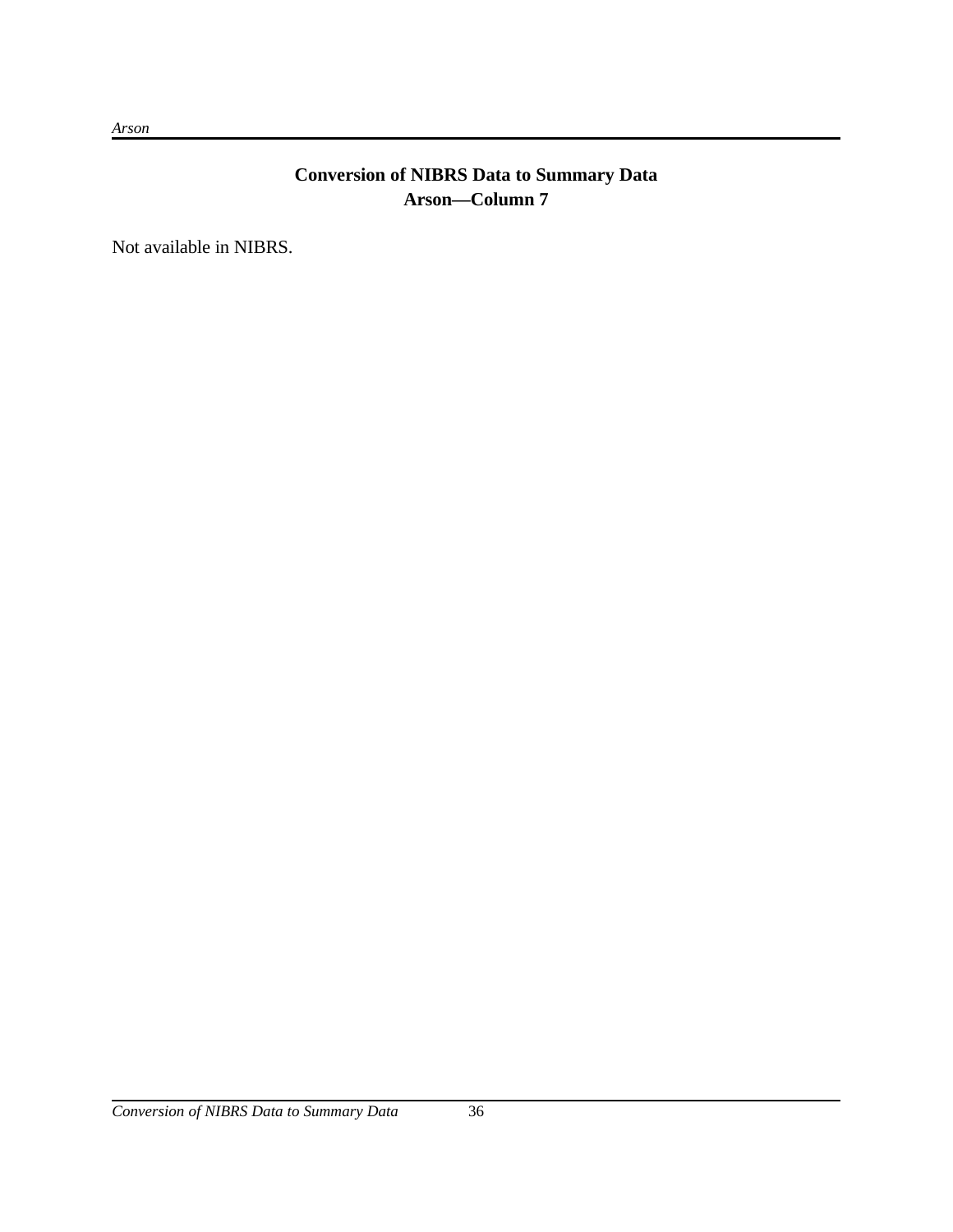# **Conversion of NIBRS Data to Summary Data Arson—Column 7**

Not available in NIBRS.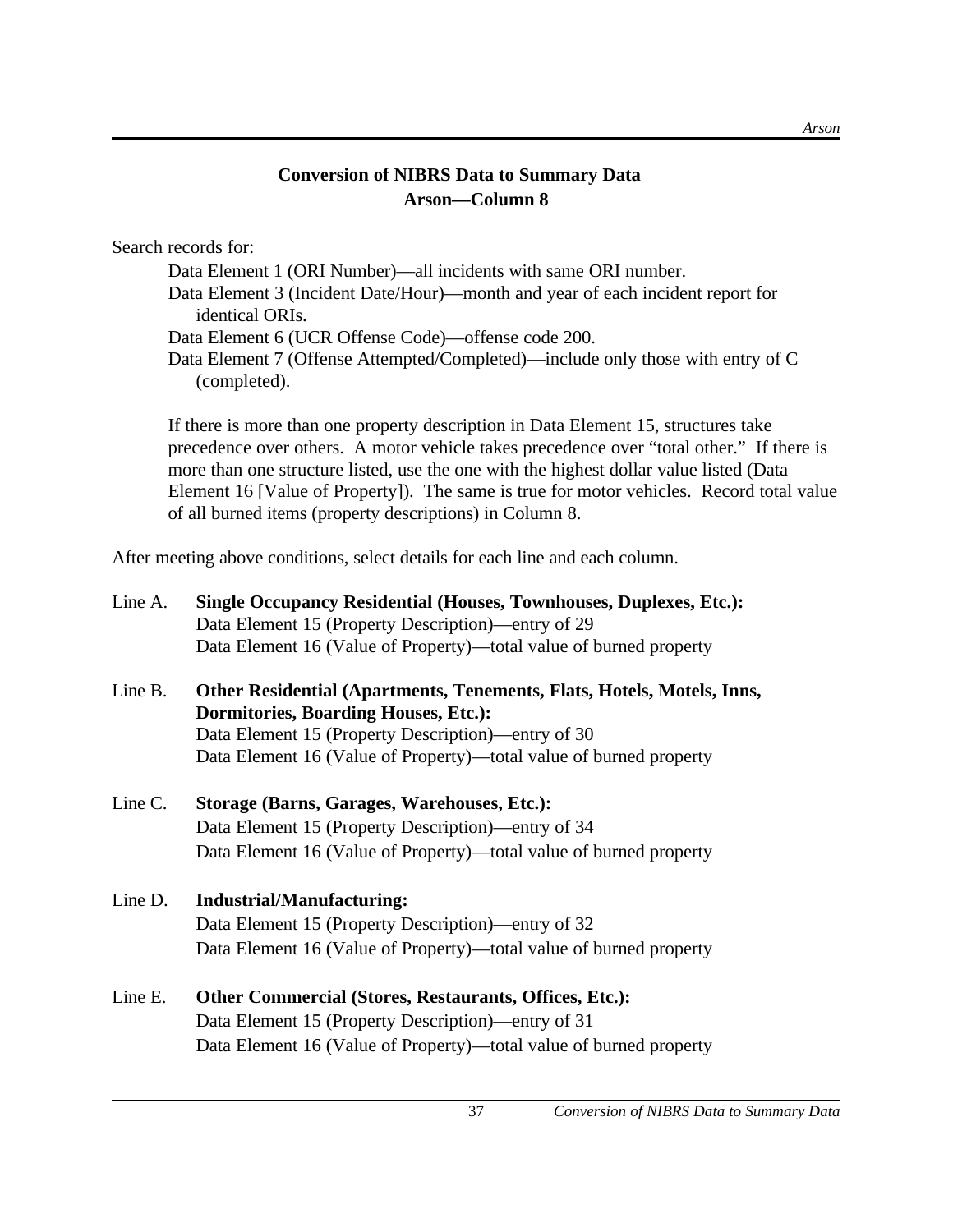# **Conversion of NIBRS Data to Summary Data Arson—Column 8**

Search records for:

Data Element 1 (ORI Number)—all incidents with same ORI number. Data Element 3 (Incident Date/Hour)—month and year of each incident report for identical ORIs. Data Element 6 (UCR Offense Code)—offense code 200. Data Element 7 (Offense Attempted/Completed)—include only those with entry of C (completed).

If there is more than one property description in Data Element 15, structures take precedence over others. A motor vehicle takes precedence over "total other." If there is more than one structure listed, use the one with the highest dollar value listed (Data Element 16 [Value of Property]). The same is true for motor vehicles. Record total value of all burned items (property descriptions) in Column 8.

After meeting above conditions, select details for each line and each column.

| Line A. | <b>Single Occupancy Residential (Houses, Townhouses, Duplexes, Etc.):</b><br>Data Element 15 (Property Description)—entry of 29 |
|---------|---------------------------------------------------------------------------------------------------------------------------------|
|         | Data Element 16 (Value of Property)—total value of burned property                                                              |
| Line B. | Other Residential (Apartments, Tenements, Flats, Hotels, Motels, Inns,<br><b>Dormitories, Boarding Houses, Etc.):</b>           |
|         | Data Element 15 (Property Description)—entry of 30                                                                              |
|         | Data Element 16 (Value of Property)—total value of burned property                                                              |
| Line C. | Storage (Barns, Garages, Warehouses, Etc.):                                                                                     |
|         | Data Element 15 (Property Description)—entry of 34                                                                              |
|         | Data Element 16 (Value of Property)—total value of burned property                                                              |
| Line D. | <b>Industrial/Manufacturing:</b>                                                                                                |
|         | Data Element 15 (Property Description)—entry of 32                                                                              |
|         | Data Element 16 (Value of Property)—total value of burned property                                                              |
| Line E. | <b>Other Commercial (Stores, Restaurants, Offices, Etc.):</b>                                                                   |
|         | Data Element 15 (Property Description)—entry of 31                                                                              |
|         | Data Element 16 (Value of Property)—total value of burned property                                                              |
|         |                                                                                                                                 |

*Arson*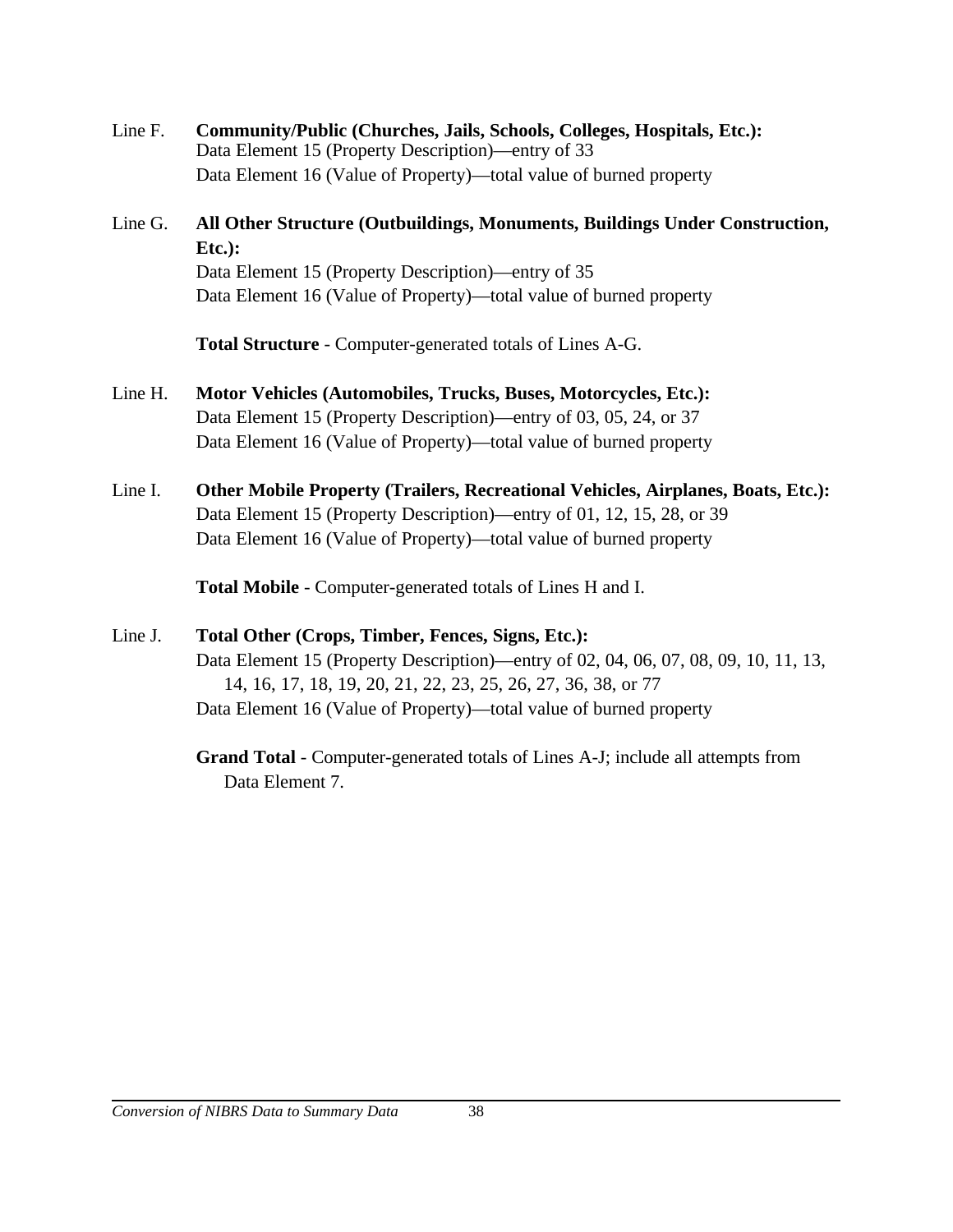Line F. **Community/Public (Churches, Jails, Schools, Colleges, Hospitals, Etc.):** Data Element 15 (Property Description)—entry of 33 Data Element 16 (Value of Property)—total value of burned property

# Line G. **All Other Structure (Outbuildings, Monuments, Buildings Under Construction, Etc.):** Data Element 15 (Property Description)—entry of 35 Data Element 16 (Value of Property)—total value of burned property

**Total Structure** - Computer-generated totals of Lines A-G.

- Line H. **Motor Vehicles (Automobiles, Trucks, Buses, Motorcycles, Etc.):** Data Element 15 (Property Description)—entry of 03, 05, 24, or 37 Data Element 16 (Value of Property)—total value of burned property
- Line I. **Other Mobile Property (Trailers, Recreational Vehicles, Airplanes, Boats, Etc.):** Data Element 15 (Property Description)—entry of 01, 12, 15, 28, or 39 Data Element 16 (Value of Property)—total value of burned property

**Total Mobile** - Computer-generated totals of Lines H and I.

# Line J. **Total Other (Crops, Timber, Fences, Signs, Etc.):**

Data Element 15 (Property Description)—entry of 02, 04, 06, 07, 08, 09, 10, 11, 13, 14, 16, 17, 18, 19, 20, 21, 22, 23, 25, 26, 27, 36, 38, or 77 Data Element 16 (Value of Property)—total value of burned property

**Grand Total** - Computer-generated totals of Lines A-J; include all attempts from Data Element 7.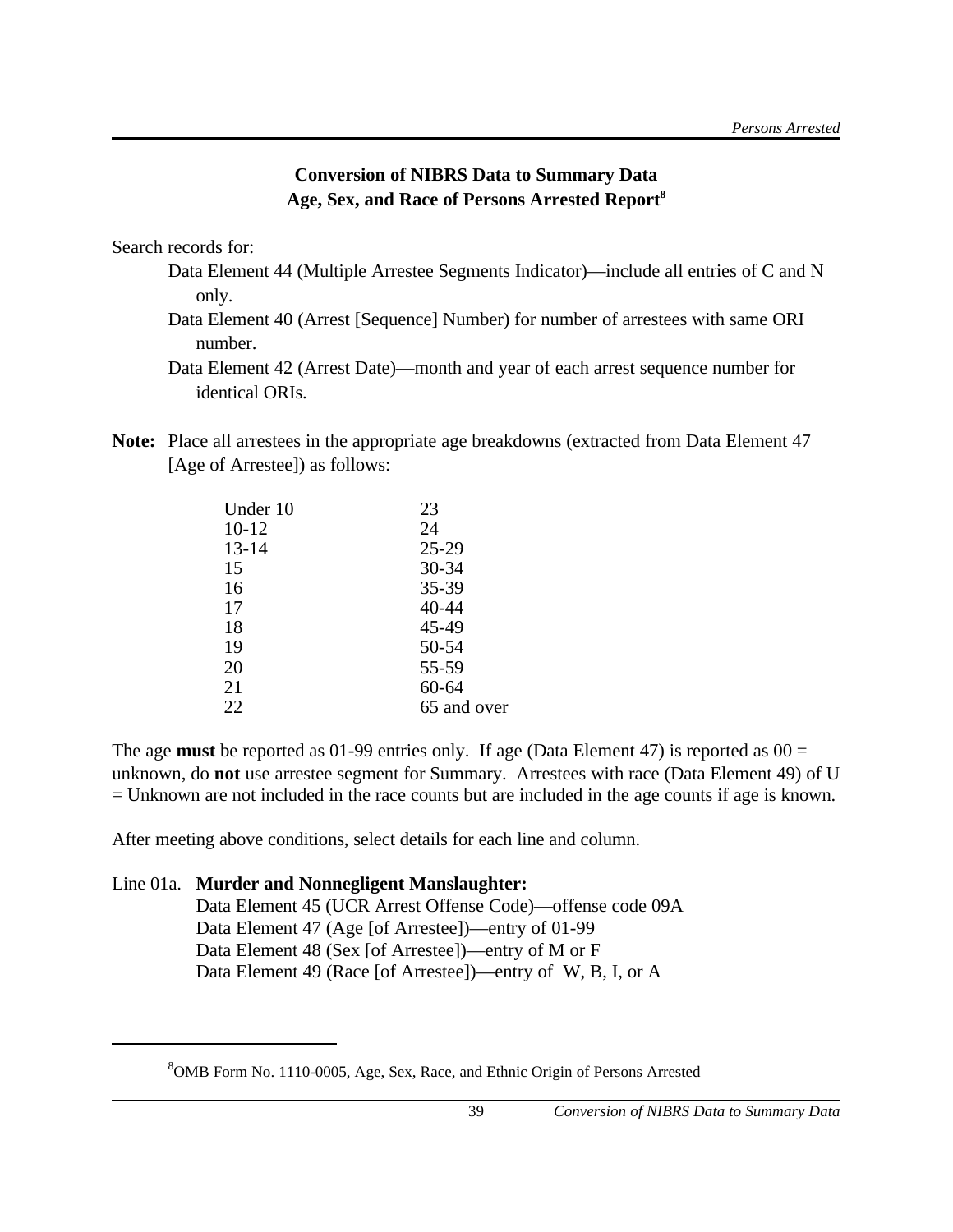# **Conversion of NIBRS Data to Summary Data Age, Sex, and Race of Persons Arrested Report<sup>8</sup>**

Search records for:

- Data Element 44 (Multiple Arrestee Segments Indicator)—include all entries of C and N only.
- Data Element 40 (Arrest [Sequence] Number) for number of arrestees with same ORI number.

**Note:** Place all arrestees in the appropriate age breakdowns (extracted from Data Element 47 [Age of Arrestee]) as follows:

| Under 10  | 23          |
|-----------|-------------|
| $10-12$   | 24          |
| $13 - 14$ | 25-29       |
| 15        | 30-34       |
| 16        | 35-39       |
| 17        | 40-44       |
| 18        | 45-49       |
| 19        | 50-54       |
| 20        | 55-59       |
| 21        | 60-64       |
| 22        | 65 and over |
|           |             |

The age **must** be reported as 01-99 entries only. If age (Data Element 47) is reported as 00 = unknown, do **not** use arrestee segment for Summary. Arrestees with race (Data Element 49) of U = Unknown are not included in the race counts but are included in the age counts if age is known.

After meeting above conditions, select details for each line and column.

# Line 01a. **Murder and Nonnegligent Manslaughter:**

Data Element 45 (UCR Arrest Offense Code)—offense code 09A Data Element 47 (Age [of Arrestee])—entry of 01-99 Data Element 48 (Sex [of Arrestee])—entry of M or F Data Element 49 (Race [of Arrestee])—entry of W, B, I, or A

Data Element 42 (Arrest Date)—month and year of each arrest sequence number for identical ORIs.

<sup>8</sup>OMB Form No. 1110-0005, Age, Sex, Race, and Ethnic Origin of Persons Arrested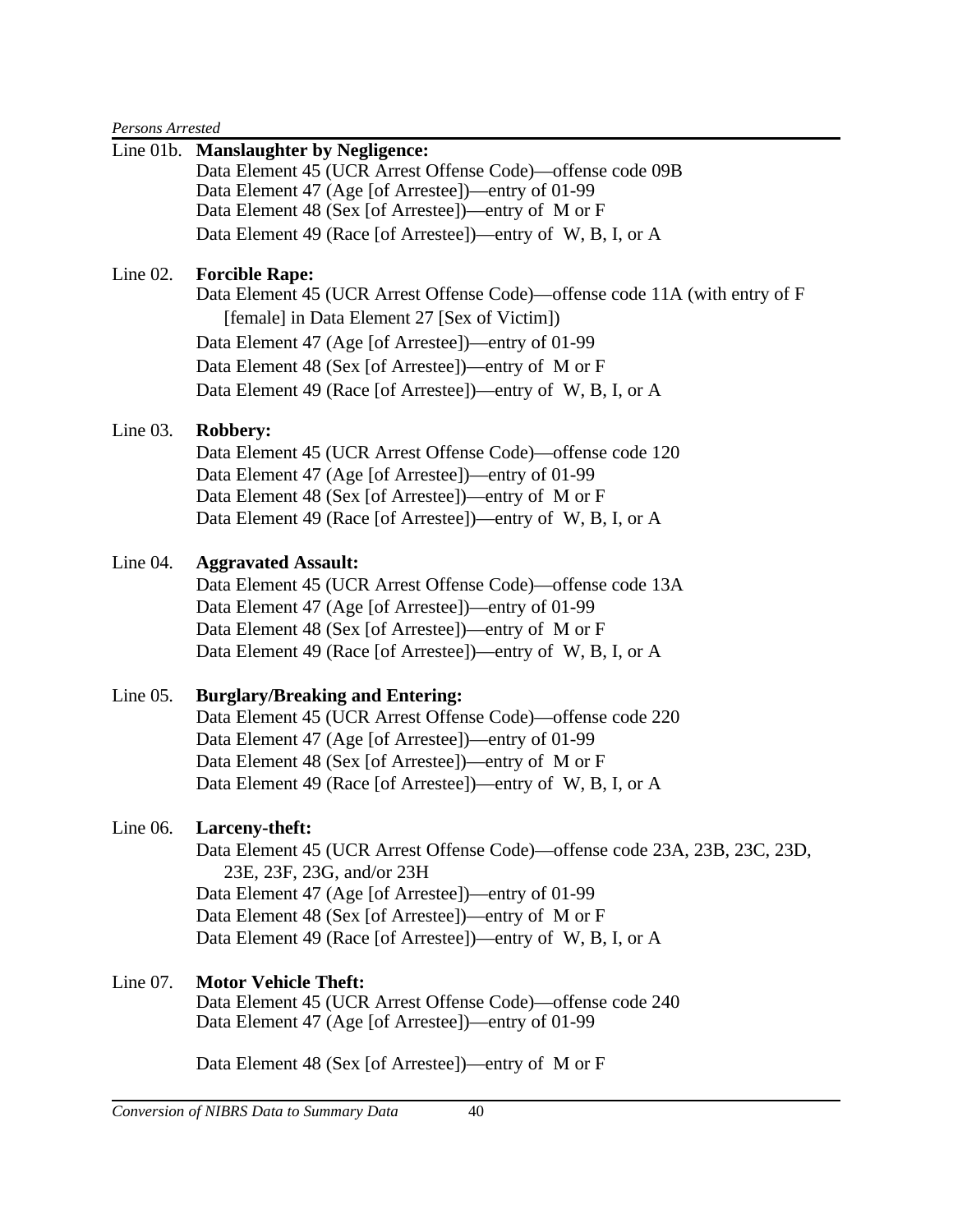*Persons Arrested*

|             | Line 01b. Manslaughter by Negligence:<br>Data Element 45 (UCR Arrest Offense Code)—offense code 09B<br>Data Element 47 (Age [of Arrestee])—entry of 01-99<br>Data Element 48 (Sex [of Arrestee])—entry of M or F<br>Data Element 49 (Race [of Arrestee])—entry of W, B, I, or A                                                  |
|-------------|----------------------------------------------------------------------------------------------------------------------------------------------------------------------------------------------------------------------------------------------------------------------------------------------------------------------------------|
| Line $02$ . | <b>Forcible Rape:</b><br>Data Element 45 (UCR Arrest Offense Code)—offense code 11A (with entry of F<br>[female] in Data Element 27 [Sex of Victim])<br>Data Element 47 (Age [of Arrestee])—entry of 01-99<br>Data Element 48 (Sex [of Arrestee])—entry of M or F<br>Data Element 49 (Race [of Arrestee])—entry of W, B, I, or A |
| Line $03$ . | <b>Robbery:</b><br>Data Element 45 (UCR Arrest Offense Code)—offense code 120<br>Data Element 47 (Age [of Arrestee])—entry of 01-99<br>Data Element 48 (Sex [of Arrestee])—entry of M or F<br>Data Element 49 (Race [of Arrestee])—entry of W, B, I, or A                                                                        |
| Line $04$ . | <b>Aggravated Assault:</b><br>Data Element 45 (UCR Arrest Offense Code)—offense code 13A<br>Data Element 47 (Age [of Arrestee])—entry of 01-99<br>Data Element 48 (Sex [of Arrestee])—entry of M or F<br>Data Element 49 (Race [of Arrestee])—entry of W, B, I, or A                                                             |
| Line $05$ . | <b>Burglary/Breaking and Entering:</b><br>Data Element 45 (UCR Arrest Offense Code)—offense code 220<br>Data Element 47 (Age [of Arrestee])—entry of 01-99<br>Data Element 48 (Sex [of Arrestee])—entry of M or F<br>Data Element 49 (Race [of Arrestee])—entry of W, B, I, or A                                                 |
| Line $06$ . | Larceny-theft:<br>Data Element 45 (UCR Arrest Offense Code)—offense code 23A, 23B, 23C, 23D,<br>23E, 23F, 23G, and/or 23H<br>Data Element 47 (Age [of Arrestee])—entry of 01-99<br>Data Element 48 (Sex [of Arrestee])—entry of M or F<br>Data Element 49 (Race [of Arrestee])—entry of W, B, I, or A                            |
| Line $07$ . | <b>Motor Vehicle Theft:</b><br>Data Element 45 (UCR Arrest Offense Code)—offense code 240<br>Data Element 47 (Age [of Arrestee])—entry of 01-99<br>Data Element 48 (Sex [of Arrestee])—entry of M or F                                                                                                                           |
|             |                                                                                                                                                                                                                                                                                                                                  |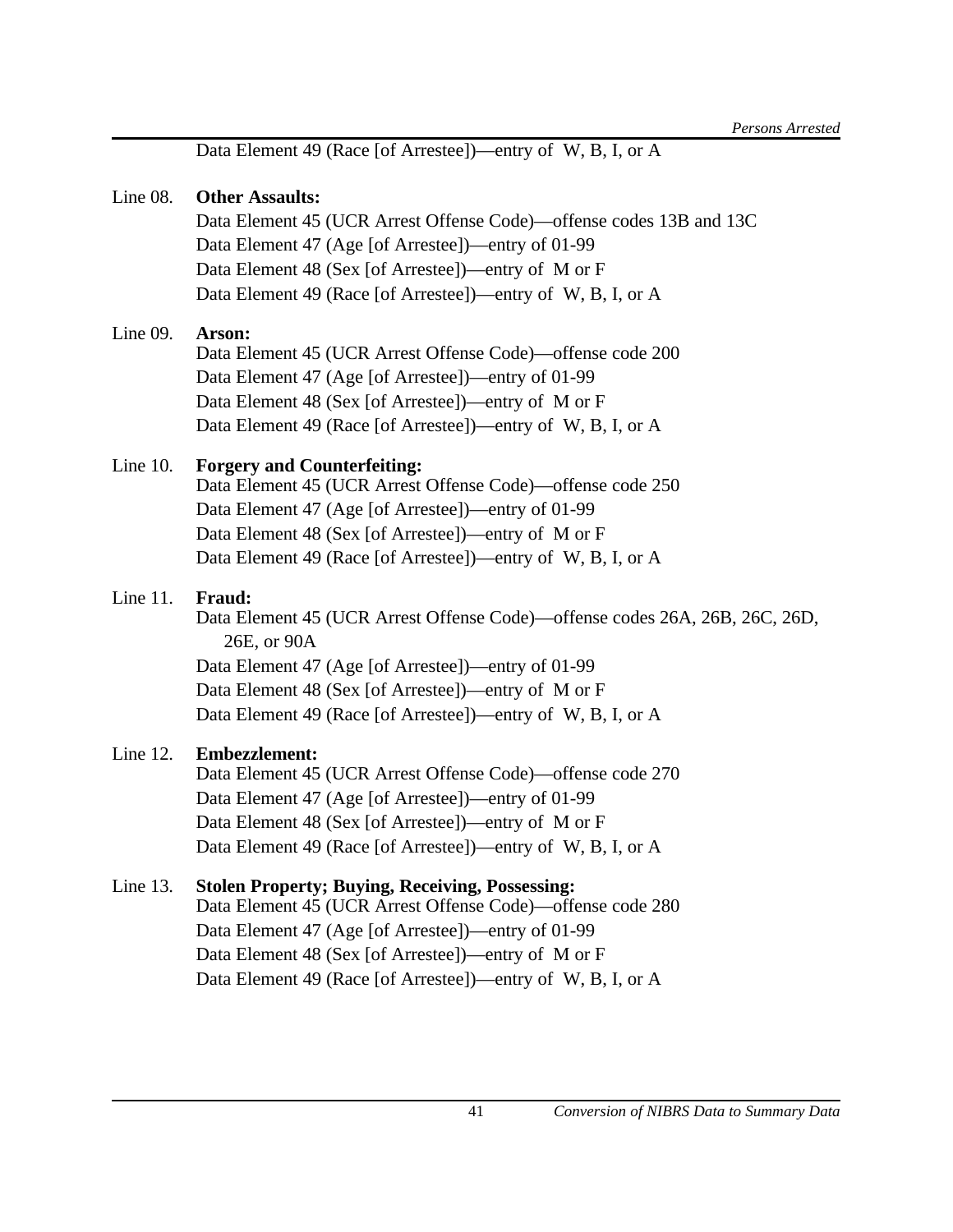Data Element 49 (Race [of Arrestee])—entry of W, B, I, or A

### Line 08. **Other Assaults:**

Data Element 45 (UCR Arrest Offense Code)—offense codes 13B and 13C Data Element 47 (Age [of Arrestee])—entry of 01-99 Data Element 48 (Sex [of Arrestee])—entry of M or F Data Element 49 (Race [of Arrestee])—entry of W, B, I, or A

# Line 09. **Arson:**

Data Element 45 (UCR Arrest Offense Code)—offense code 200 Data Element 47 (Age [of Arrestee])—entry of 01-99 Data Element 48 (Sex [of Arrestee])—entry of M or F Data Element 49 (Race [of Arrestee])—entry of W, B, I, or A

# Line 10. **Forgery and Counterfeiting:**

Data Element 45 (UCR Arrest Offense Code)—offense code 250 Data Element 47 (Age [of Arrestee])—entry of 01-99 Data Element 48 (Sex [of Arrestee])—entry of M or F Data Element 49 (Race [of Arrestee])—entry of W, B, I, or A

# Line 11. **Fraud:**

Data Element 45 (UCR Arrest Offense Code)—offense codes 26A, 26B, 26C, 26D, 26E, or 90A Data Element 47 (Age [of Arrestee])—entry of 01-99

Data Element 48 (Sex [of Arrestee])—entry of M or F Data Element 49 (Race [of Arrestee])—entry of W, B, I, or A

# Line 12. **Embezzlement:**

Data Element 45 (UCR Arrest Offense Code)—offense code 270 Data Element 47 (Age [of Arrestee])—entry of 01-99 Data Element 48 (Sex [of Arrestee])—entry of M or F Data Element 49 (Race [of Arrestee])—entry of W, B, I, or A

# Line 13. **Stolen Property; Buying, Receiving, Possessing:**

Data Element 45 (UCR Arrest Offense Code)—offense code 280 Data Element 47 (Age [of Arrestee])—entry of 01-99 Data Element 48 (Sex [of Arrestee])—entry of M or F Data Element 49 (Race [of Arrestee])—entry of W, B, I, or A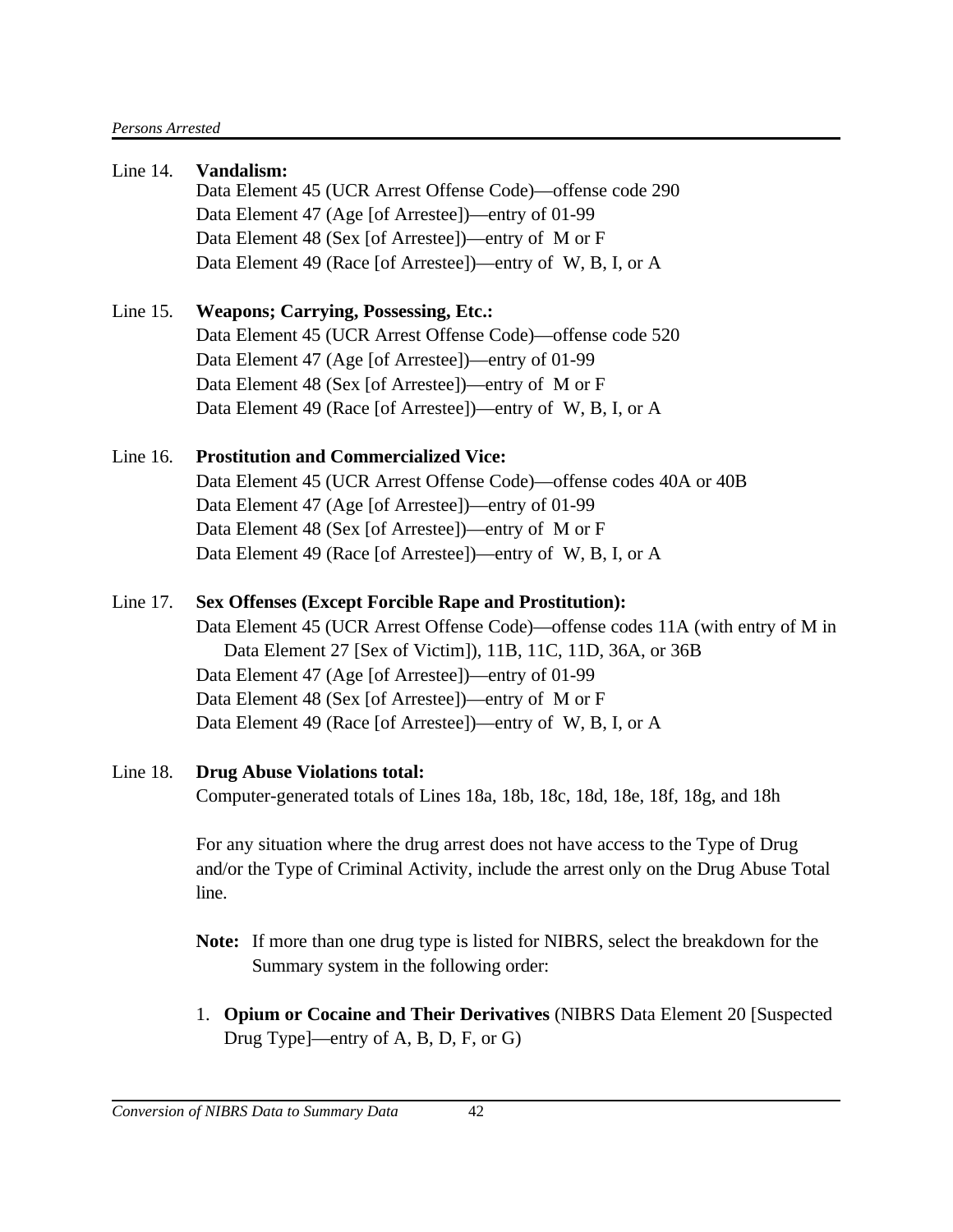| Line 14.    | Vandalism:                                                                                                                                                                         |
|-------------|------------------------------------------------------------------------------------------------------------------------------------------------------------------------------------|
|             | Data Element 45 (UCR Arrest Offense Code)—offense code 290                                                                                                                         |
|             | Data Element 47 (Age [of Arrestee])—entry of 01-99                                                                                                                                 |
|             | Data Element 48 (Sex [of Arrestee])—entry of M or F                                                                                                                                |
|             | Data Element 49 (Race [of Arrestee])—entry of W, B, I, or A                                                                                                                        |
| Line $15$ . | <b>Weapons</b> ; Carrying, Possessing, Etc.:                                                                                                                                       |
|             | Data Element 45 (UCR Arrest Offense Code)—offense code 520                                                                                                                         |
|             | Data Element 47 (Age [of Arrestee])—entry of 01-99                                                                                                                                 |
|             | Data Element 48 (Sex [of Arrestee])—entry of M or F                                                                                                                                |
|             | Data Element 49 (Race [of Arrestee])—entry of W, B, I, or A                                                                                                                        |
| Line $16$ . | <b>Prostitution and Commercialized Vice:</b>                                                                                                                                       |
|             | Data Element 45 (UCR Arrest Offense Code)—offense codes 40A or 40B                                                                                                                 |
|             | Data Element 47 (Age [of Arrestee])—entry of 01-99                                                                                                                                 |
|             | Data Element 48 (Sex [of Arrestee])—entry of M or F                                                                                                                                |
|             | Data Element 49 (Race [of Arrestee])—entry of W, B, I, or A                                                                                                                        |
| Line 17.    | <b>Sex Offenses (Except Forcible Rape and Prostitution):</b>                                                                                                                       |
|             | Data Element 45 (UCR Arrest Offense Code)—offense codes 11A (with entry of M in                                                                                                    |
|             | Data Element 27 [Sex of Victim]), 11B, 11C, 11D, 36A, or 36B                                                                                                                       |
|             | Data Element 47 (Age [of Arrestee])—entry of 01-99                                                                                                                                 |
|             | Data Element 48 (Sex [of Arrestee])—entry of M or F                                                                                                                                |
|             | Data Element 49 (Race [of Arrestee])—entry of W, B, I, or A                                                                                                                        |
| Line $18$ . | <b>Drug Abuse Violations total:</b>                                                                                                                                                |
|             | Computer-generated totals of Lines 18a, 18b, 18c, 18d, 18e, 18f, 18g, and 18h                                                                                                      |
|             | For any situation where the drug arrest does not have access to the Type of Drug<br>and/or the Type of Criminal Activity, include the arrest only on the Drug Abuse Total<br>line. |
|             | Note: If more than one drug type is listed for NIBRS, select the breakdown for the<br>Summary system in the following order:                                                       |

1. **Opium or Cocaine and Their Derivatives** (NIBRS Data Element 20 [Suspected Drug Type]—entry of A, B, D, F, or G)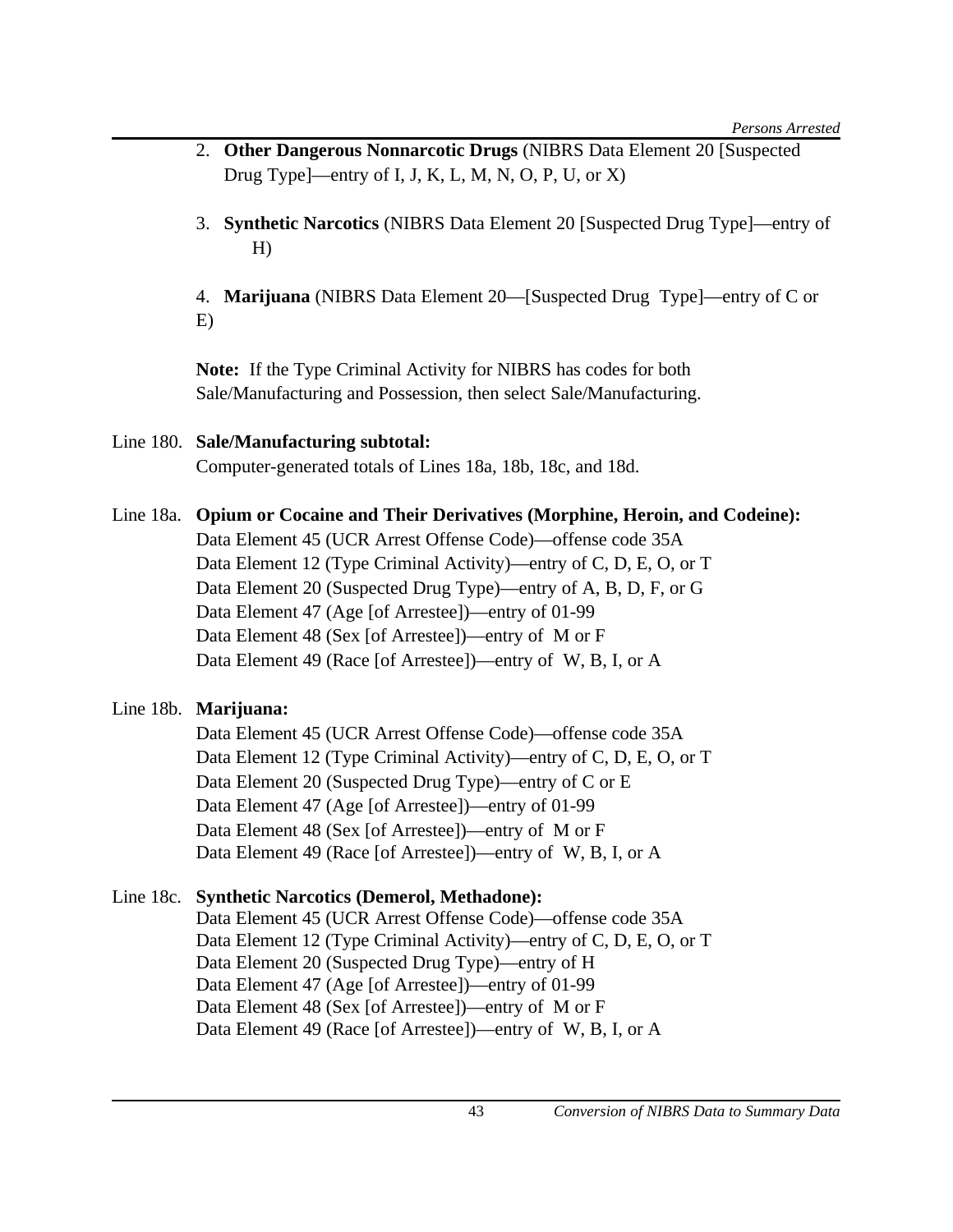- 2. **Other Dangerous Nonnarcotic Drugs** (NIBRS Data Element 20 [Suspected Drug Type]—entry of I, J, K, L, M, N, O, P, U, or  $X$ )
- 3. **Synthetic Narcotics** (NIBRS Data Element 20 [Suspected Drug Type]—entry of H)
- 4. **Marijuana** (NIBRS Data Element 20—[Suspected Drug Type]—entry of C or E)

**Note:** If the Type Criminal Activity for NIBRS has codes for both Sale/Manufacturing and Possession, then select Sale/Manufacturing.

# Line 180. **Sale/Manufacturing subtotal:** Computer-generated totals of Lines 18a, 18b, 18c, and 18d.

Line 18a. **Opium or Cocaine and Their Derivatives (Morphine, Heroin, and Codeine):** Data Element 45 (UCR Arrest Offense Code)—offense code 35A Data Element 12 (Type Criminal Activity)—entry of C, D, E, O, or T Data Element 20 (Suspected Drug Type)—entry of A, B, D, F, or G Data Element 47 (Age [of Arrestee])—entry of 01-99 Data Element 48 (Sex [of Arrestee])—entry of M or F Data Element 49 (Race [of Arrestee])—entry of W, B, I, or A

# Line 18b. **Marijuana:**

Data Element 45 (UCR Arrest Offense Code)—offense code 35A Data Element 12 (Type Criminal Activity)—entry of C, D, E, O, or T Data Element 20 (Suspected Drug Type)—entry of C or E Data Element 47 (Age [of Arrestee])—entry of 01-99 Data Element 48 (Sex [of Arrestee])—entry of M or F Data Element 49 (Race [of Arrestee])—entry of W, B, I, or A

# Line 18c. **Synthetic Narcotics (Demerol, Methadone):**

Data Element 45 (UCR Arrest Offense Code)—offense code 35A Data Element 12 (Type Criminal Activity)—entry of C, D, E, O, or T Data Element 20 (Suspected Drug Type)—entry of H Data Element 47 (Age [of Arrestee])—entry of 01-99 Data Element 48 (Sex [of Arrestee])—entry of M or F Data Element 49 (Race [of Arrestee])—entry of W, B, I, or A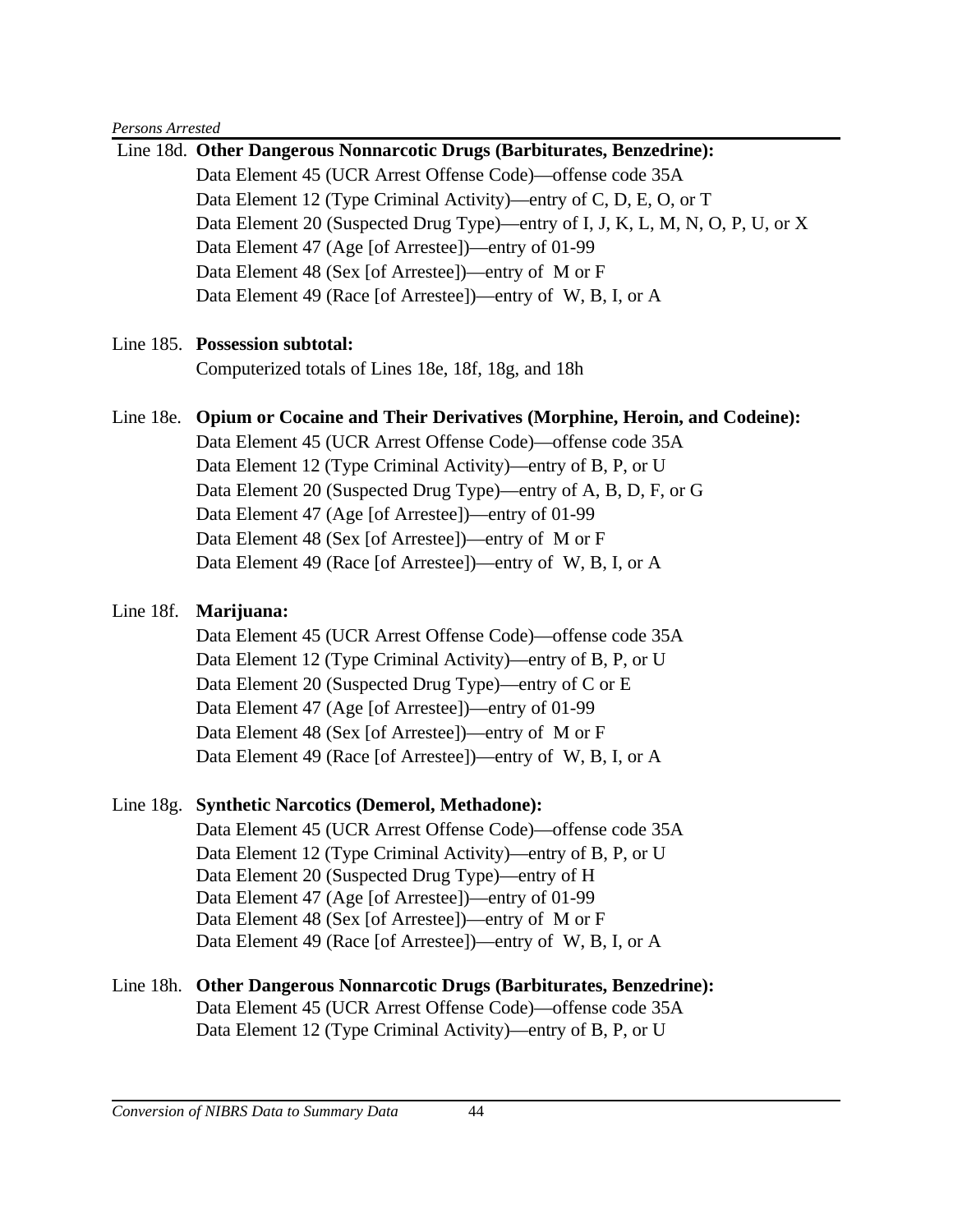#### *Persons Arrested*

|           | Line 18d. Other Dangerous Nonnarcotic Drugs (Barbiturates, Benzedrine):           |
|-----------|-----------------------------------------------------------------------------------|
|           | Data Element 45 (UCR Arrest Offense Code)—offense code 35A                        |
|           | Data Element 12 (Type Criminal Activity)—entry of C, D, E, O, or T                |
|           | Data Element 20 (Suspected Drug Type)—entry of I, J, K, L, M, N, O, P, U, or X    |
|           | Data Element 47 (Age [of Arrestee])—entry of 01-99                                |
|           | Data Element 48 (Sex [of Arrestee])—entry of M or F                               |
|           | Data Element 49 (Race [of Arrestee])—entry of W, B, I, or A                       |
|           | Line 185. Possession subtotal:                                                    |
|           | Computerized totals of Lines 18e, 18f, 18g, and 18h                               |
|           | Line 18e. Opium or Cocaine and Their Derivatives (Morphine, Heroin, and Codeine): |
|           | Data Element 45 (UCR Arrest Offense Code)—offense code 35A                        |
|           | Data Element 12 (Type Criminal Activity)—entry of B, P, or U                      |
|           | Data Element 20 (Suspected Drug Type)—entry of A, B, D, F, or G                   |
|           | Data Element 47 (Age [of Arrestee])—entry of 01-99                                |
|           | Data Element 48 (Sex [of Arrestee])—entry of M or F                               |
|           | Data Element 49 (Race [of Arrestee])—entry of W, B, I, or A                       |
| Line 18f. | Marijuana:                                                                        |
|           | Data Element 45 (UCR Arrest Offense Code)—offense code 35A                        |
|           | Data Element 12 (Type Criminal Activity)—entry of B, P, or U                      |
|           | Data Element 20 (Suspected Drug Type)—entry of C or E                             |
|           | Data Element 47 (Age [of Arrestee])—entry of 01-99                                |
|           | Data Element 48 (Sex [of Arrestee])—entry of M or F                               |
|           | Data Element 49 (Race [of Arrestee])—entry of W, B, I, or A                       |
|           | Line 18g. Synthetic Narcotics (Demerol, Methadone):                               |
|           | Data Element 45 (UCR Arrest Offense Code)—offense code 35A                        |
|           | Data Element 12 (Type Criminal Activity)—entry of B, P, or U                      |
|           | Data Element 20 (Suspected Drug Type)—entry of H                                  |
|           | Data Element 47 (Age [of Arrestee])—entry of 01-99                                |
|           | Data Element 48 (Sex [of Arrestee])—entry of M or F                               |
|           | Data Element 49 (Race [of Arrestee])—entry of W, B, I, or A                       |
| Line 18h. | <b>Other Dangerous Nonnarcotic Drugs (Barbiturates, Benzedrine):</b>              |
|           | Data Element 45 (UCR Arrest Offense Code)—offense code 35A                        |
|           | Data Element 12 (Type Criminal Activity)—entry of B, P, or U                      |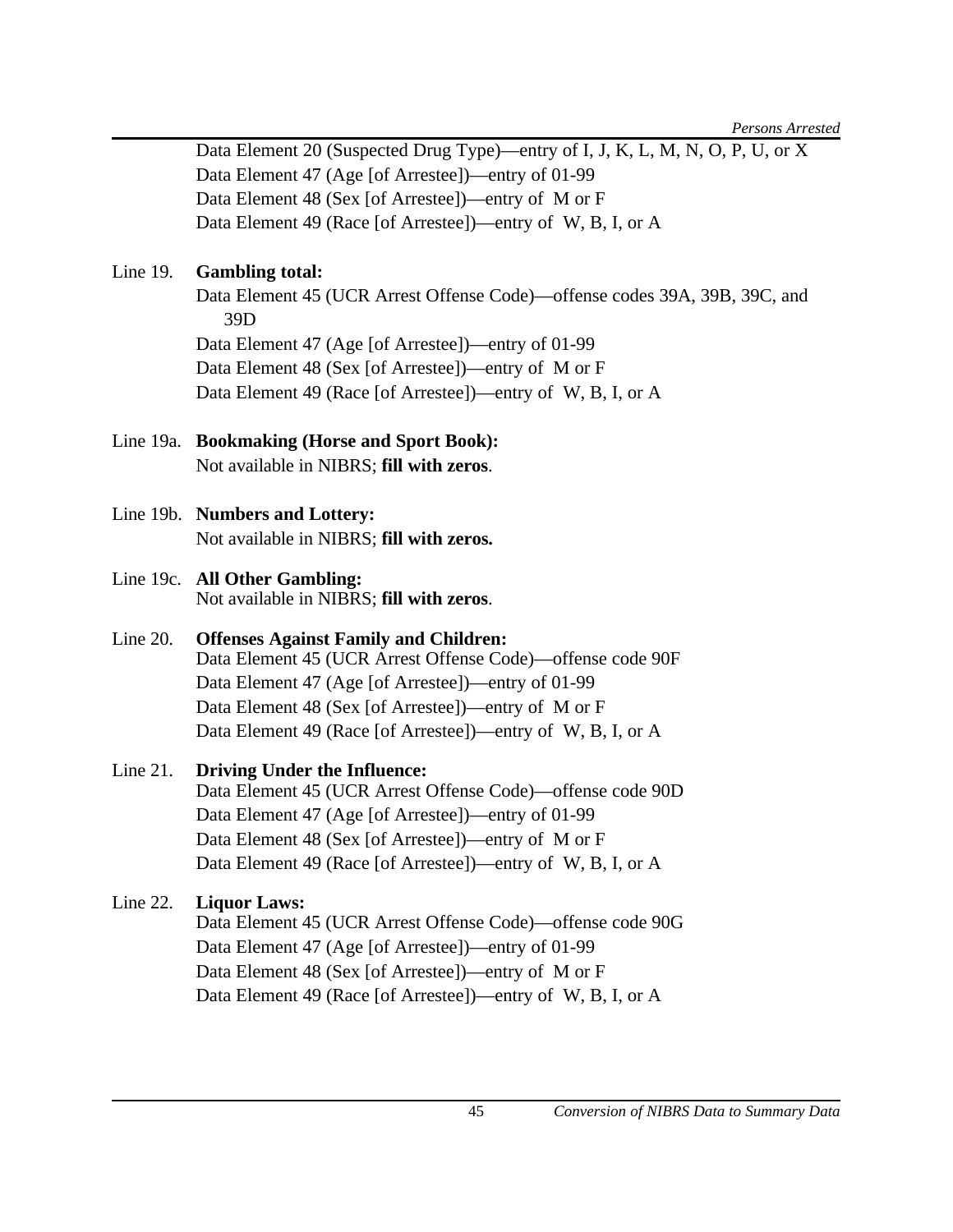Data Element 20 (Suspected Drug Type)—entry of I, J, K, L, M, N, O, P, U, or X Data Element 47 (Age [of Arrestee])—entry of 01-99 Data Element 48 (Sex [of Arrestee])—entry of M or F Data Element 49 (Race [of Arrestee])—entry of W, B, I, or A

# Line 19. **Gambling total:**

Data Element 45 (UCR Arrest Offense Code)—offense codes 39A, 39B, 39C, and 39D Data Element 47 (Age [of Arrestee])—entry of 01-99 Data Element 48 (Sex [of Arrestee])—entry of M or F Data Element 49 (Race [of Arrestee])—entry of W, B, I, or A

- Line 19a. **Bookmaking (Horse and Sport Book):**  Not available in NIBRS; **fill with zeros**.
- Line 19b. **Numbers and Lottery:** Not available in NIBRS; **fill with zeros.**
- Line 19c. **All Other Gambling:**  Not available in NIBRS; **fill with zeros**.
- Line 20. **Offenses Against Family and Children:**  Data Element 45 (UCR Arrest Offense Code)—offense code 90F Data Element 47 (Age [of Arrestee])—entry of 01-99 Data Element 48 (Sex [of Arrestee])—entry of M or F Data Element 49 (Race [of Arrestee])—entry of W, B, I, or A

# Line 21. **Driving Under the Influence:**

Data Element 45 (UCR Arrest Offense Code)—offense code 90D Data Element 47 (Age [of Arrestee])—entry of 01-99 Data Element 48 (Sex [of Arrestee])—entry of M or F Data Element 49 (Race [of Arrestee])—entry of W, B, I, or A

### Line 22. **Liquor Laws:**

Data Element 45 (UCR Arrest Offense Code)—offense code 90G Data Element 47 (Age [of Arrestee])—entry of 01-99 Data Element 48 (Sex [of Arrestee])—entry of M or F Data Element 49 (Race [of Arrestee])—entry of W, B, I, or A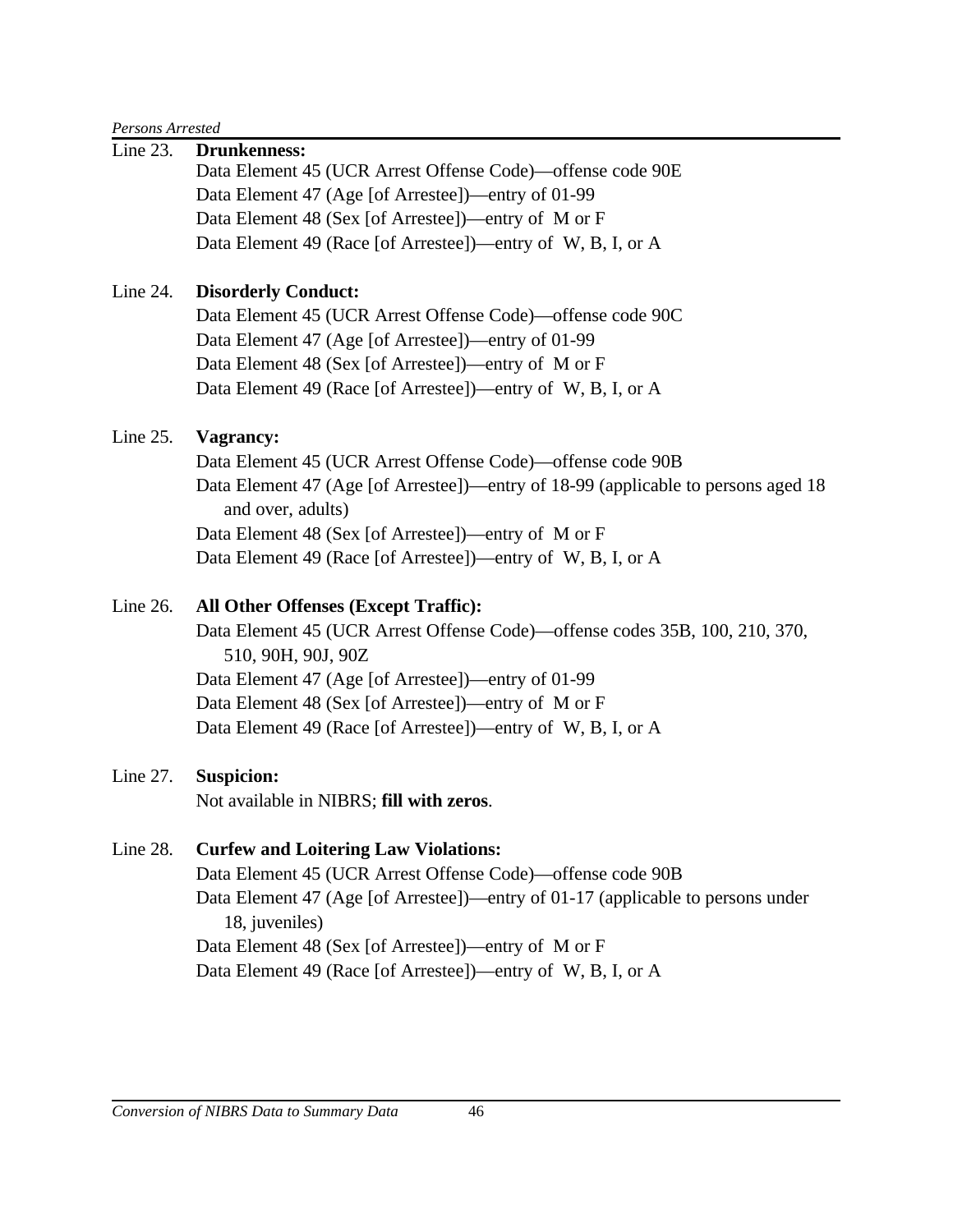#### *Persons Arrested*

| Line 23.    | <b>Drunkenness:</b>                                                                                    |
|-------------|--------------------------------------------------------------------------------------------------------|
|             | Data Element 45 (UCR Arrest Offense Code)—offense code 90E                                             |
|             | Data Element 47 (Age [of Arrestee])—entry of 01-99                                                     |
|             | Data Element 48 (Sex [of Arrestee])—entry of M or F                                                    |
|             | Data Element 49 (Race [of Arrestee])—entry of W, B, I, or A                                            |
| Line 24.    | <b>Disorderly Conduct:</b>                                                                             |
|             | Data Element 45 (UCR Arrest Offense Code)—offense code 90C                                             |
|             | Data Element 47 (Age [of Arrestee])—entry of 01-99                                                     |
|             | Data Element 48 (Sex [of Arrestee])—entry of M or F                                                    |
|             | Data Element 49 (Race [of Arrestee])—entry of W, B, I, or A                                            |
| Line $25$ . | Vagrancy:                                                                                              |
|             | Data Element 45 (UCR Arrest Offense Code)—offense code 90B                                             |
|             | Data Element 47 (Age [of Arrestee])—entry of 18-99 (applicable to persons aged 18<br>and over, adults) |
|             | Data Element 48 (Sex [of Arrestee])—entry of M or F                                                    |
|             | Data Element 49 (Race [of Arrestee])—entry of W, B, I, or A                                            |
| Line 26.    | All Other Offenses (Except Traffic):                                                                   |
|             | Data Element 45 (UCR Arrest Offense Code)—offense codes 35B, 100, 210, 370,<br>510, 90H, 90J, 90Z      |
|             | Data Element 47 (Age [of Arrestee])—entry of 01-99                                                     |
|             | Data Element 48 (Sex [of Arrestee])—entry of M or F                                                    |
|             | Data Element 49 (Race [of Arrestee])—entry of W, B, I, or A                                            |
| Line 27.    | <b>Suspicion:</b>                                                                                      |
|             | Not available in NIBRS; fill with zeros.                                                               |
| Line 28.    | <b>Curfew and Loitering Law Violations:</b>                                                            |
|             | Data Element 45 (UCR Arrest Offense Code)—offense code 90B                                             |
|             | Data Element 47 (Age [of Arrestee])—entry of 01-17 (applicable to persons under<br>18, juveniles)      |
|             | Data Element 48 (Sex [of Arrestee])—entry of M or F                                                    |
|             | Data Element 49 (Race [of Arrestee])—entry of W, B, I, or A                                            |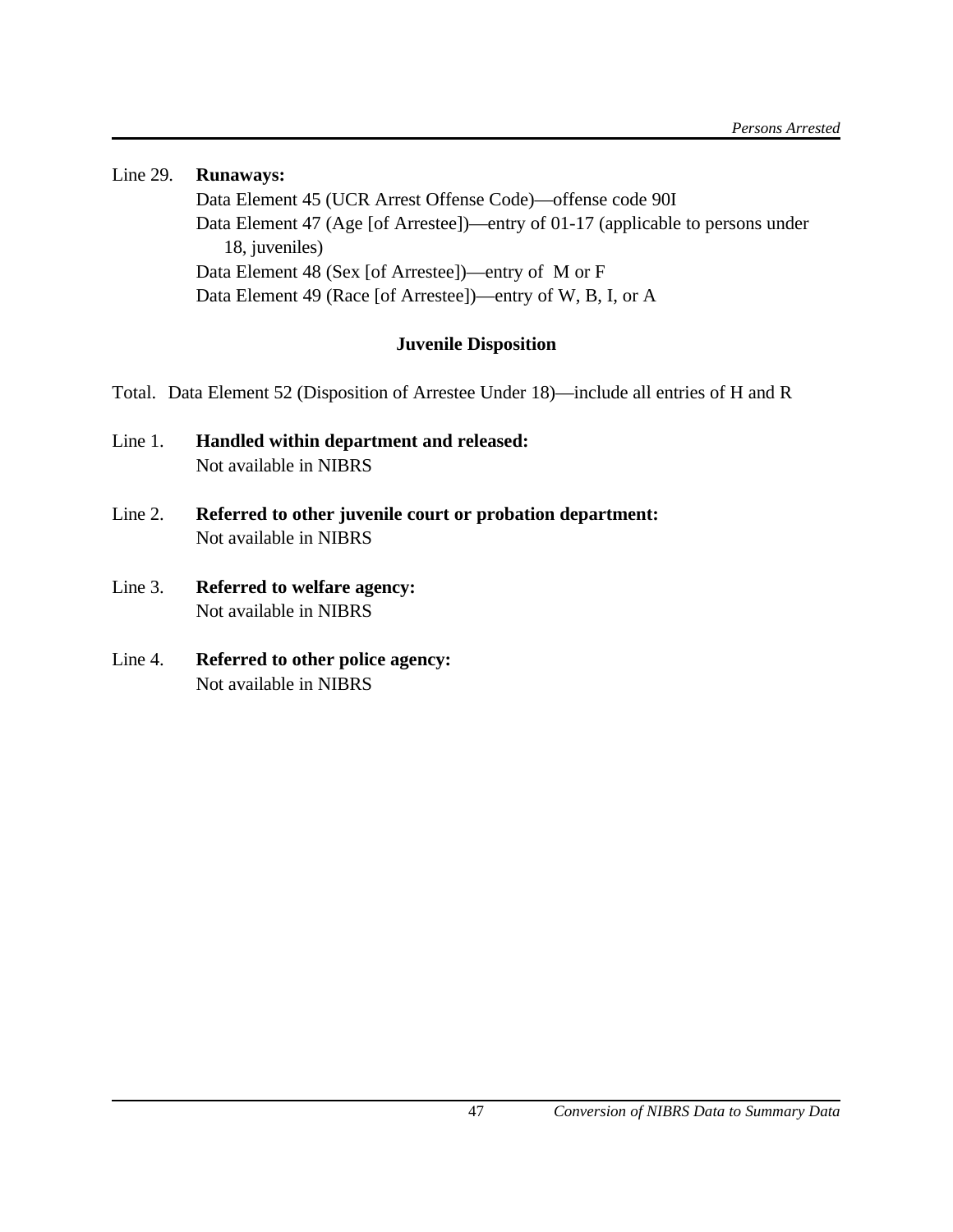Line 29. **Runaways:**  Data Element 45 (UCR Arrest Offense Code)—offense code 90I Data Element 47 (Age [of Arrestee])—entry of 01-17 (applicable to persons under 18, juveniles) Data Element 48 (Sex [of Arrestee])—entry of M or F Data Element 49 (Race [of Arrestee])—entry of W, B, I, or A

# **Juvenile Disposition**

Total. Data Element 52 (Disposition of Arrestee Under 18)—include all entries of H and R

- Line 1. **Handled within department and released:**  Not available in NIBRS
- Line 2. **Referred to other juvenile court or probation department:** Not available in NIBRS
- Line 3. **Referred to welfare agency:** Not available in NIBRS
- Line 4. **Referred to other police agency:** Not available in NIBRS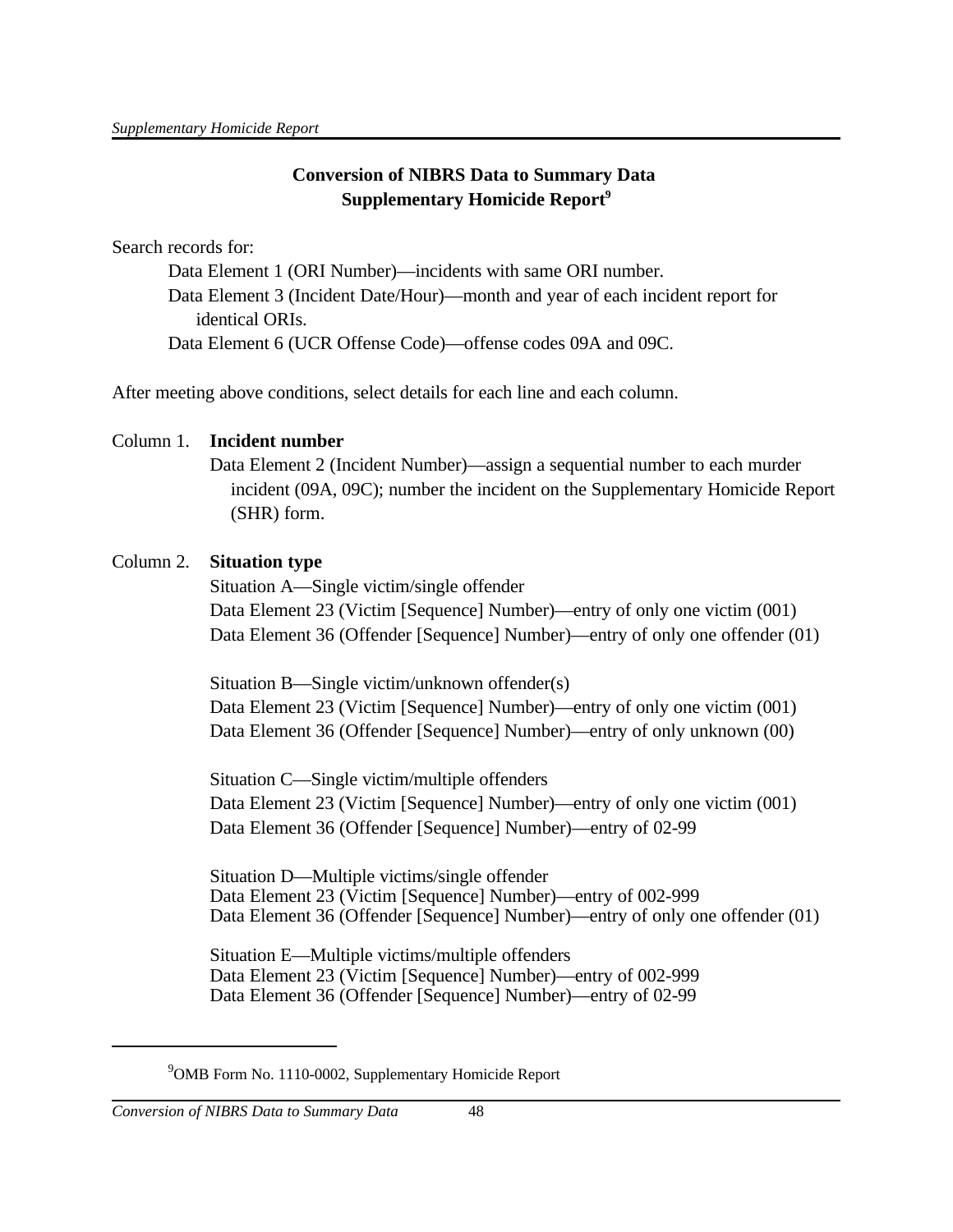# **Conversion of NIBRS Data to Summary Data Supplementary Homicide Report<sup>9</sup>**

Search records for:

Data Element 1 (ORI Number)—incidents with same ORI number. Data Element 3 (Incident Date/Hour)—month and year of each incident report for identical ORIs. Data Element 6 (UCR Offense Code)—offense codes 09A and 09C.

After meeting above conditions, select details for each line and each column.

# Column 1. **Incident number**

Data Element 2 (Incident Number)—assign a sequential number to each murder incident (09A, 09C); number the incident on the Supplementary Homicide Report (SHR) form.

# Column 2. **Situation type**

Situation A—Single victim/single offender Data Element 23 (Victim [Sequence] Number)—entry of only one victim (001) Data Element 36 (Offender [Sequence] Number)—entry of only one offender (01)

Situation B—Single victim/unknown offender(s) Data Element 23 (Victim [Sequence] Number)—entry of only one victim (001) Data Element 36 (Offender [Sequence] Number)—entry of only unknown (00)

Situation C—Single victim/multiple offenders Data Element 23 (Victim [Sequence] Number)—entry of only one victim (001) Data Element 36 (Offender [Sequence] Number)—entry of 02-99

Situation D—Multiple victims/single offender Data Element 23 (Victim [Sequence] Number)—entry of 002-999 Data Element 36 (Offender [Sequence] Number)—entry of only one offender (01)

Situation E—Multiple victims/multiple offenders Data Element 23 (Victim [Sequence] Number)—entry of 002-999 Data Element 36 (Offender [Sequence] Number)—entry of 02-99

 $9^9$ OMB Form No. 1110-0002, Supplementary Homicide Report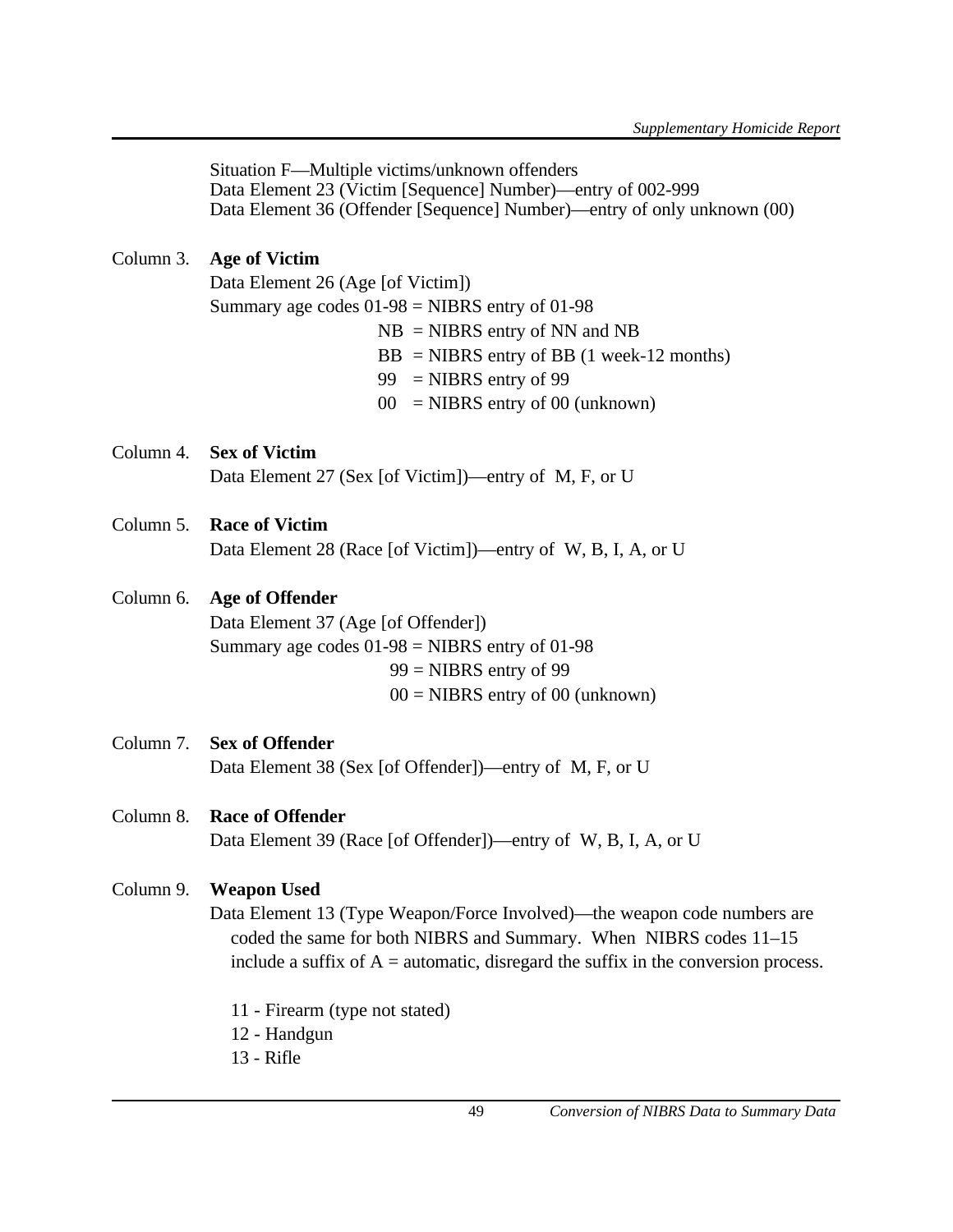Situation F—Multiple victims/unknown offenders Data Element 23 (Victim [Sequence] Number)—entry of 002-999 Data Element 36 (Offender [Sequence] Number)—entry of only unknown (00)

# Column 3. **Age of Victim**

Data Element 26 (Age [of Victim]) Summary age codes  $01-98$  = NIBRS entry of 01-98  $NB = NIBRS$  entry of NN and NB  $BB = NIBRS$  entry of BB (1 week-12 months)  $99$  = NIBRS entry of 99

 $00 = \text{NIBRS}$  entry of 00 (unknown)

Column 4. **Sex of Victim** Data Element 27 (Sex [of Victim])—entry of M, F, or U

# Column 5. **Race of Victim**

Data Element 28 (Race [of Victim])—entry of W, B, I, A, or U

# Column 6. **Age of Offender**

Data Element 37 (Age [of Offender]) Summary age codes  $01-98$  = NIBRS entry of 01-98  $99$  = NIBRS entry of 99  $00 = \text{NIBRS}$  entry of 00 (unknown)

Column 7. **Sex of Offender** Data Element 38 (Sex [of Offender])—entry of M, F, or U

### Column 8. **Race of Offender**

Data Element 39 (Race [of Offender])—entry of W, B, I, A, or U

### Column 9. **Weapon Used**

Data Element 13 (Type Weapon/Force Involved)—the weapon code numbers are coded the same for both NIBRS and Summary. When NIBRS codes 11–15 include a suffix of  $A =$  automatic, disregard the suffix in the conversion process.

- 11 Firearm (type not stated)
- 12 Handgun
- 13 Rifle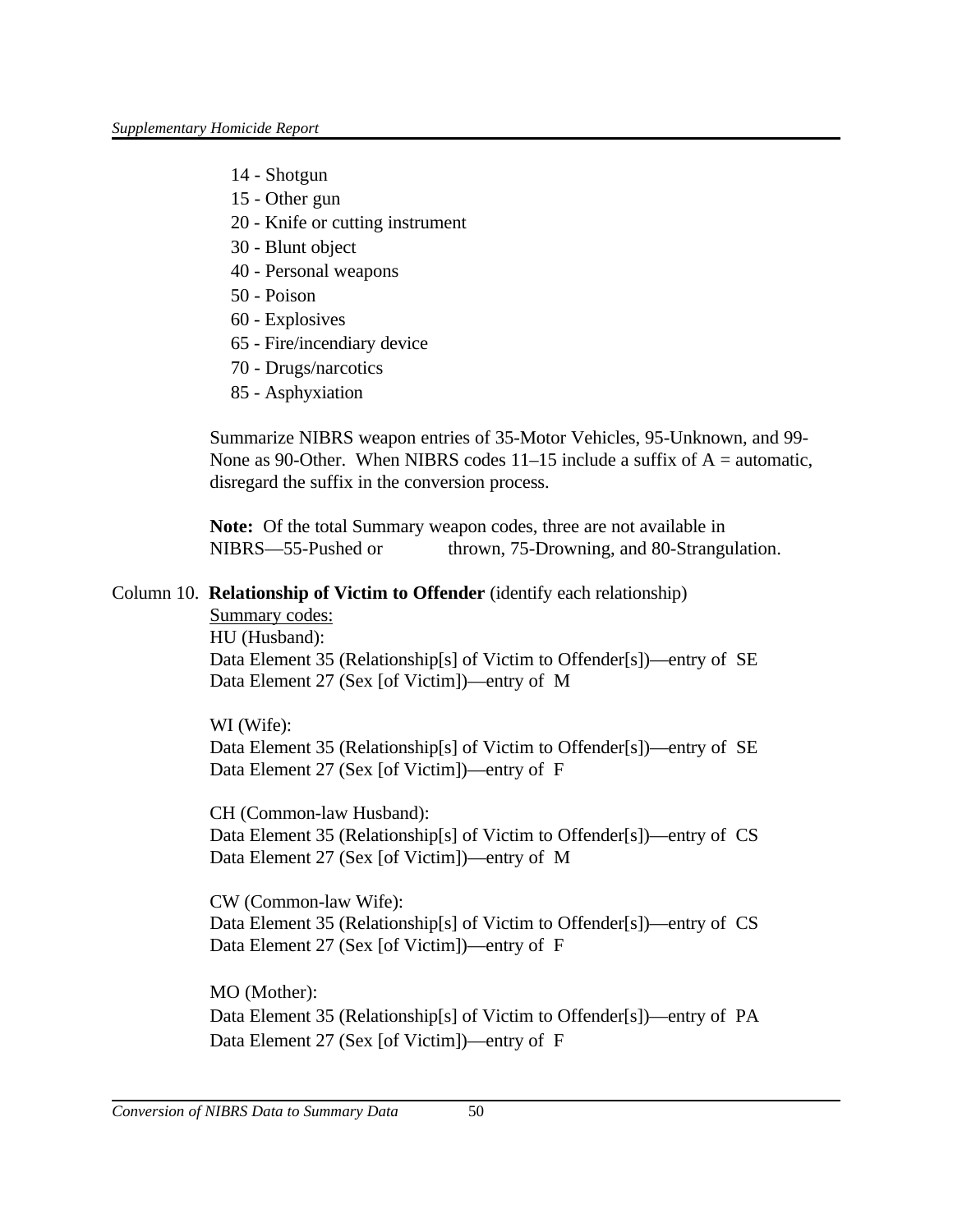- 14 Shotgun
- 15 Other gun
- 20 Knife or cutting instrument
- 30 Blunt object
- 40 Personal weapons
- 50 Poison
- 60 Explosives
- 65 Fire/incendiary device
- 70 Drugs/narcotics
- 85 Asphyxiation

Summarize NIBRS weapon entries of 35-Motor Vehicles, 95-Unknown, and 99- None as 90-Other. When NIBRS codes  $11-15$  include a suffix of A = automatic, disregard the suffix in the conversion process.

**Note:** Of the total Summary weapon codes, three are not available in NIBRS—55-Pushed or thrown, 75-Drowning, and 80-Strangulation.

### Column 10. **Relationship of Victim to Offender** (identify each relationship)

Summary codes: HU (Husband): Data Element 35 (Relationship[s] of Victim to Offender[s])—entry of SE Data Element 27 (Sex [of Victim])—entry of M

WI (Wife): Data Element 35 (Relationship[s] of Victim to Offender[s])—entry of SE Data Element 27 (Sex [of Victim])—entry of F

CH (Common-law Husband): Data Element 35 (Relationship[s] of Victim to Offender[s])—entry of CS Data Element 27 (Sex [of Victim])—entry of M

CW (Common-law Wife): Data Element 35 (Relationship[s] of Victim to Offender[s])—entry of CS Data Element 27 (Sex [of Victim])—entry of F

MO (Mother): Data Element 35 (Relationship[s] of Victim to Offender[s])—entry of PA Data Element 27 (Sex [of Victim])—entry of F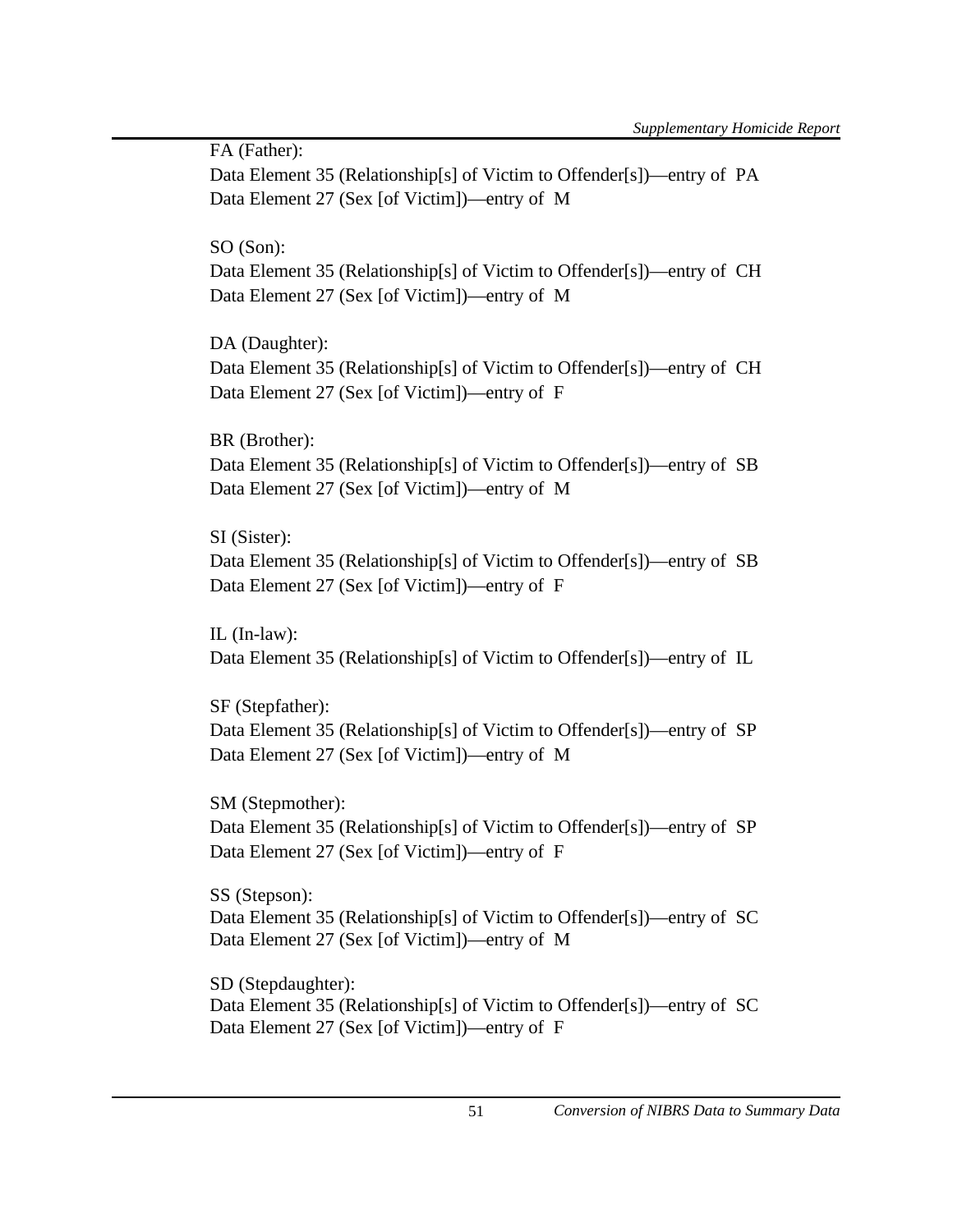FA (Father): Data Element 35 (Relationship[s] of Victim to Offender[s])—entry of PA Data Element 27 (Sex [of Victim])—entry of M

SO (Son):

Data Element 35 (Relationship[s] of Victim to Offender[s])—entry of CH Data Element 27 (Sex [of Victim])—entry of M

DA (Daughter):

Data Element 35 (Relationship[s] of Victim to Offender[s])—entry of CH Data Element 27 (Sex [of Victim])—entry of F

BR (Brother): Data Element 35 (Relationship[s] of Victim to Offender[s])—entry of SB Data Element 27 (Sex [of Victim])—entry of M

SI (Sister): Data Element 35 (Relationship[s] of Victim to Offender[s])—entry of SB Data Element 27 (Sex [of Victim])—entry of F

IL (In-law): Data Element 35 (Relationship[s] of Victim to Offender[s])—entry of IL

SF (Stepfather): Data Element 35 (Relationship[s] of Victim to Offender[s])—entry of SP Data Element 27 (Sex [of Victim])—entry of M

SM (Stepmother): Data Element 35 (Relationship[s] of Victim to Offender[s])—entry of SP Data Element 27 (Sex [of Victim])—entry of F

SS (Stepson): Data Element 35 (Relationship[s] of Victim to Offender[s])—entry of SC Data Element 27 (Sex [of Victim])—entry of M

SD (Stepdaughter): Data Element 35 (Relationship[s] of Victim to Offender[s])—entry of SC Data Element 27 (Sex [of Victim])—entry of F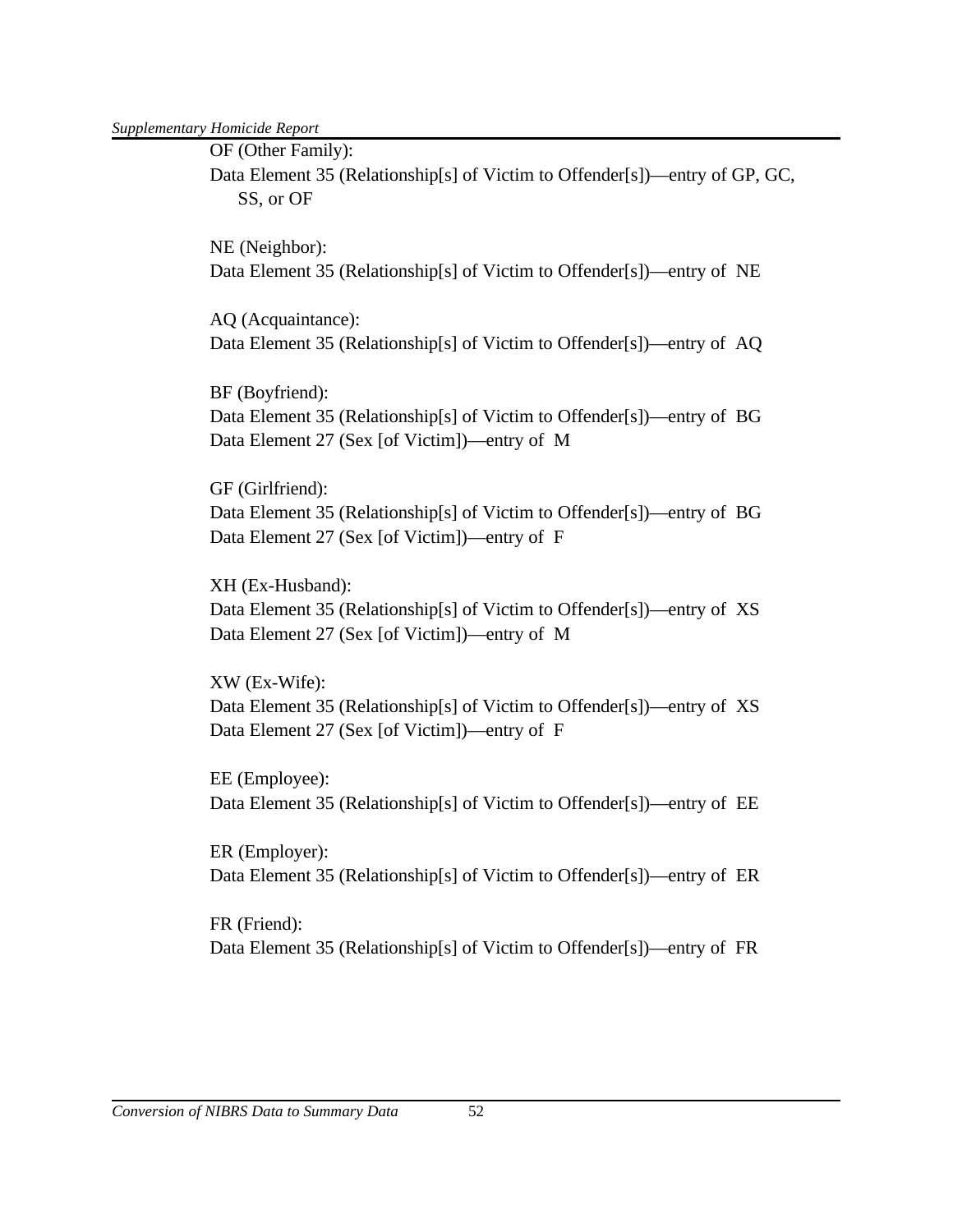*Supplementary Homicide Report*

OF (Other Family):

Data Element 35 (Relationship[s] of Victim to Offender[s])—entry of GP, GC, SS, or OF

NE (Neighbor): Data Element 35 (Relationship[s] of Victim to Offender[s])—entry of NE

AQ (Acquaintance): Data Element 35 (Relationship[s] of Victim to Offender[s])—entry of AQ

BF (Boyfriend): Data Element 35 (Relationship[s] of Victim to Offender[s])—entry of BG Data Element 27 (Sex [of Victim])—entry of M

GF (Girlfriend): Data Element 35 (Relationship[s] of Victim to Offender[s])—entry of BG Data Element 27 (Sex [of Victim])—entry of F

XH (Ex-Husband): Data Element 35 (Relationship[s] of Victim to Offender[s])—entry of XS Data Element 27 (Sex [of Victim])—entry of M

XW (Ex-Wife): Data Element 35 (Relationship[s] of Victim to Offender[s])—entry of XS Data Element 27 (Sex [of Victim])—entry of F

EE (Employee): Data Element 35 (Relationship[s] of Victim to Offender[s])—entry of EE

ER (Employer): Data Element 35 (Relationship[s] of Victim to Offender[s])—entry of ER

FR (Friend): Data Element 35 (Relationship[s] of Victim to Offender[s])—entry of FR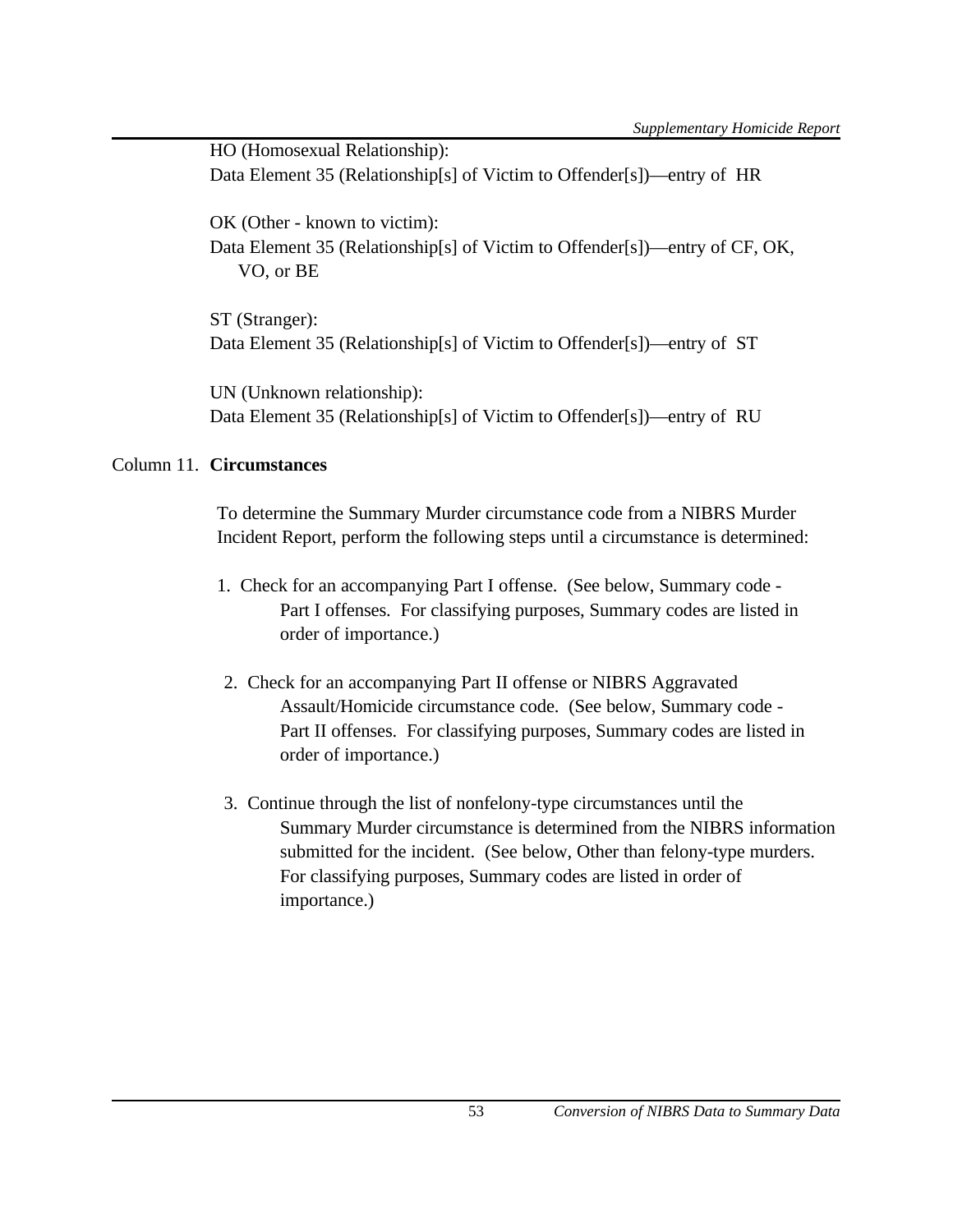HO (Homosexual Relationship): Data Element 35 (Relationship[s] of Victim to Offender[s])—entry of HR OK (Other - known to victim): Data Element 35 (Relationship[s] of Victim to Offender[s])—entry of CF, OK, VO, or BE

ST (Stranger): Data Element 35 (Relationship[s] of Victim to Offender[s])—entry of ST

UN (Unknown relationship): Data Element 35 (Relationship[s] of Victim to Offender[s])—entry of RU

# Column 11. **Circumstances**

To determine the Summary Murder circumstance code from a NIBRS Murder Incident Report, perform the following steps until a circumstance is determined:

- 1. Check for an accompanying Part I offense. (See below, Summary code Part I offenses. For classifying purposes, Summary codes are listed in order of importance.)
- 2. Check for an accompanying Part II offense or NIBRS Aggravated Assault/Homicide circumstance code. (See below, Summary code - Part II offenses. For classifying purposes, Summary codes are listed in order of importance.)
- 3. Continue through the list of nonfelony-type circumstances until the Summary Murder circumstance is determined from the NIBRS information submitted for the incident. (See below, Other than felony-type murders. For classifying purposes, Summary codes are listed in order of importance.)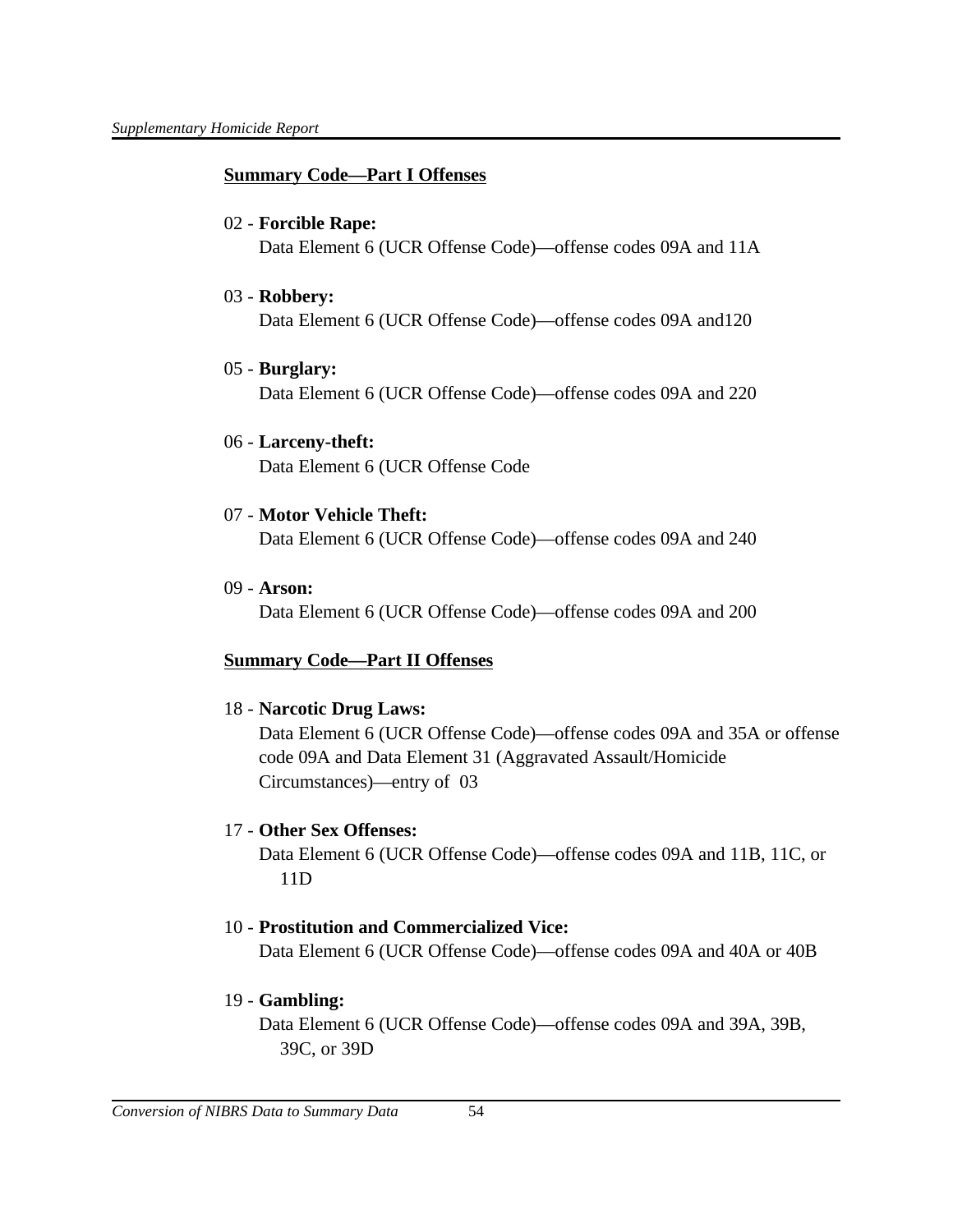### **Summary Code—Part I Offenses**

#### 02 - **Forcible Rape:**

Data Element 6 (UCR Offense Code)—offense codes 09A and 11A

#### 03 - **Robbery:**

Data Element 6 (UCR Offense Code)—offense codes 09A and120

### 05 - **Burglary:**

Data Element 6 (UCR Offense Code)—offense codes 09A and 220

### 06 - **Larceny-theft:**

Data Element 6 (UCR Offense Code

# 07 - **Motor Vehicle Theft:**

Data Element 6 (UCR Offense Code)—offense codes 09A and 240

09 - **Arson:**

Data Element 6 (UCR Offense Code)—offense codes 09A and 200

# **Summary Code—Part II Offenses**

18 - **Narcotic Drug Laws:**

Data Element 6 (UCR Offense Code)—offense codes 09A and 35A or offense code 09A and Data Element 31 (Aggravated Assault/Homicide Circumstances)—entry of 03

### 17 - **Other Sex Offenses:**

Data Element 6 (UCR Offense Code)—offense codes 09A and 11B, 11C, or 11D

### 10 - **Prostitution and Commercialized Vice:**

Data Element 6 (UCR Offense Code)—offense codes 09A and 40A or 40B

### 19 - **Gambling:**

Data Element 6 (UCR Offense Code)—offense codes 09A and 39A, 39B, 39C, or 39D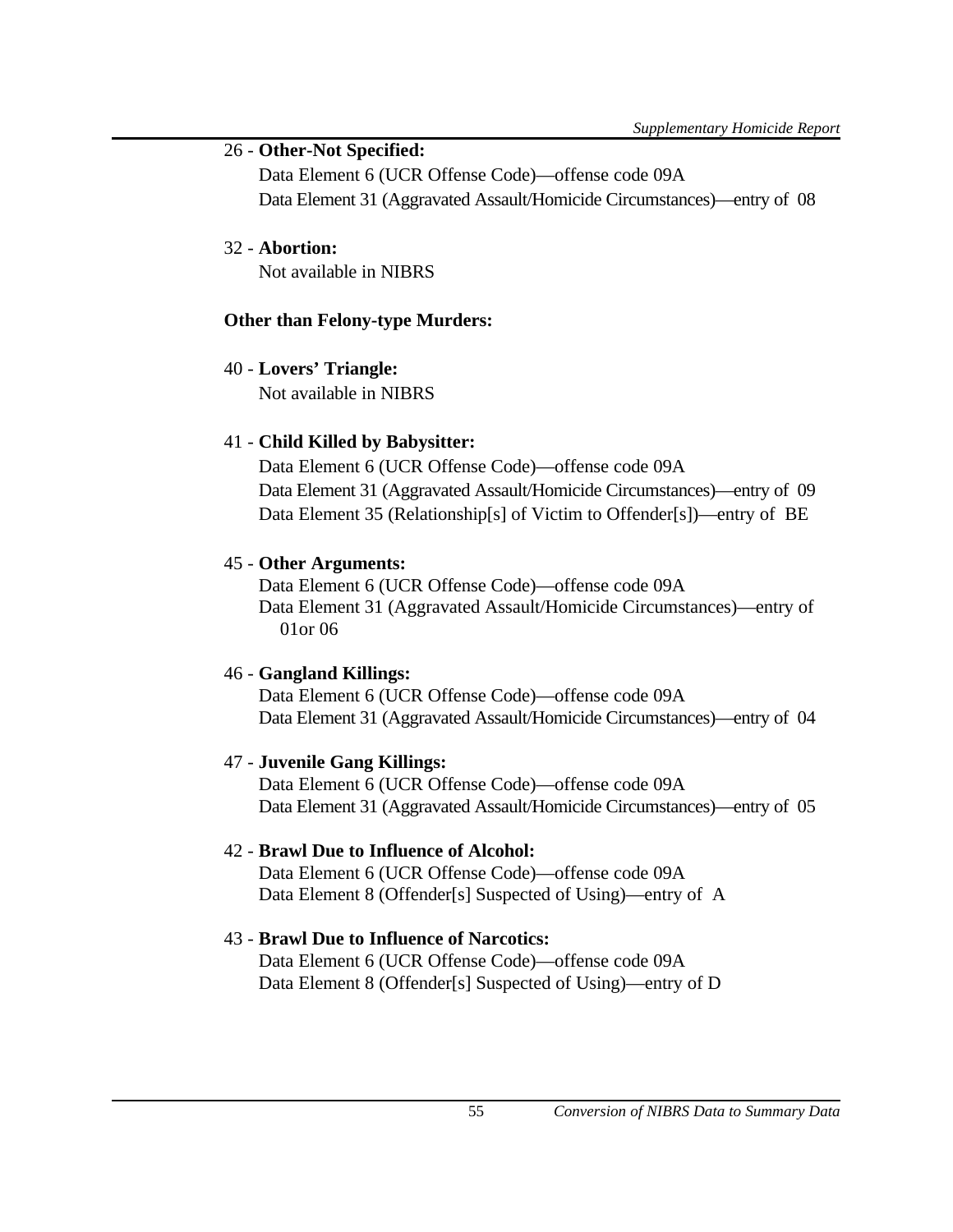# 26 - **Other-Not Specified:**

Data Element 6 (UCR Offense Code)—offense code 09A Data Element 31 (Aggravated Assault/Homicide Circumstances)—entry of 08

# 32 - **Abortion:**

Not available in NIBRS

# **Other than Felony-type Murders:**

# 40 - **Lovers' Triangle:**

Not available in NIBRS

# 41 - **Child Killed by Babysitter:**

Data Element 6 (UCR Offense Code)—offense code 09A Data Element 31 (Aggravated Assault/Homicide Circumstances)—entry of 09 Data Element 35 (Relationship[s] of Victim to Offender[s])—entry of BE

# 45 - **Other Arguments:**

Data Element 6 (UCR Offense Code)—offense code 09A Data Element 31 (Aggravated Assault/Homicide Circumstances)—entry of 01or 06

# 46 - **Gangland Killings:**

Data Element 6 (UCR Offense Code)—offense code 09A Data Element 31 (Aggravated Assault/Homicide Circumstances)—entry of 04

### 47 - **Juvenile Gang Killings:**

Data Element 6 (UCR Offense Code)—offense code 09A Data Element 31 (Aggravated Assault/Homicide Circumstances)—entry of 05

# 42 - **Brawl Due to Influence of Alcohol:**

Data Element 6 (UCR Offense Code)—offense code 09A Data Element 8 (Offender[s] Suspected of Using)—entry of A

# 43 - **Brawl Due to Influence of Narcotics:**

Data Element 6 (UCR Offense Code)—offense code 09A Data Element 8 (Offender[s] Suspected of Using)—entry of D